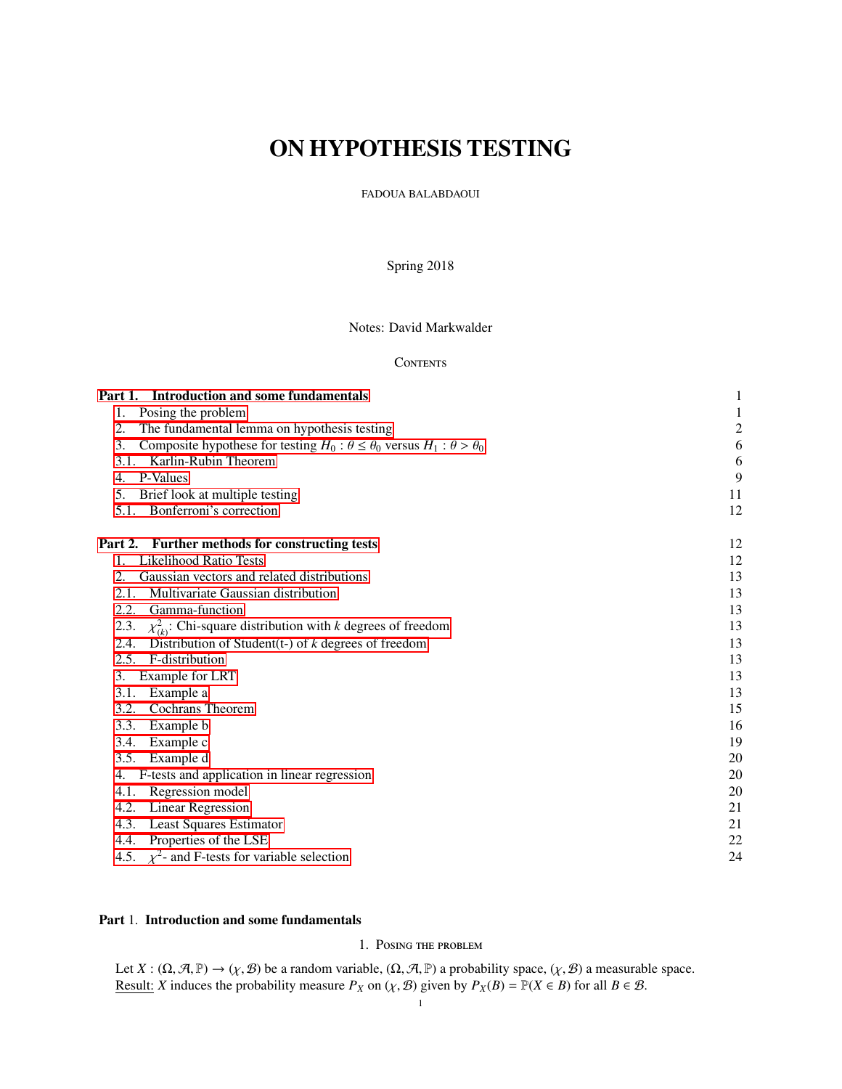# ON HYPOTHESIS TESTING

FADOUA BALABDAOUI

Spring 2018

Notes: David Markwalder

# **CONTENTS**

| Part 1. Introduction and some fundamentals                                                       | 1                       |
|--------------------------------------------------------------------------------------------------|-------------------------|
| Posing the problem<br>1.                                                                         | 1                       |
| 2.<br>The fundamental lemma on hypothesis testing                                                | $\overline{\mathbf{c}}$ |
| 3.<br>Composite hypothese for testing $H_0: \theta \le \theta_0$ versus $H_1: \theta > \theta_0$ | 6                       |
| Karlin-Rubin Theorem<br>3.1.                                                                     | 6                       |
| P-Values<br>4.                                                                                   | 9                       |
| Brief look at multiple testing<br>5.                                                             | 11                      |
| 5.1. Bonferroni's correction                                                                     | 12                      |
| Part 2. Further methods for constructing tests                                                   | 12                      |
| <b>Likelihood Ratio Tests</b><br>$1_{\cdot}$                                                     | 12                      |
| Gaussian vectors and related distributions<br>2.                                                 | 13                      |
| Multivariate Gaussian distribution<br>2.1.                                                       | 13                      |
| Gamma-function<br>2.2.                                                                           | 13                      |
| $\chi^2_{(k)}$ : Chi-square distribution with k degrees of freedom<br>2.3.                       | 13                      |
| Distribution of Student(t-) of $k$ degrees of freedom<br>2.4.                                    | 13                      |
| F-distribution<br>2.5.                                                                           | 13                      |
| Example for LRT<br>3.                                                                            | 13                      |
| Example a<br>3.1.                                                                                | 13                      |
| <b>Cochrans Theorem</b><br>3.2.                                                                  | 15                      |
| Example b<br>3.3.                                                                                | 16                      |
| Example c<br>3.4.                                                                                | 19                      |
| Example d<br>3.5.                                                                                | 20                      |
| F-tests and application in linear regression<br>4.                                               | 20                      |
| Regression model<br>4.1.                                                                         | 20                      |
| 4.2. Linear Regression                                                                           | 21                      |
| 4.3. Least Squares Estimator                                                                     | 21                      |
| 4.4. Properties of the LSE                                                                       | 22                      |
| 4.5. $\chi^2$ - and F-tests for variable selection                                               | 24                      |

# <span id="page-0-1"></span><span id="page-0-0"></span>Part 1. Introduction and some fundamentals

# 1. Posing the problem

Let  $X : (\Omega, \mathcal{A}, \mathbb{P}) \to (\chi, \mathcal{B})$  be a random variable,  $(\Omega, \mathcal{A}, \mathbb{P})$  a probability space,  $(\chi, \mathcal{B})$  a measurable space. Result: *X* induces the probability measure  $P_X$  on  $(\chi, \mathcal{B})$  given by  $P_X(B) = \mathbb{P}(X \in B)$  for all  $B \in \mathcal{B}$ .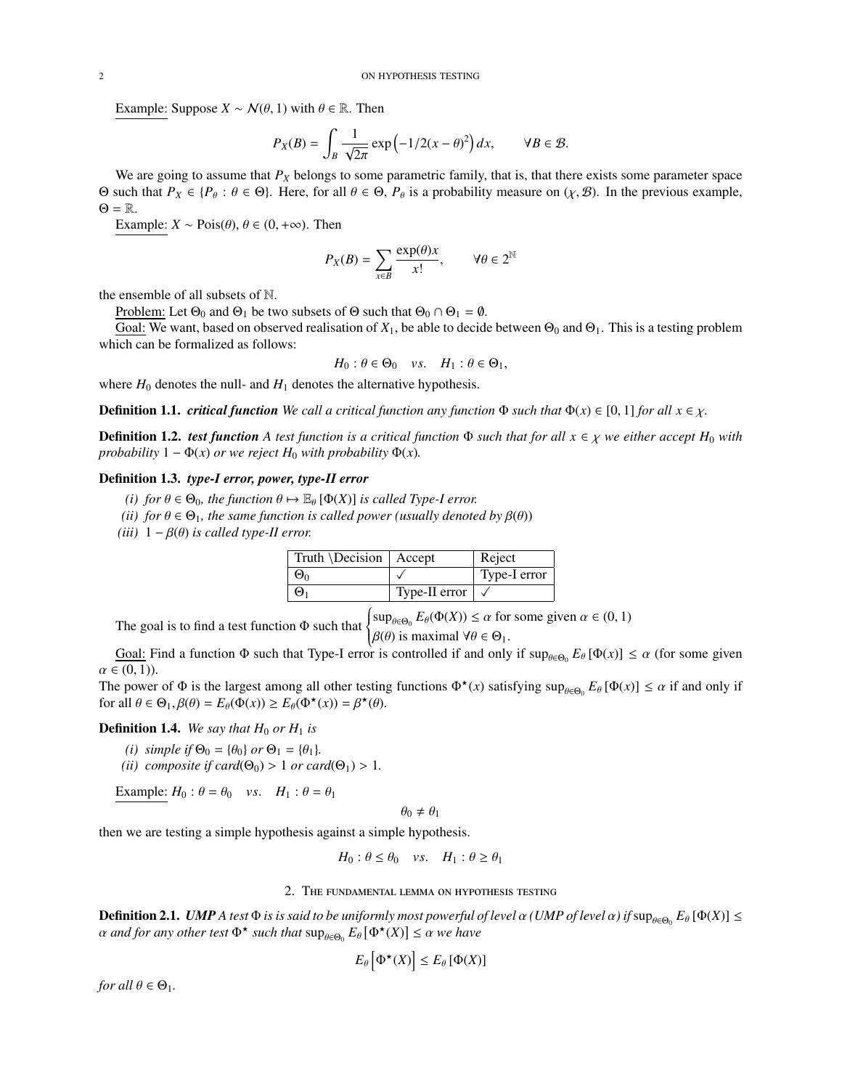Example: Suppose  $X \sim \mathcal{N}(\theta, 1)$  with  $\theta \in \mathbb{R}$ . Then

$$
P_X(B) = \int_B \frac{1}{\sqrt{2\pi}} \exp\left(-\frac{1}{2}(x-\theta)^2\right) dx, \qquad \forall B \in \mathcal{B}.
$$

 $\frac{1}{2}$   $\sqrt{2\pi}$   $\sqrt{2\pi}$   $\sqrt{2\pi}$   $\sqrt{2\pi}$   $\sqrt{2\pi}$   $\sqrt{2\pi}$  we are going to assume that *P<sub>X</sub>* belongs to some parametric family, that is, that there exists some parameter space Θ such that  $P_X$  ∈ { $P_\theta$  :  $\theta$  ∈ Θ}. Here, for all  $\theta$  ∈ Θ,  $P_\theta$  is a probability measure on (*χ*, *Β*). In the previous example,  $\Theta = \mathbb{R}$ .

Example:  $X \sim \text{Pois}(\theta)$ ,  $\theta \in (0, +\infty)$ . Then

$$
P_X(B) = \sum_{x \in B} \frac{\exp(\theta)x}{x!}, \qquad \forall \theta \in 2^{\mathbb{N}}
$$

the ensemble of all subsets of <sup>N</sup>.

Problem: Let  $\Theta_0$  and  $\Theta_1$  be two subsets of  $\Theta$  such that  $\Theta_0 \cap \Theta_1 = \emptyset$ .

Goal: We want, based on observed realisation of  $X_1$ , be able to decide between  $\Theta_0$  and  $\Theta_1$ . This is a testing problem which can be formalized as follows:

$$
H_0: \theta \in \Theta_0 \quad vs. \quad H_1: \theta \in \Theta_1,
$$

where  $H_0$  denotes the null- and  $H_1$  denotes the alternative hypothesis.

**Definition 1.1.** *critical function* We call a critical function any function  $\Phi$  such that  $\Phi(x) \in [0, 1]$  for all  $x \in \chi$ .

**Definition 1.2.** *test function* A *test function* is a critical function  $\Phi$  *such that for all*  $x \in \chi$  *we either accept*  $H_0$  *with probability*  $1 - \Phi(x)$  *or we reject*  $H_0$  *with probability*  $\Phi(x)$ *.* 

## Definition 1.3. *type-I error, power, type-II error*

- *(i) for*  $\theta \in \Theta_0$ *, the function*  $\theta \mapsto \mathbb{E}_{\theta} [\Phi(X)]$  *is called Type-I error.*
- *(ii)* for  $\theta \in \Theta_1$ *, the same function is called power (usually denoted by*  $\beta(\theta)$ )
- *(iii)*  $1 \beta(\theta)$  *is called type-II error.*

| Truth \Decision   Accept |               | Reject       |
|--------------------------|---------------|--------------|
| $\Theta_0$               |               | Type-I error |
| $\Theta_1$               | Type-II error |              |

The goal is to find a test function  $\Phi$  such that  $\left\{ \right.$ ſ  $\sup_{\theta \in \Theta_0} E_{\theta}(\Phi(X)) \leq \alpha$  for some given  $\alpha \in (0, 1)$  $β(θ)$  is maximal  $∀θ ∈ Θ<sub>1</sub>$ .<br>is controlled if and only

Goal: Find a function Φ such that Type-I error is controlled if and only if  $\sup_{\theta \in \Theta_0} E_{\theta} [\Phi(x)] \le \alpha$  (for some given  $E(\theta_0)$ )  $\alpha \in (0,1)$ ).

The power of  $\Phi$  is the largest among all other testing functions  $\Phi^*(x)$  satisfying  $\sup_{\theta \in \Theta_0} E_{\theta} [\Phi(x)] \le \alpha$  if and only if<br>for all  $\theta \in \Theta$ .  $B(\theta) - E_{\theta}(\Phi(x)) > E_{\theta}(\Phi^*(x)) - B^*(\theta)$ for all  $\theta \in \Theta_1$ ,  $\beta(\theta) = E_{\theta}(\Phi(x)) \ge E_{\theta}(\Phi^*(x)) = \beta^*(\theta)$ .

## **Definition 1.4.** We say that  $H_0$  or  $H_1$  is

- *(i)* simple if  $\Theta_0 = \{\theta_0\}$  or  $\Theta_1 = \{\theta_1\}$ .
- *(ii)* composite if card( $\Theta_0$ ) > 1 *or card*( $\Theta_1$ ) > 1*.*

Example:  $H_0: \theta = \theta_0$  *vs.*  $H_1: \theta = \theta_1$ 

$$
\theta_0 \neq \theta_1
$$

then we are testing a simple hypothesis against a simple hypothesis.

$$
H_0: \theta \le \theta_0 \quad vs. \quad H_1: \theta \ge \theta_1
$$

#### 2. The fundamental lemma on hypothesis testing

<span id="page-1-0"></span>**Definition 2.1.** *UMP A test* Φ *is is said to be uniformly most powerful of level* α *(UMP of level* α) *if*  $\sup_{\theta \in \Theta_0} E_{\theta} [\Phi(X)] \le \alpha$  and for any other test Φ<sup>\*</sup>, such that  $\sup_{\theta \in \Theta_0} E_{\theta} [\Phi(X)] \le \alpha$  we have  $\alpha$  *and for any other test*  $\Phi^{\star}$  *such that*  $\sup_{\theta \in \Theta_0} E_{\theta} [\Phi^{\star}(X)] \leq \alpha$  *we have* 

$$
E_{\theta}\left[\Phi^{\star}(X)\right] \leq E_{\theta}\left[\Phi(X)\right]
$$

*for all*  $\theta \in \Theta_1$ *.*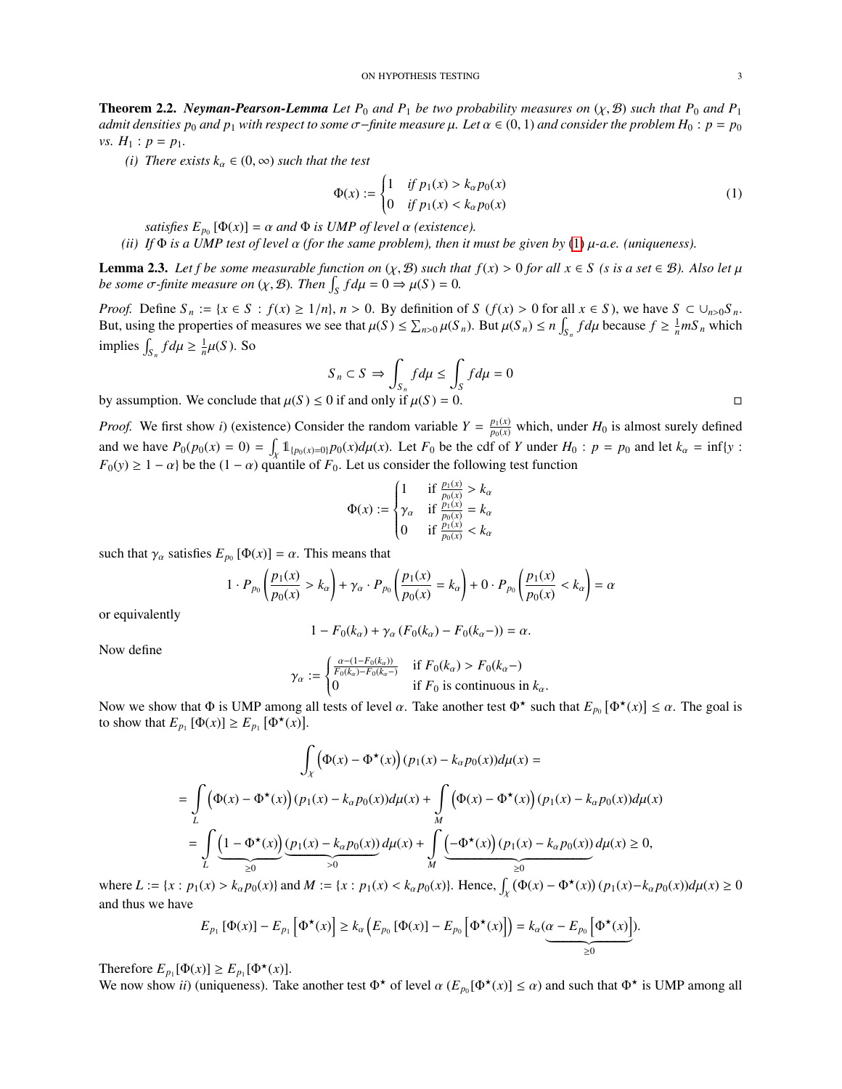**Theorem 2.2.** *Neyman-Pearson-Lemma Let*  $P_0$  *and*  $P_1$  *be two probability measures on*  $(\chi, \mathcal{B})$  *such that*  $P_0$  *and*  $P_1$ *admit densities*  $p_0$  *and*  $p_1$  *with respect to some*  $\sigma$ -*finite measure*  $\mu$ *. Let*  $\alpha \in (0, 1)$  *and consider the problem*  $H_0$  :  $p = p_0$ *vs.*  $H_1$  :  $p = p_1$ .

*(i)* There exists  $k_{\alpha} \in (0, \infty)$  *such that the test* 

<span id="page-2-0"></span>
$$
\Phi(x) := \begin{cases} 1 & \text{if } p_1(x) > k_\alpha p_0(x) \\ 0 & \text{if } p_1(x) < k_\alpha p_0(x) \end{cases} \tag{1}
$$

*satisfies*  $E_{p_0} [\Phi(x)] = \alpha$  *and*  $\Phi$  *is UMP of level*  $\alpha$  *(existence).*<br>If  $\Phi$  *is a UMP test of level*  $\alpha$  *(for the same problem), then it i* 

*(ii) If* <sup>Φ</sup> *is a UMP test of level* α *(for the same problem), then it must be given by* [\(1\)](#page-2-0) µ*-a.e. (uniqueness).*

**Lemma 2.3.** Let f be some measurable function on  $(\chi, \mathcal{B})$  such that  $f(x) > 0$  for all  $x \in S$  (s is a set  $\in \mathcal{B}$ ). Also let  $\mu$ *be some*  $\sigma$ -finite measure on  $(\chi, \mathcal{B})$ . Then  $\int_{S} f d\mu = 0 \Rightarrow \mu(S) = 0$ .

*Proof.* Define  $S_n := \{x \in S : f(x) \ge 1/n\}$ ,  $n > 0$ . By definition of  $S(f(x) > 0$  for all  $x \in S)$ , we have  $S \subset \bigcup_{n>0} S_n$ . But, using the properties of measures we see that  $\mu(S) \le \sum_{n>0} \mu(S_n)$ . But  $\mu(S_n) \le n \int_{S_n} f d\mu$  because  $f \ge \frac{1}{n} mS_n$  which implies  $\int_{S_n} f d\mu \ge \frac{1}{n} \mu(S)$ . So

$$
S_n \subset S \implies \int_{S_n} f d\mu \le \int_S f d\mu = 0
$$
  
0 if and only if  $u(S) = 0$ 

by assumption. We conclude that  $\mu(S) \le 0$  if and only if  $\mu(S) = 0$ .

*Proof.* We first show *i*) (existence) Consider the random variable  $Y = \frac{p_1(x)}{p_0(x)}$  which, under  $H_0$  is almost surely defined and we have  $P_0(p_0(x) = 0) = \int_X \mathbb{1}_{\{p_0(x) = 0\}} p_0(x) d\mu(x)$ . Let  $F_0$  be the cdf of Y under  $H_0: p = p_0$  and let  $k_\alpha = \inf\{y : E_0(x) > 1\}$  and he that  $(1, \infty)$  quantile of  $E_0$ . Let  $y$  consider the following test function  $F_0(y) \ge 1 - \alpha$ } be the  $(1 - \alpha)$  quantile of  $F_0$ . Let us consider the following test function

$$
\Phi(x) := \begin{cases}\n1 & \text{if } \frac{p_1(x)}{p_0(x)} > k_\alpha \\
\gamma_\alpha & \text{if } \frac{p_1(x)}{p_0(x)} = k_\alpha \\
0 & \text{if } \frac{p_1(x)}{p_0(x)} < k_\alpha\n\end{cases}
$$

such that  $\gamma_\alpha$  satisfies  $E_{p_0} [\Phi(x)] = \alpha$ . This means that

$$
1 \cdot P_{p_0} \left( \frac{p_1(x)}{p_0(x)} > k_\alpha \right) + \gamma_\alpha \cdot P_{p_0} \left( \frac{p_1(x)}{p_0(x)} = k_\alpha \right) + 0 \cdot P_{p_0} \left( \frac{p_1(x)}{p_0(x)} < k_\alpha \right) = \alpha
$$

or equivalently

$$
1 - F_0(k_{\alpha}) + \gamma_{\alpha} (F_0(k_{\alpha}) - F_0(k_{\alpha}-)) = \alpha.
$$

Now define

$$
\gamma_{\alpha} := \begin{cases} \frac{\alpha - (1 - F_0(k_{\alpha}))}{F_0(k_{\alpha}) - F_0(k_{\alpha} -)} & \text{if } F_0(k_{\alpha}) > F_0(k_{\alpha} -) \\ 0 & \text{if } F_0 \text{ is continuous in } k_{\alpha}. \end{cases}
$$

Now we show that  $Φ$  is UMP among all tests of level  $α$ . Take another test  $Φ^*$  such that  $E_{p_0} [Φ^*(x)] \leq α$ . The goal is to show that  $F_{p_0} [Φ^*(x)] > F_{p_0} [Φ^*(x)]$ to show that  $E_{p_1} [\Phi(x)] \ge E_{p_1} [\Phi^*(x)].$ 

$$
\int_{\chi} (\Phi(x) - \Phi^{\star}(x)) (p_1(x) - k_{\alpha}p_0(x)) d\mu(x) =
$$
\n
$$
= \int_{L} (\Phi(x) - \Phi^{\star}(x)) (p_1(x) - k_{\alpha}p_0(x)) d\mu(x) + \int_{M} (\Phi(x) - \Phi^{\star}(x)) (p_1(x) - k_{\alpha}p_0(x)) d\mu(x)
$$
\n
$$
= \int_{L} (\underbrace{1 - \Phi^{\star}(x)}_{\geq 0} \underbrace{(p_1(x) - k_{\alpha}p_0(x))}_{> 0} d\mu(x) + \int_{M} (\underbrace{-\Phi^{\star}(x)}_{\geq 0} (p_1(x) - k_{\alpha}p_0(x)) d\mu(x) \geq 0,
$$
\n
$$
= \int_{L} (\underbrace{1 - \Phi^{\star}(x)}_{\geq 0} \underbrace{(p_1(x) - k_{\alpha}p_0(x))}_{> 0} d\mu(x) + \int_{M} (\underbrace{-\Phi^{\star}(x)}_{\geq 0} (p_1(x) - p_1^{\star}(x)) (p_1(x) - k_{\alpha}p_0(x)) d\mu(x)
$$

where  $L := \{x : p_1(x) > k_\alpha p_0(x)\}\$ and  $M := \{x : p_1(x) < k_\alpha p_0(x)\}\$ . Hence,  $\int_{\chi} (\Phi(x) - \Phi^*(x)) (p_1(x) - k_\alpha p_0(x)) d\mu(x) \ge 0$  $\ddot{\phantom{0}}$ and thus we have

$$
E_{p_1} [\Phi(x)] - E_{p_1} [\Phi^{\star}(x)] \ge k_{\alpha} (E_{p_0} [\Phi(x)] - E_{p_0} [\Phi^{\star}(x)]) = k_{\alpha} (\underbrace{\alpha - E_{p_0} [\Phi^{\star}(x)]}_{\geq 0}).
$$

Therefore  $E_{p_1}[\Phi(x)] \geq E_{p_1}[\Phi^{\star}(x)]$ .<br>We now show *ii*) (uniqueness) Tak

We now show *ii*) (uniqueness). Take another test  $\Phi^*$  of level  $\alpha$  ( $E_{p_0}[\Phi^*(x)] \le \alpha$ ) and such that  $\Phi^*$  is UMP among all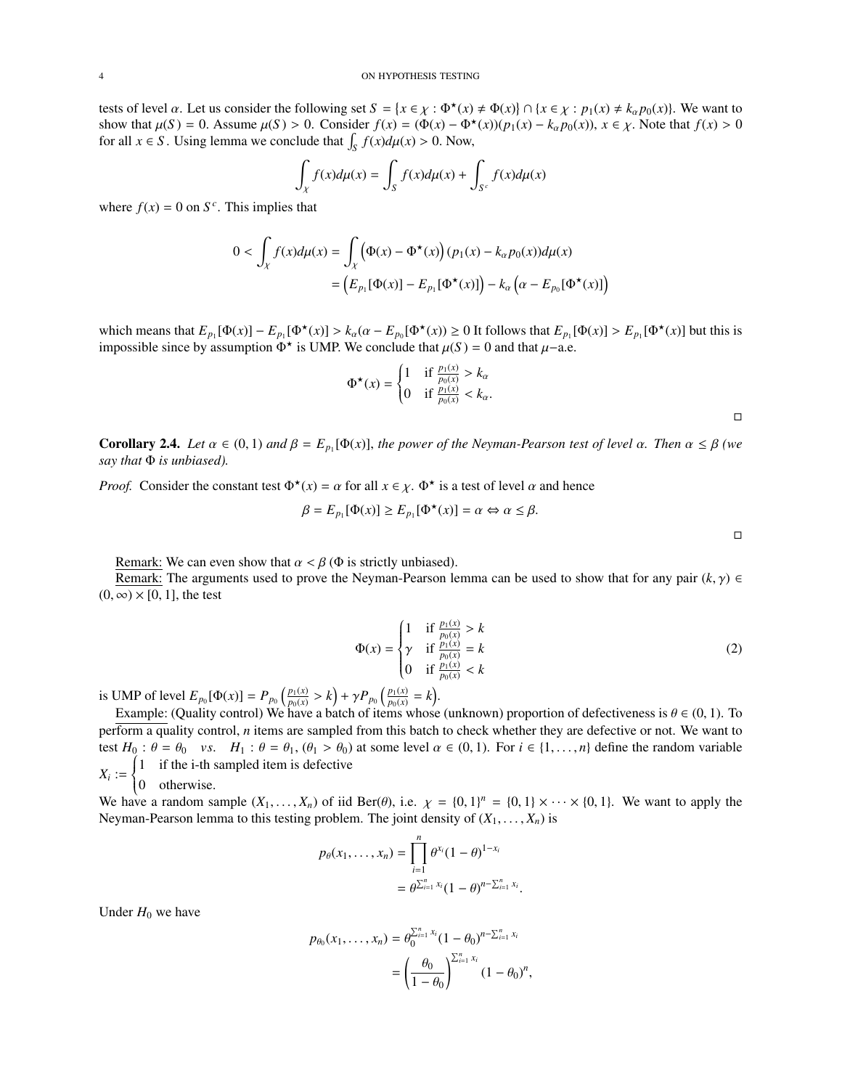tests of level  $\alpha$ . Let us consider the following set  $S = \{x \in \chi : \Phi^*(x) \neq \Phi(x)\} \cap \{x \in \chi : p_1(x) \neq k_\alpha p_0(x)\}$ . We want to show that  $\mu(S) = 0$ . Assume  $\mu(S) > 0$ . Consider  $f(x) = (\Phi(x) - \Phi^*(x))(p_1(x) - k)p_0(x))$ ,  $x \in \chi$ . Note that  $f$ show that  $\mu(S) = 0$ . Assume  $\mu(S) > 0$ . Consider  $f(x) = (\Phi(x) - \Phi^*(x))(p_1(x) - k_\alpha p_0(x))$ ,  $x \in \chi$ . Note that  $f(x) > 0$  for all  $x \in \chi$ . Ising lemma we conclude that  $\int f(x) du(x) > 0$ . Now for all  $x \in S$ . Using lemma we conclude that  $\int_{S} f(x) d\mu(x) > 0$ . Now,

$$
\int_{X} f(x) d\mu(x) = \int_{S} f(x) d\mu(x) + \int_{S^c} f(x) d\mu(x)
$$

where  $f(x) = 0$  on  $S^c$ . This implies that

$$
0 < \int_{\chi} f(x) d\mu(x) = \int_{\chi} \left( \Phi(x) - \Phi^{\star}(x) \right) (p_1(x) - k_{\alpha} p_0(x)) d\mu(x)
$$
\n
$$
= \left( E_{p_1}[\Phi(x)] - E_{p_1}[\Phi^{\star}(x)] \right) - k_{\alpha} \left( \alpha - E_{p_0}[\Phi^{\star}(x)] \right)
$$

which means that  $E_{p_1}[\Phi(x)] - E_{p_1}[\Phi^*(x)] > k_\alpha(\alpha - E_{p_0}[\Phi^*(x)) \ge 0$  It follows that  $E_{p_1}[\Phi(x)] > E_{p_1}[\Phi^*(x)]$  but this is impossible since by assumption  $\Phi^*$  is UMP. We conclude that  $\mu(S) = 0$  and that  $\mu$ –a.e.

$$
\Phi^{\star}(x) = \begin{cases} 1 & \text{if } \frac{p_1(x)}{p_0(x)} > k_{\alpha} \\ 0 & \text{if } \frac{p_1(x)}{p_0(x)} < k_{\alpha}. \end{cases}
$$

**Corollary 2.4.** *Let*  $\alpha \in (0, 1)$  *and*  $\beta = E_{p_1}[\Phi(x)]$ , *the power of the Neyman-Pearson test of level*  $\alpha$ *. Then*  $\alpha \leq \beta$  *(we* say that  $\Phi$  is unbiased) *say that* Φ *is unbiased).*

*Proof.* Consider the constant test  $\Phi^*(x) = \alpha$  for all  $x \in \chi$ .  $\Phi^*$  is a test of level  $\alpha$  and hence

$$
\beta = E_{p_1}[\Phi(x)] \ge E_{p_1}[\Phi^\star(x)] = \alpha \Leftrightarrow \alpha \le \beta.
$$

Remark: We can even show that  $\alpha < \beta$  ( $\Phi$  is strictly unbiased).

Remark: The arguments used to prove the Neyman-Pearson lemma can be used to show that for any pair  $(k, \gamma) \in$  $(0, \infty) \times [0, 1]$ , the test

$$
\Phi(x) = \begin{cases}\n1 & \text{if } \frac{p_1(x)}{p_0(x)} > k \\
\gamma & \text{if } \frac{p_1(x)}{p_0(x)} = k \\
0 & \text{if } \frac{p_1(x)}{p_0(x)} < k\n\end{cases}
$$
\n(2)

is UMP of level  $E_{p_0}[\Phi(x)] = P_{p_0}\left(\frac{p_1(x)}{p_0(x)}\right)$  $\frac{p_1(x)}{p_0(x)} > k$  + γ $P_{p_0} \left( \frac{p_1(x)}{p_0(x)} \right)$  $\frac{p_1(x)}{p_0(x)} = k$ .

Example: (Quality control) We have a batch of items whose (unknown) proportion of defectiveness is  $\theta \in (0, 1)$ . To  $\frac{1}{2}$  form a quality control, n items are sampled from this batch to check whether they are defective perform a quality control, *n* items are sampled from this batch to check whether they are defective or not. We want to test  $H_0: \theta = \theta_0$  *vs.*  $H_1: \theta = \theta_1$ ,  $(\theta_1 > \theta_0)$  at some level  $\alpha \in (0, 1)$ . For  $i \in \{1, ..., n\}$  define the random variable  $\begin{cases} 1 & \text{if the i-th sampled item is defective} \\ 0 & \text{otherwise} \end{cases}$ 

$$
X_i := \begin{cases} \text{if the real number} \\ 0 & \text{otherwise.} \end{cases}
$$
  
We have a random sequence

We have a random sample  $(X_1, \ldots, X_n)$  of iid Ber( $\theta$ ), i.e.  $\chi = \{0, 1\}^n = \{0, 1\} \times \cdots \times \{0, 1\}$ . We want to apply the Neyman-Pearson lemma to this testing problem. The joint density of  $(X_1, \ldots, X_n)$  is Neyman-Pearson lemma to this testing problem. The joint density of  $(X_1, \ldots, X_n)$  is

$$
p_{\theta}(x_1, ..., x_n) = \prod_{i=1}^n \theta^{x_i} (1 - \theta)^{1 - x_i}
$$
  
=  $\theta^{\sum_{i=1}^n x_i} (1 - \theta)^{n - \sum_{i=1}^n x_i}$ 

Under  $H_0$  we have

$$
p_{\theta_0}(x_1,\ldots,x_n) = \theta_0^{\sum_{i=1}^n x_i} (1-\theta_0)^{n-\sum_{i=1}^n x_i}
$$
  
= 
$$
\left(\frac{\theta_0}{1-\theta_0}\right)^{\sum_{i=1}^n x_i} (1-\theta_0)^n,
$$

 $\Box$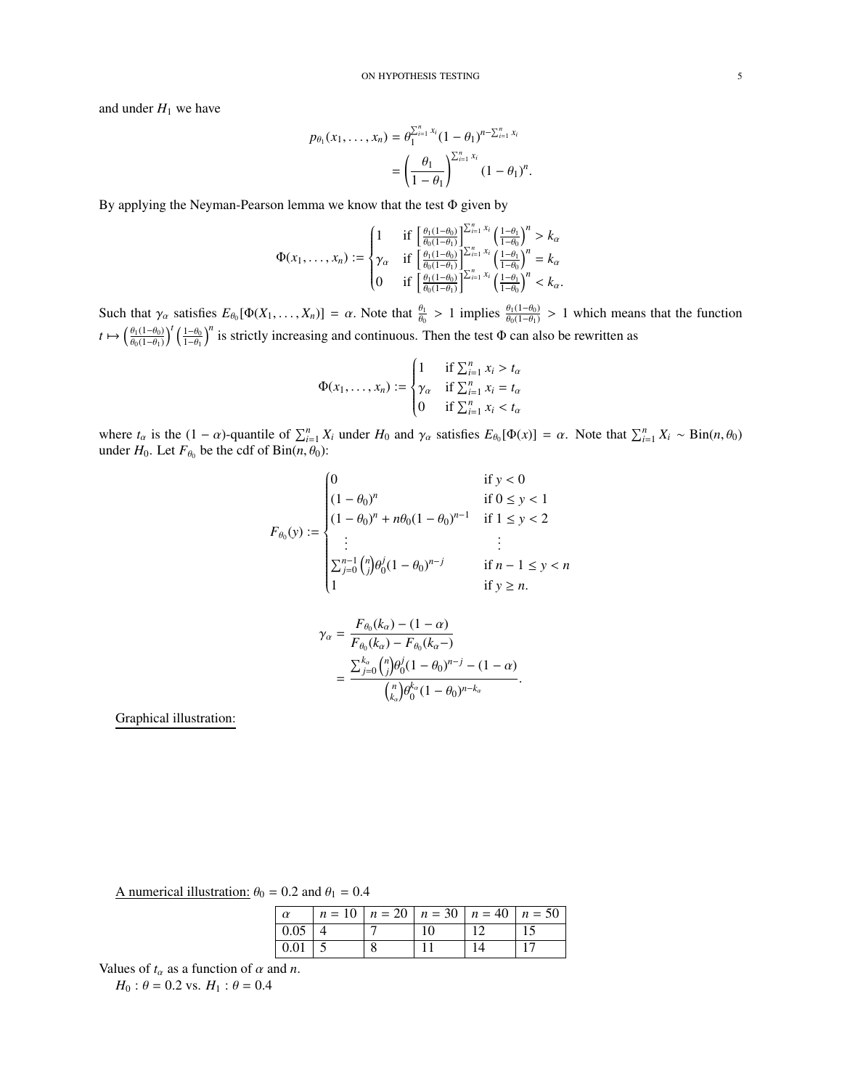and under  $H_1$  we have

$$
p_{\theta_1}(x_1,\ldots,x_n) = \theta_1^{\sum_{i=1}^n x_i} (1-\theta_1)^{n-\sum_{i=1}^n x_i}
$$
  
= 
$$
\left(\frac{\theta_1}{1-\theta_1}\right)^{\sum_{i=1}^n x_i} (1-\theta_1)^n.
$$

By applying the Neyman-Pearson lemma we know that the test Φ given by

$$
\Phi(x_1, ..., x_n) := \begin{cases} 1 & \text{if } \left[ \frac{\theta_1(1-\theta_0)}{\theta_0(1-\theta_1)} \right]_{i=1}^{\sum_{i=1}^n x_i} \left( \frac{1-\theta_1}{1-\theta_0} \right)^n > k_\alpha \\ \gamma_\alpha & \text{if } \left[ \frac{\theta_1(1-\theta_0)}{\theta_0(1-\theta_1)} \right]_{i=1}^{\sum_{i=1}^n x_i} \left( \frac{1-\theta_1}{1-\theta_0} \right)^n = k_\alpha \\ 0 & \text{if } \left[ \frac{\theta_1(1-\theta_0)}{\theta_0(1-\theta_1)} \right]_{i=1}^{\sum_{i=1}^n x_i} \left( \frac{1-\theta_1}{1-\theta_0} \right)^n < k_\alpha. \end{cases}
$$

Such that  $\gamma_{\alpha}$  satisfies  $E_{\theta_0}[\Phi(X_1, ..., X_n)] = \alpha$ . Note that  $\frac{\theta_1}{\theta_0} > 1$  implies  $\frac{\theta_1(1-\theta_0)}{\theta_0(1-\theta_1)} > 1$  which means that the function  $t \mapsto \left(\frac{\theta_1(1-\theta_0)}{\theta_0(1-\theta_0)}\right)$  $\theta_0(1-\theta_1)$  $\int^t \left( \frac{1-\theta_0}{1-\theta_1} \right)$  $\int_{0}^{n}$  is strictly increasing and continuous. Then the test  $\Phi$  can also be rewritten as

$$
\Phi(x_1, \dots, x_n) := \begin{cases}\n1 & \text{if } \sum_{i=1}^n x_i > t_\alpha \\
\gamma_\alpha & \text{if } \sum_{i=1}^n x_i = t_\alpha \\
0 & \text{if } \sum_{i=1}^n x_i < t_\alpha\n\end{cases}
$$

where  $t_{\alpha}$  is the  $(1 - \alpha)$ -quantile of  $\sum_{i=1}^{n} X_i$  under  $H_0$  and  $\gamma_{\alpha}$  satisfies  $E_{\theta_0}[\Phi(x)] = \alpha$ . Note that  $\sum_{i=1}^{n} X_i \sim \text{Bin}(n, \theta_0)$ under  $H_0$ . Let  $F_{\theta_0}$  be the cdf of  $\text{Bin}(n, \theta_0)$ :

$$
F_{\theta_0}(y) := \begin{cases} 0 & \text{if } y < 0 \\ (1 - \theta_0)^n & \text{if } 0 \le y < 1 \\ (1 - \theta_0)^n + n\theta_0 (1 - \theta_0)^{n-1} & \text{if } 1 \le y < 2 \\ \vdots & \vdots \\ \sum_{j=0}^{n-1} {n \choose j} \theta_0^j (1 - \theta_0)^{n-j} & \text{if } n - 1 \le y < n \\ 1 & \text{if } y \ge n. \end{cases}
$$

$$
\gamma_{\alpha} = \frac{F_{\theta_0}(k_{\alpha}) - (1 - \alpha)}{F_{\theta_0}(k_{\alpha}) - F_{\theta_0}(k_{\alpha} -)} \n= \frac{\sum_{j=0}^{k_{\alpha}} {n \choose j} \theta_0^j (1 - \theta_0)^{n-j} - (1 - \alpha)}{{n \choose k_{\alpha}} \theta_0^{k_{\alpha}} (1 - \theta_0)^{n-k_{\alpha}}}
$$

Graphical illustration:

A numerical illustration:  $\theta_0 = 0.2$  and  $\theta_1 = 0.4$ 

| $\alpha$           |  | $n = 10$   $n = 20$   $n = 30$   $n = 40$   $n = 50$ |  |
|--------------------|--|------------------------------------------------------|--|
| $\vert 0.05 \vert$ |  | 10                                                   |  |
| $ 0.01 $ 5         |  |                                                      |  |
|                    |  |                                                      |  |

Values of  $t_\alpha$  as a function of  $\alpha$  and  $n$ .

*H*<sub>0</sub> :  $\theta$  = 0.2 vs. *H*<sub>1</sub> :  $\theta$  = 0.4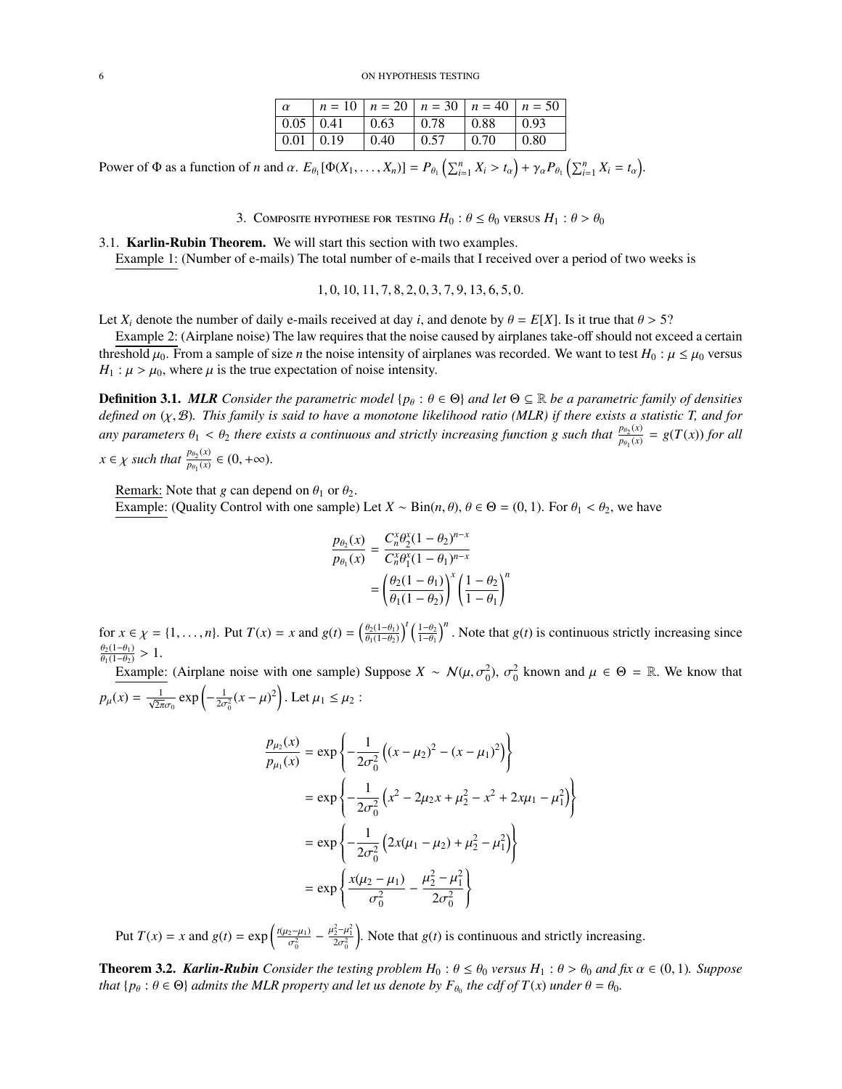| $\alpha$                | $n = 10$ $n = 20$ $n = 30$ $n = 40$ $n = 50$ |      |       |             |              |
|-------------------------|----------------------------------------------|------|-------|-------------|--------------|
| $\vert 0.05 \vert 0.41$ |                                              | 0.63 | 0.78  | $\pm 0.88$  | $\pm 0.93$   |
| $\vert 0.01 \vert 0.19$ |                                              | 0.40 | 10.57 | $\mid 0.70$ | $\vert 0.80$ |
|                         |                                              |      |       |             |              |

Power of  $\Phi$  as a function of *n* and  $\alpha$ .  $E_{\theta_1}[\Phi(X_1,\ldots,X_n)] = P_{\theta_1}\left(\sum_{i=1}^n X_i > t_\alpha\right) + \gamma_\alpha P_{\theta_1}\left(\sum_{i=1}^n X_i = t_\alpha\right)$ .

3. COMPOSITE HYPOTHESE FOR TESTING  $H_0: \theta \leq \theta_0$  versus  $H_1: \theta > \theta_0$ 

<span id="page-5-1"></span><span id="page-5-0"></span>3.1. Karlin-Rubin Theorem. We will start this section with two examples. Example 1: (Number of e-mails) The total number of e-mails that I received over a period of two weeks is

<sup>1</sup>, <sup>0</sup>, <sup>10</sup>, <sup>11</sup>, <sup>7</sup>, <sup>8</sup>, <sup>2</sup>, <sup>0</sup>, <sup>3</sup>, <sup>7</sup>, <sup>9</sup>, <sup>13</sup>, <sup>6</sup>, <sup>5</sup>, <sup>0</sup>.

Let  $X_i$  denote the number of daily e-mails received at day *i*, and denote by  $\theta = E[X]$ . Is it true that  $\theta > 5$ ?

Example 2: (Airplane noise) The law requires that the noise caused by airplanes take-off should not exceed a certain threshold  $\mu_0$ . From a sample of size *n* the noise intensity of airplanes was recorded. We want to test  $H_0: \mu \leq \mu_0$  versus  $H_1$ :  $\mu > \mu_0$ , where  $\mu$  is the true expectation of noise intensity.

**Definition 3.1.** *MLR* Consider the parametric model { $p_{\theta}$ :  $\theta \in \Theta$ } and let  $\Theta \subseteq \mathbb{R}$  be a parametric family of densities *defined on* (χ, <sup>B</sup>)*. This family is said to have a monotone likelihood ratio (MLR) if there exists a statistic T, and for any parameters*  $\theta_1 < \theta_2$  *there exists a continuous and strictly increasing function g such that*  $\frac{p_{\theta_2}(x)}{p_{\theta_1}(x)}$  $\frac{p_{\theta_2}(x)}{p_{\theta_1}(x)} = g(T(x))$  *for all*  $x \in \chi$  *such that*  $\frac{p_{\theta_2}(x)}{p_{\theta_1}(x)}$  $\frac{p_{\theta_2}(x)}{p_{\theta_1}(x)} \in (0, +\infty).$ 

Remark: Note that *g* can depend on  $\theta_1$  or  $\theta_2$ .

Example: (Quality Control with one sample) Let  $X \sim Bin(n, \theta)$ ,  $\theta \in \Theta = (0, 1)$ . For  $\theta_1 < \theta_2$ , we have

$$
\frac{p_{\theta_2}(x)}{p_{\theta_1}(x)} = \frac{C_n^x \theta_2^x (1 - \theta_2)^{n-x}}{C_n^x \theta_1^x (1 - \theta_1)^{n-x}} \n= \left(\frac{\theta_2 (1 - \theta_1)}{\theta_1 (1 - \theta_2)}\right)^x \left(\frac{1 - \theta_2}{1 - \theta_1}\right)^n
$$

for  $x \in \chi = \{1, ..., n\}$ . Put  $T(x) = x$  and  $g(t) = \left(\frac{\theta_2(1-\theta_1)}{\theta_1(1-\theta_2)}\right)$  $\overline{\theta_1(1-\theta_2)}$  $\int^t \left( \frac{1-\theta_2}{1-\theta_1} \right)$  $\int_0^n$ . Note that *g*(*t*) is continuous strictly increasing since  $\frac{\theta_2(1-\theta_1)}{\theta_1(1-\theta_2)}$  $\frac{\theta_2(1-\theta_1)}{\theta_1(1-\theta_2)} > 1.$  Example

Example: (Airplane noise with one sample) Suppose  $X \sim \mathcal{N}(\mu, \sigma_0^2)$ ,  $\sigma_0^2$  known and  $\mu \in \Theta = \mathbb{R}$ . We know that  $p_{\mu}(x) = \frac{1}{\sqrt{2\pi}\sigma_0}$  $\exp\left(-\frac{1}{2\sigma_0^2}(x-\mu)^2\right)$ . Let  $\mu_1 \le \mu_2$ :

$$
\frac{p_{\mu_2}(x)}{p_{\mu_1}(x)} = \exp\left\{-\frac{1}{2\sigma_0^2} \left( (x - \mu_2)^2 - (x - \mu_1)^2 \right) \right\}
$$
  
\n
$$
= \exp\left\{-\frac{1}{2\sigma_0^2} \left( x^2 - 2\mu_2 x + \mu_2^2 - x^2 + 2x\mu_1 - \mu_1^2 \right) \right\}
$$
  
\n
$$
= \exp\left\{-\frac{1}{2\sigma_0^2} \left( 2x(\mu_1 - \mu_2) + \mu_2^2 - \mu_1^2 \right) \right\}
$$
  
\n
$$
= \exp\left\{ \frac{x(\mu_2 - \mu_1)}{\sigma_0^2} - \frac{\mu_2^2 - \mu_1^2}{2\sigma_0^2} \right\}
$$

Put  $T(x) = x$  and  $g(t) = \exp\left(\frac{t(\mu_2 - \mu_1)}{c^2}\right)$  $\frac{1}{\sigma_0^2} - \frac{\mu_2^2 - \mu_1^2}{2\sigma_0^2}$ ). Note that  $g(t)$  is continuous and strictly increasing.

**Theorem 3.2.** *Karlin-Rubin Consider the testing problem*  $H_0: \theta \leq \theta_0$  *versus*  $H_1: \theta > \theta_0$  *and fix*  $\alpha \in (0,1)$ *. Suppose that*  $\{p_\theta : \theta \in \Theta\}$  *admits the MLR property and let us denote by*  $F_{\theta_0}$  *the cdf of*  $T(x)$  *under*  $\theta = \theta_0$ *.*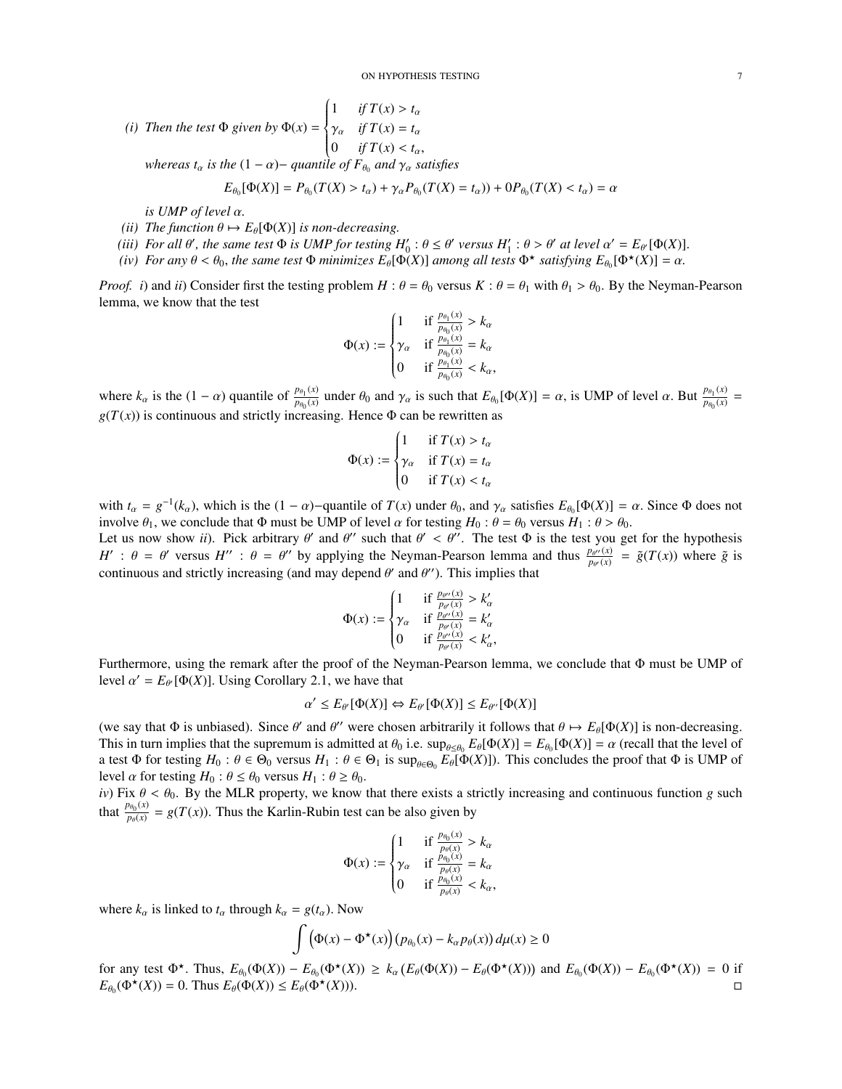(i) Then the test 
$$
\Phi
$$
 given by  $\Phi(x) = \begin{cases} 1 & \text{if } T(x) > t_{\alpha} \\ \gamma_{\alpha} & \text{if } T(x) = t_{\alpha} \\ 0 & \text{if } T(x) < t_{\alpha}, \end{cases}$   
\nwhereas  $t_{\alpha}$  is the  $(1 - \alpha) -$  quantile of  $F_{\theta_0}$  and  $\gamma_{\alpha}$  satisfies  
\n
$$
E_{\theta_0}[\Phi(X)] = P_{\theta_0}(T(X) > t_{\alpha}) + \gamma_{\alpha} P_{\theta_0}(T(X) = t_{\alpha})) + 0 P_{\theta_0}(T(X) < t_{\alpha}) = \alpha
$$

*is UMP of level* α*.*

- *(ii)* The function  $\theta \mapsto E_{\theta}[\Phi(X)]$  *is non-decreasing.*
- (*iii*) For all  $\theta'$ , the same test  $\Phi$  is UMP for testing  $H_0' : \theta \leq \theta'$  versus  $H_1' : \theta > \theta'$  at level  $\alpha' = E_{\theta'}[\Phi(X)]$ .<br>(*iv*) For any  $\theta < \theta_0$ , the same test  $\Phi$  minimizes  $E_{\phi}[\Phi(X)]$  among all tests  $\Phi^{\star}$  satis
- *(iv)* For any  $\theta < \theta_0$ , the same test  $\Phi$  *minimizes*  $E_{\theta}[\Phi(X)]$  *among all tests*  $\Phi^{\star}$  *satisfying*  $E_{\theta_0}[\Phi^{\star}(X)] = \alpha$ .

*Proof. i*) and *ii*) Consider first the testing problem  $H: \theta = \theta_0$  versus  $K: \theta = \theta_1$  with  $\theta_1 > \theta_0$ . By the Neyman-Pearson lemma, we know that the test

$$
\Phi(x) := \begin{cases} 1 & \text{if } \frac{p_{\theta_1}(x)}{p_{\theta_0}(x)} > k_\alpha \\ \gamma_\alpha & \text{if } \frac{p_{\theta_1}(x)}{p_{\theta_0}(x)} = k_\alpha \\ 0 & \text{if } \frac{p_{\theta_1}(x)}{p_{\theta_0}(x)} < k_\alpha, \end{cases}
$$

where  $k_{\alpha}$  is the  $(1 - \alpha)$  quantile of  $\frac{p_{\theta_1}(x)}{p_{\theta_0}(x)}$  $p_{\theta_0}(x)$  under  $\theta_0$  and  $\gamma_\alpha$  is such that  $E_{\theta_0}[\Phi(X)] = \alpha$ , is UMP of level  $\alpha$ . But  $\frac{p_{\theta_1}(x)}{p_{\theta_0}(x)}$  $\frac{p_{\theta_1}(x)}{p_{\theta_0}(x)}$  =  $g(T(x))$  is continuous and strictly increasing. Hence  $\Phi$  can be rewritten as

$$
\Phi(x) := \begin{cases}\n1 & \text{if } T(x) > t_{\alpha} \\
\gamma_{\alpha} & \text{if } T(x) = t_{\alpha} \\
0 & \text{if } T(x) < t_{\alpha}\n\end{cases}
$$

with  $t_{\alpha} = g^{-1}(k_{\alpha})$ , which is the  $(1 - \alpha)$ -quantile of  $T(x)$  under  $\theta_0$ , and  $\gamma_{\alpha}$  satisfies  $E_{\theta_0}[\Phi(X)] = \alpha$ . Since  $\Phi$  does not involve  $\theta_1$ , we conclude that  $\Phi$  must be UMP of level  $\alpha$  for testing  $H_0$ :  $\theta = \theta_0$  versus  $H_1$ :  $\theta > \theta_0$ . Let us now show *ii*). Pick arbitrary  $\theta'$  and  $\theta''$  such that  $\theta' < \theta''$ . The test  $\Phi$  is the test you  $H' : \theta = \theta'$  versus  $H'' : \theta = \theta''$  by applying the Neyman-Pearson lemma and thus  $\frac{P\theta''(x)}{P\theta'(x)}$  continuous and stri ' and  $\theta''$  such that  $\theta' < \theta''$ . The test  $\Phi$  is the test you get for the hypothesis<br>complying the Newman Bearson lemma and thus  $P^{\theta''(x)} = \tilde{\sigma}(T(x))$  where  $\tilde{\sigma}$  is  $\frac{p_{\theta''}(x)}{p_{\theta'}(x)} = \tilde{g}(T(x))$  where  $\tilde{g}$  is continuous and strictly increasing (and may depend  $\theta'$  and  $\theta'$ ). This implies that

$$
\Phi(x) := \begin{cases}\n1 & \text{if } \frac{p_{\theta'}(x)}{p_{\theta'}(x)} > k'_{\alpha} \\
\gamma_{\alpha} & \text{if } \frac{p_{\theta'}(x)}{p_{\theta'}(x)} = k'_{\alpha} \\
0 & \text{if } \frac{p_{\theta'}(x)}{p_{\theta'}(x)} < k'_{\alpha},\n\end{cases}
$$

Furthermore, using the remark after the proof of the Neyman-Pearson lemma, we conclude that Φ must be UMP of level  $\alpha' = E_{\theta'}[\Phi(X)]$ . Using Corollary 2.1, we have that

$$
\alpha' \le E_{\theta'}[\Phi(X)] \Leftrightarrow E_{\theta'}[\Phi(X)] \le E_{\theta''}[\Phi(X)]
$$

(we say that  $\Phi$  is unbiased). Since  $\theta'$  and  $\theta''$  were chosen arbitrarily it follows that  $\theta \mapsto E_{\theta}[\Phi(X)]$  is non-decreasing.<br>This in turn implies that the supremum is admitted at  $\theta_0$  i.e. suppose  $E_{\theta}[\Phi(X)] = E_{\theta}[\$ This in turn implies that the supremum is admitted at  $\theta_0$  i.e.  $\sup_{\theta \in \Theta_0} E_{\theta}[\Phi(X)] = E_{\theta_0}[\Phi(X)] = \alpha$  (recall that the level of a test  $\Phi$  for testing  $H_0 : \theta \in \Theta_0$  versus  $H_1 : \theta \in \Theta_0$  is sup a test  $\Phi$  for testing  $H_0: \theta \in \Theta_0$  versus  $H_1: \theta \in \Theta_1$  is  $\sup_{\theta \in \Theta_0} E_{\theta}[\Phi(X)]$ ). This concludes the proof that  $\Phi$  is UMP of level  $\alpha$  for testing  $H_2: \theta \leq \theta_0$  versus  $H_1: \theta \geq \theta_0$ level  $\alpha$  for testing  $H_0: \theta \leq \theta_0$  versus  $H_1: \theta \geq \theta_0$ .

*iv*) Fix  $\theta < \theta_0$ . By the MLR property, we know that there exists a strictly increasing and continuous function *g* such that  $\frac{p_{\theta_0}(x)}{p_0(x)}$  $p_{\theta}(\mathbf{x}) = g(T(\mathbf{x}))$ . Thus the Karlin-Rubin test can be also given by

$$
\Phi(x) := \begin{cases} 1 & \text{if } \frac{p_{\theta_0}(x)}{p_{\theta}(x)} > k_\alpha \\ \gamma_\alpha & \text{if } \frac{p_{\theta_0}(x)}{p_{\theta}(x)} = k_\alpha \\ 0 & \text{if } \frac{p_{\theta_0}(x)}{p_{\theta}(x)} < k_\alpha, \end{cases}
$$

where  $k_{\alpha}$  is linked to  $t_{\alpha}$  through  $k_{\alpha} = g(t_{\alpha})$ . Now

$$
\int (\Phi(x) - \Phi^{\star}(x)) (p_{\theta_0}(x) - k_{\alpha} p_{\theta}(x)) d\mu(x) \ge 0
$$

for any test  $\Phi^{\star}$ . Thus,  $E_{\theta_0}(\Phi(X)) - E_{\theta_0}(\Phi^{\star}(X)) \ge k_\alpha (E_{\theta}(\Phi(X)) - E_{\theta}(\Phi^{\star}(X)))$  and  $E_{\theta_0}(\Phi(X)) - E_{\theta_0}(\Phi^{\star}(X)) = 0$  if  $E_{\theta_0}(\Phi(X)) - 0$  Thus  $E_{\theta}(f(X)) \le E_{\theta}(\Phi^{\star}(X))$  $E_{\theta_0}(\Phi^{\star}(X)) = 0$ . Thus  $E_{\theta}(\Phi(X)) \leq E_{\theta}(\Phi^{\star})$ (*X*))).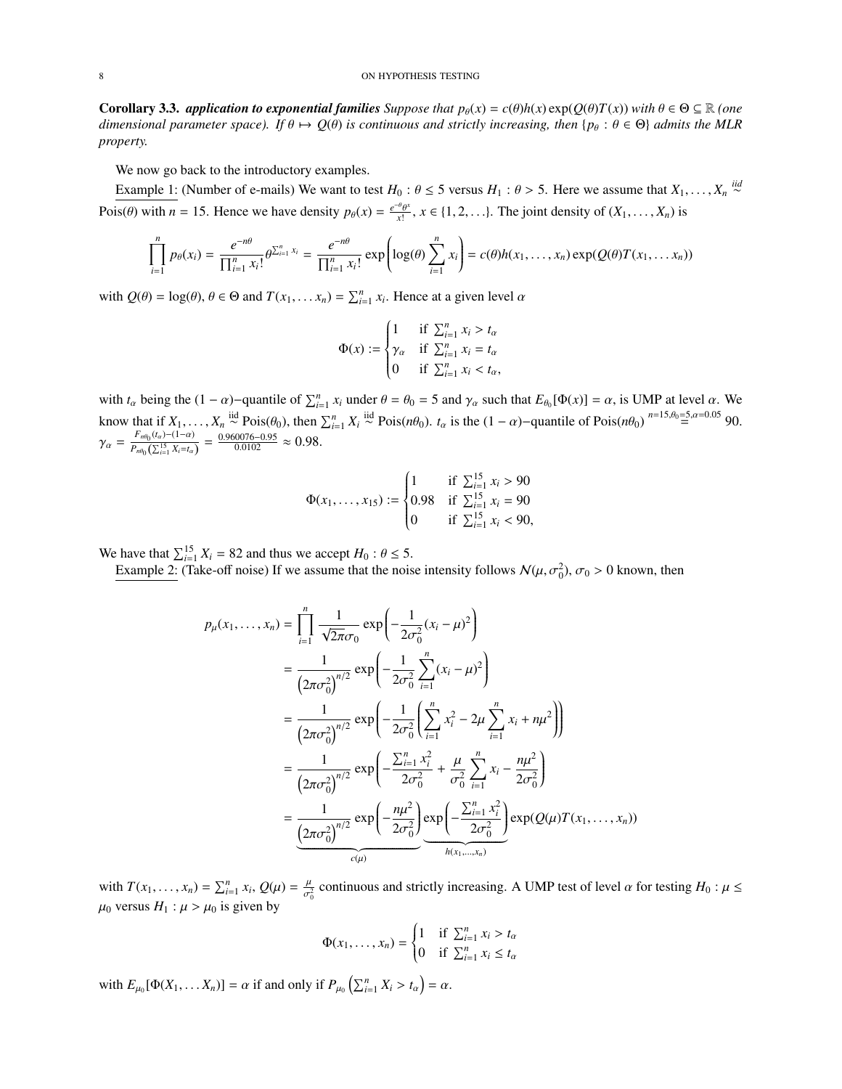**Corollary 3.3.** *application to exponential families Suppose that*  $p_{\theta}(x) = c(\theta)h(x) \exp(Q(\theta)T(x))$  *with*  $\theta \in \Theta \subseteq \mathbb{R}$  *(one dimensional parameter space). If*  $\theta \mapsto Q(\theta)$  *is continuous and strictly increasing, then* { $p_{\theta}$  :  $\theta \in \Theta$ } *admits the MLR property.*

We now go back to the introductory examples.

Example 1: (Number of e-mails) We want to test *H*<sub>0</sub> :  $\theta \le 5$  versus *H*<sub>1</sub> :  $\theta > 5$ . Here we assume that *X*<sub>1</sub>, ..., *X<sub>n</sub>*<sup>*iid*</sup> Pois( $\theta$ ) with *n* = 15. Hence we have density  $p_{\theta}(x) = \frac{e^{-\theta} \theta^x}{x!}$  $\frac{\partial u}{\partial x^{1}}$ ,  $x \in \{1, 2, \ldots\}$ . The joint density of  $(X_1, \ldots, X_n)$  is

$$
\prod_{i=1}^{n} p_{\theta}(x_i) = \frac{e^{-n\theta}}{\prod_{i=1}^{n} x_i!} \theta^{\sum_{i=1}^{n} x_i} = \frac{e^{-n\theta}}{\prod_{i=1}^{n} x_i!} \exp\left(\log(\theta) \sum_{i=1}^{n} x_i\right) = c(\theta)h(x_1, \dots, x_n) \exp(Q(\theta)T(x_1, \dots, x_n))
$$

with  $Q(\theta) = \log(\theta)$ ,  $\theta \in \Theta$  and  $T(x_1, \dots, x_n) = \sum_{i=1}^n x_i$ . Hence at a given level  $\alpha$ 

$$
\Phi(x) := \begin{cases}\n1 & \text{if } \sum_{i=1}^{n} x_i > t_\alpha \\
\gamma_\alpha & \text{if } \sum_{i=1}^{n} x_i = t_\alpha \\
0 & \text{if } \sum_{i=1}^{n} x_i < t_\alpha,\n\end{cases}
$$

with  $t_\alpha$  being the  $(1 - \alpha)$ -quantile of  $\sum_{i=1}^n x_i$  under  $\theta = \theta_0 = 5$  and  $\gamma_\alpha$  such that  $E_{\theta_0}[\Phi(x)] = \alpha$ , is UMP at level  $\alpha$ . We know that if  $X_1, \ldots, X_n \stackrel{\text{iid}}{\sim} \text{Pois}(\theta_0)$ , then  $\sum_{i=1}^n X_i \stackrel{\text{iid}}{\sim} \text{Pois}(n\theta_0)$ .  $t_\alpha$  is the  $(1-\alpha)$ -quantile of  $\text{Pois}(n\theta_0) \stackrel{n=15, \theta_0=5, \alpha=0.05}{=} 90$ .  $\gamma_{\alpha} = \frac{F_{n\theta_0}(t_{\alpha}) - (1-\alpha)}{P_{n\theta_0}(\sum_{i=1}^{15} X_i = t_{\alpha})}$  $\frac{F_{n\theta_0}(t_\alpha)-(1-\alpha)}{P_{n\theta_0}(\sum_{i=1}^{15}X_i=t_\alpha)}=\frac{0.960076-0.95}{0.0102}\approx 0.98.$ 

$$
\Phi(x_1, \dots, x_{15}) := \begin{cases}\n1 & \text{if } \sum_{i=1}^{15} x_i > 90 \\
0.98 & \text{if } \sum_{i=1}^{15} x_i = 90 \\
0 & \text{if } \sum_{i=1}^{15} x_i < 90,\n\end{cases}
$$

We have that  $\sum_{i=1}^{15} X_i = 82$  and thus we accept  $H_0: \theta \le 5$ .<br>Example 2: (Take-off poise) If we assume that the pois

Example 2: (Take-off noise) If we assume that the noise intensity follows  $\mathcal{N}(\mu, \sigma_0^2)$ ,  $\sigma_0 > 0$  known, then

$$
p_{\mu}(x_1,...,x_n) = \prod_{i=1}^n \frac{1}{\sqrt{2\pi}\sigma_0} \exp\left(-\frac{1}{2\sigma_0^2}(x_i - \mu)^2\right)
$$
  
\n
$$
= \frac{1}{(2\pi\sigma_0^2)^{n/2}} \exp\left(-\frac{1}{2\sigma_0^2} \sum_{i=1}^n (x_i - \mu)^2\right)
$$
  
\n
$$
= \frac{1}{(2\pi\sigma_0^2)^{n/2}} \exp\left(-\frac{1}{2\sigma_0^2} \left(\sum_{i=1}^n x_i^2 - 2\mu \sum_{i=1}^n x_i + n\mu^2\right)\right)
$$
  
\n
$$
= \frac{1}{(2\pi\sigma_0^2)^{n/2}} \exp\left(-\frac{\sum_{i=1}^n x_i^2}{2\sigma_0^2} + \frac{\mu}{\sigma_0^2} \sum_{i=1}^n x_i - \frac{n\mu^2}{2\sigma_0^2}\right)
$$
  
\n
$$
= \frac{1}{(2\pi\sigma_0^2)^{n/2}} \exp\left(-\frac{n\mu^2}{2\sigma_0^2}\right) \exp\left(-\frac{\sum_{i=1}^n x_i^2}{2\sigma_0^2}\right) \exp(Q(\mu)T(x_1,...,x_n))
$$

with  $T(x_1, ..., x_n) = \sum_{i=1}^n x_i$ ,  $Q(\mu) = \frac{\mu}{\sigma_i^2}$  $\frac{\mu}{\sigma_0^2}$  continuous and strictly increasing. A UMP test of level  $\alpha$  for testing  $H_0: \mu \leq$  $\mu_0$  versus  $H_1$  :  $\mu > \mu_0$  is given by

$$
\Phi(x_1,\ldots,x_n) = \begin{cases} 1 & \text{if } \sum_{i=1}^n x_i > t_\alpha \\ 0 & \text{if } \sum_{i=1}^n x_i \le t_\alpha \end{cases}
$$

with  $E_{\mu_0}[\Phi(X_1, \dots X_n)] = \alpha$  if and only if  $P_{\mu_0}\left(\sum_{i=1}^n X_i > t_\alpha\right) = \alpha$ .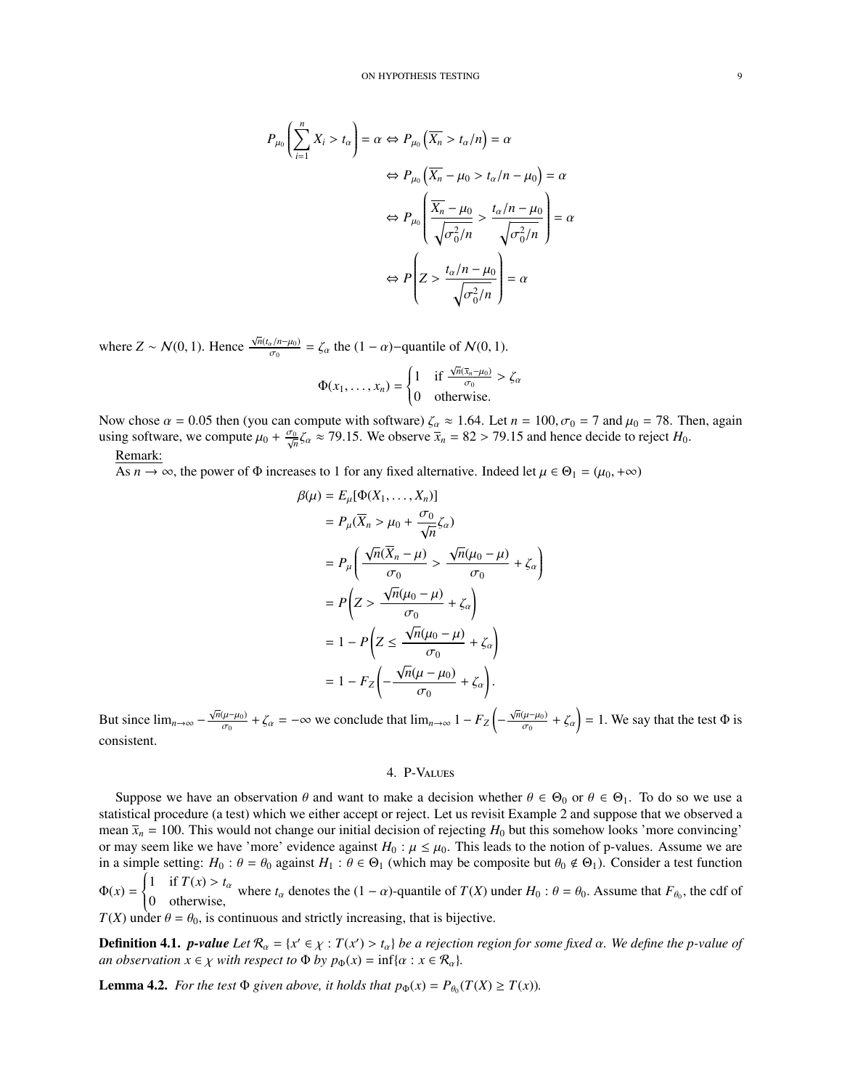$$
P_{\mu_0} \left( \sum_{i=1}^n X_i > t_\alpha \right) = \alpha \Leftrightarrow P_{\mu_0} \left( \overline{X_n} > t_\alpha/n \right) = \alpha
$$
\n
$$
\Leftrightarrow P_{\mu_0} \left( \overline{X_n} - \mu_0 > t_\alpha/n - \mu_0 \right) = \alpha
$$
\n
$$
\Leftrightarrow P_{\mu_0} \left( \frac{\overline{X_n} - \mu_0}{\sqrt{\sigma_0^2/n}} > \frac{t_\alpha/n - \mu_0}{\sqrt{\sigma_0^2/n}} \right) = \alpha
$$
\n
$$
\Leftrightarrow P \left( Z > \frac{t_\alpha/n - \mu_0}{\sqrt{\sigma_0^2/n}} \right) = \alpha
$$

where  $Z \sim \mathcal{N}(0, 1)$ . Hence  $\frac{\sqrt{n}(t_a/n-\mu_0)}{\sigma_0}$  $\frac{\alpha_1}{\sigma_0} = \zeta_\alpha$  the  $(1 - \alpha)$ -quantile of  $\mathcal{N}(0, 1)$ .

$$
\Phi(x_1,\ldots,x_n) = \begin{cases} 1 & \text{if } \frac{\sqrt{n}(\bar{x}_n-\mu_0)}{\sigma_0} > \zeta_\alpha \\ 0 & \text{otherwise.} \end{cases}
$$

Now chose  $\alpha = 0.05$  then (you can compute with software)  $\zeta_{\alpha} \approx 1.64$ . Let  $n = 100$ ,  $\sigma_0 = 7$  and  $\mu_0 = 78$ . Then, again using software, we compute  $\mu_0 + \frac{\sigma_0}{\sqrt{n}} \zeta_\alpha \approx 79.15$ . We observe  $\overline{x}_n = 82 > 79.15$  and hence decide to reject  $H_0$ . Remark:

As  $n \to \infty$ , the power of  $\Phi$  increases to 1 for any fixed alternative. Indeed let  $\mu \in \Theta_1 = (\mu_0, +\infty)$ 

$$
\beta(\mu) = E_{\mu}[\Phi(X_1, ..., X_n)]
$$
  
\n
$$
= P_{\mu}(\overline{X}_n > \mu_0 + \frac{\sigma_0}{\sqrt{n}}\zeta_\alpha)
$$
  
\n
$$
= P_{\mu}\left(\frac{\sqrt{n}(\overline{X}_n - \mu)}{\sigma_0} > \frac{\sqrt{n}(\mu_0 - \mu)}{\sigma_0} + \zeta_\alpha\right)
$$
  
\n
$$
= P\left(Z > \frac{\sqrt{n}(\mu_0 - \mu)}{\sigma_0} + \zeta_\alpha\right)
$$
  
\n
$$
= 1 - P\left(Z \le \frac{\sqrt{n}(\mu_0 - \mu)}{\sigma_0} + \zeta_\alpha\right)
$$
  
\n
$$
= 1 - F_Z\left(-\frac{\sqrt{n}(\mu - \mu_0)}{\sigma_0} + \zeta_\alpha\right).
$$

But since  $\lim_{n\to\infty} -\frac{\sqrt{n}(\mu-\mu_0)}{\sigma_0}$  $\zeta_{\sigma_0}(\mu-\mu_0) + \zeta_\alpha = -\infty$  we conclude that  $\lim_{n \to \infty} 1 - F_Z \left( -\frac{\sqrt{n}(\mu-\mu_0)}{\sigma_0} \right)$  $\left(\frac{\mu-\mu_0}{\sigma_0} + \zeta_\alpha\right) = 1$ . We say that the test  $\Phi$  is consistent.

## 4. P-Values

<span id="page-8-0"></span>Suppose we have an observation  $\theta$  and want to make a decision whether  $\theta \in \Theta_0$  or  $\theta \in \Theta_1$ . To do so we use a statistical procedure (a test) which we either accept or reject. Let us revisit Example 2 and suppose that we observed a mean  $\bar{x}_n = 100$ . This would not change our initial decision of rejecting  $H_0$  but this somehow looks 'more convincing' or may seem like we have 'more' evidence against  $H_0: \mu \leq \mu_0$ . This leads to the notion of p-values. Assume we are in a simple setting:  $H_0: \theta = \theta_0$  against  $H_1: \theta \in \Theta_1$  (which may be composite but  $\theta_0 \notin \Theta_1$ ). Consider a test function  $\Phi(x) =$  $\left\{ \right.$  $\overline{\mathcal{L}}$ 1 if *T*(*x*) > *t*<sub>α</sub> where *t*<sub>α</sub> denotes the (1 − α)-quantile of *T*(*X*) under *H*<sub>0</sub> :  $θ = θ$ <sub>0</sub>. Assume that  $F_{θ_0}$ , the cdf of otherwise,

 $T(X)$  under  $\theta = \theta_0$ , is continuous and strictly increasing, that is bijective.

**Definition 4.1.** *p-value Let*  $\mathcal{R}_{\alpha} = \{x' \in \chi : T(x') > t_{\alpha}\}$  *be a rejection region for some fixed*  $\alpha$ *. We define the p-value of* an observation  $x \in \chi$  with respect to  $\Phi$  by  $n_{\epsilon}(x) = \inf{\alpha : x \in \mathcal{R}}$  *\ an observation*  $x \in \chi$  *with respect to*  $\Phi$  *by*  $p_{\Phi}(x) = \inf{\alpha : x \in \mathcal{R}_{\alpha}}$ *.* 

**Lemma 4.2.** *For the test*  $\Phi$  *given above, it holds that*  $p_{\Phi}(x) = P_{\theta_0}(T(X) \ge T(x))$ *.*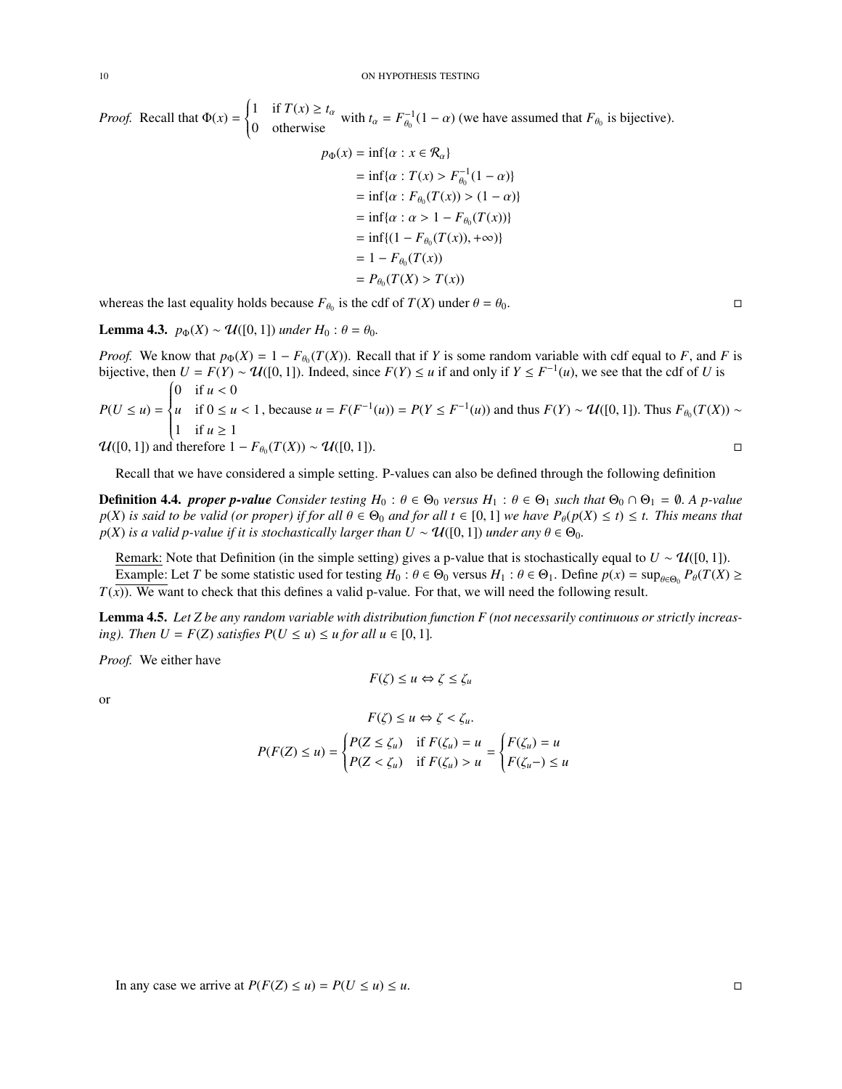*Proof.* Recall that  $\Phi(x) =$  $\left\{ \right.$  $\overline{\mathcal{L}}$ 1 if  $T(x) \ge t_\alpha$ <sup>1</sup> If  $I(x) \leq t_\alpha$  with  $t_\alpha = F_{\theta_0}^{-1}$ <br>
0 otherwise  $\theta_0^{-1}(1-\alpha)$  (we have assumed that  $F_{\theta_0}$  is bijective).

$$
b(x) = \inf{\alpha : x \in \mathcal{R}_{\alpha}}
$$
  
=  $\inf{\alpha : T(x) > F_{\theta_0}^{-1}(1 - \alpha)}$   
=  $\inf{\alpha : F_{\theta_0}(T(x)) > (1 - \alpha)}$   
=  $\inf{\alpha : \alpha > 1 - F_{\theta_0}(T(x))}$   
=  $\inf{\{1 - F_{\theta_0}(T(x)), +\infty\}}$   
=  $1 - F_{\theta_0}(T(x))$   
=  $P_{\theta_0}(T(X) > T(x))$ 

whereas the last equality holds because  $F_{\theta_0}$  is the cdf of  $T(X)$  under  $\theta = \theta_0$ .

**Lemma 4.3.**  $p_{\Phi}(X) \sim \mathcal{U}([0, 1])$  *under*  $H_0 : \theta = \theta_0$ .

*Proof.* We know that  $p_{\Phi}(X) = 1 - F_{\theta_0}(T(X))$ . Recall that if *Y* is some random variable with cdf equal to *F*, and *F* is bijective than  $U = F(Y) - qU(0, 1)$ . Indeed, since  $F(Y) \leq u$  if and only if  $Y \leq F^{-1}(u)$ , we see that bijective, then  $U = F(Y) \sim U([0, 1])$ . Indeed, since  $F(Y) \le u$  if and only if  $Y \le F^{-1}(u)$ , we see that the cdf of *U* is 0 if  $u < 0$ 

 $P(U \le u) =$  $\int$  $\overline{\mathcal{L}}$ *u* if 0 ≤ *u* < 1<br>
1 if *u* ≥ 1 , because *u* = *F*(*F*<sup>-1</sup>(*u*)) = *P*(*Y* ≤ *F*<sup>-1</sup>(*u*)) and thus *F*(*Y*) ∼  $\mathcal{U}([0, 1])$ . Thus  $F_{\theta_0}(T(X))$  ∼

 $\mathcal{U}([0, 1])$  and therefore  $1 - F_{\theta_0}(T(X)) \sim \mathcal{U}([0, 1]).$  $(T(X)) \sim U([0,1]).$ 

Recall that we have considered a simple setting. P-values can also be defined through the following definition

**Definition 4.4.** *proper p-value* Consider testing  $H_0: \theta \in \Theta_0$  versus  $H_1: \theta \in \Theta_1$  such that  $\Theta_0 \cap \Theta_1 = \emptyset$ . A p-value  $p(X)$  *is said to be valid (or proper) if for all*  $\theta \in \Theta_0$  *and for all*  $t \in [0,1]$  *we have*  $P_\theta(p(X) \le t) \le t$ *. This means that p*(*X*) *is a valid p-value if it is stochastically larger than*  $U \sim \mathcal{U}([0, 1])$  *<i>under any*  $\theta \in \Theta_0$ *.* 

Remark: Note that Definition (in the simple setting) gives a p-value that is stochastically equal to  $U \sim \mathcal{U}([0, 1])$ . Example: Let *T* be some statistic used for testing  $H_0: \theta \in \Theta_0$  versus  $H_1: \theta \in \Theta_1$ . Define  $p(x) = \sup_{\theta \in \Theta_0} P_{\theta}(T(X) \ge$  $T(\overline{x})$ ). We want to check that this defines a valid p-value. For that, we will need the following result.

Lemma 4.5. *Let Z be any random variable with distribution function F (not necessarily continuous or strictly increasing*). Then  $U = F(Z)$  *satisfies*  $P(U \le u) \le u$  *for all*  $u \in [0, 1]$ *.* 

*Proof.* We either have

$$
F(\zeta) \le u \Leftrightarrow \zeta \le \zeta_u
$$

or

$$
F(\zeta) \le u \Leftrightarrow \zeta < \zeta_u.
$$
\n
$$
P(F(Z) \le u) = \begin{cases} P(Z \le \zeta_u) & \text{if } F(\zeta_u) = u \\ P(Z < \zeta_u) & \text{if } F(\zeta_u) > u \end{cases} = \begin{cases} F(\zeta_u) = u \\ F(\zeta_u -) \le u \end{cases}
$$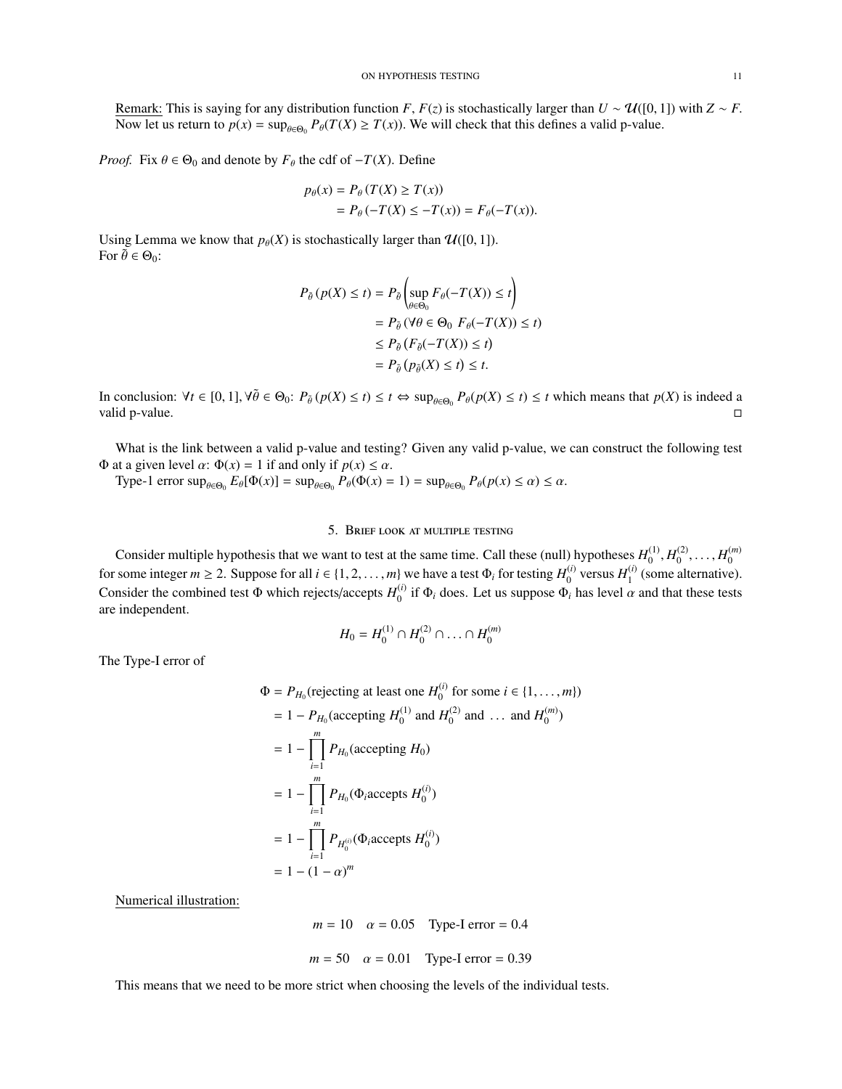Remark: This is saying for any distribution function *F*,  $F(z)$  is stochastically larger than  $U \sim \mathcal{U}([0, 1])$  with  $Z \sim F$ . Now let us return to  $p(x) = \sup_{\theta \in \Theta_0} P_{\theta}(T(X) \ge T(x))$ . We will check that this defines a valid p-value.

*Proof.* Fix  $\theta \in \Theta_0$  and denote by  $F_\theta$  the cdf of  $-T(X)$ . Define

$$
p_{\theta}(x) = P_{\theta}(T(X) \ge T(x))
$$
  
=  $P_{\theta}(-T(X) \le -T(x)) = F_{\theta}(-T(x)).$ 

Using Lemma we know that  $p_{\theta}(X)$  is stochastically larger than  $\mathcal{U}([0, 1])$ . For  $\tilde{\theta} \in \Theta_0$ :

$$
P_{\tilde{\theta}}(p(X) \le t) = P_{\tilde{\theta}}\left(\sup_{\theta \in \Theta_0} F_{\theta}(-T(X)) \le t\right)
$$
  
=  $P_{\tilde{\theta}}(\forall \theta \in \Theta_0 \ F_{\theta}(-T(X)) \le t)$   
 $\le P_{\tilde{\theta}}(F_{\tilde{\theta}}(-T(X)) \le t)$   
=  $P_{\tilde{\theta}}(p_{\tilde{\theta}}(X) \le t) \le t$ .

In conclusion:  $\forall t \in [0, 1]$ ,  $\forall \theta \in \Theta_0$ :  $P_{\theta}(p(X) \le t) \le t \Leftrightarrow \sup_{\theta \in \Theta_0} P_{\theta}(p(X) \le t) \le t$  which means that  $p(X)$  is indeed a valid p-value valid p-value.  $\Box$ 

What is the link between a valid p-value and testing? Given any valid p-value, we can construct the following test <sup>Φ</sup> at a given level α: <sup>Φ</sup>(*x*) <sup>=</sup> 1 if and only if *<sup>p</sup>*(*x*) <sup>≤</sup> α.

Type-1 error  $\sup_{\theta \in \Theta_0} E_{\theta}[\Phi(x)] = \sup_{\theta \in \Theta_0} P_{\theta}(\Phi(x) = 1) = \sup_{\theta \in \Theta_0} P_{\theta}(p(x) \le \alpha) \le \alpha$ .

## 5. Brief look at multiple testing

<span id="page-10-0"></span>Consider multiple hypothesis that we want to test at the same time. Call these (null) hypotheses  $H_0^{(1)}$  $H_0^{(1)}$ ,  $H_0^{(2)}$  $h_0^{(2)}, \ldots, H_0^{(m)}$  $\boldsymbol{0}$ for some integer  $m \ge 2$ . Suppose for all  $i \in \{1, 2, ..., m\}$  we have a test  $\Phi_i$  for testing  $H_0^{(i)}$ .<br>Consider the combined test  $\Phi$  which misstakes and  $H^{(i)}$  is  $\Phi$ , does I at us suppose  $\Phi$ .  $\theta_0^{(i)}$  versus  $H_1^{(i)}$  $_1^{(1)}$  (some alternative). Consider the combined test  $\Phi$  which rejects/accepts  $H_0^{(i)}$ <sup>(*t*)</sup> if  $\Phi$ <sub>*i*</sub> does. Let us suppose  $\Phi$ <sub>*i*</sub> has level  $\alpha$  and that these tests are independent.

$$
H_0 = H_0^{(1)} \cap H_0^{(2)} \cap \ldots \cap H_0^{(m)}
$$

The Type-I error of

$$
\Phi = P_{H_0}(\text{rejecting at least one } H_0^{(i)} \text{ for some } i \in \{1, ..., m\})
$$
\n
$$
= 1 - P_{H_0}(\text{accepting } H_0^{(1)} \text{ and } H_0^{(2)} \text{ and } ... \text{ and } H_0^{(m)})
$$
\n
$$
= 1 - \prod_{i=1}^m P_{H_0}(\text{accepting } H_0)
$$
\n
$$
= 1 - \prod_{i=1}^m P_{H_0}(\Phi_i \text{accepts } H_0^{(i)})
$$
\n
$$
= 1 - \prod_{i=1}^m P_{H_0^{(i)}}(\Phi_i \text{accepts } H_0^{(i)})
$$
\n
$$
= 1 - (1 - \alpha)^m
$$

Numerical illustration:

```
m = 10  \alpha = 0.05  Type-I error = 0.4
m = 50  \alpha = 0.01  Type-I error = 0.39
```
This means that we need to be more strict when choosing the levels of the individual tests.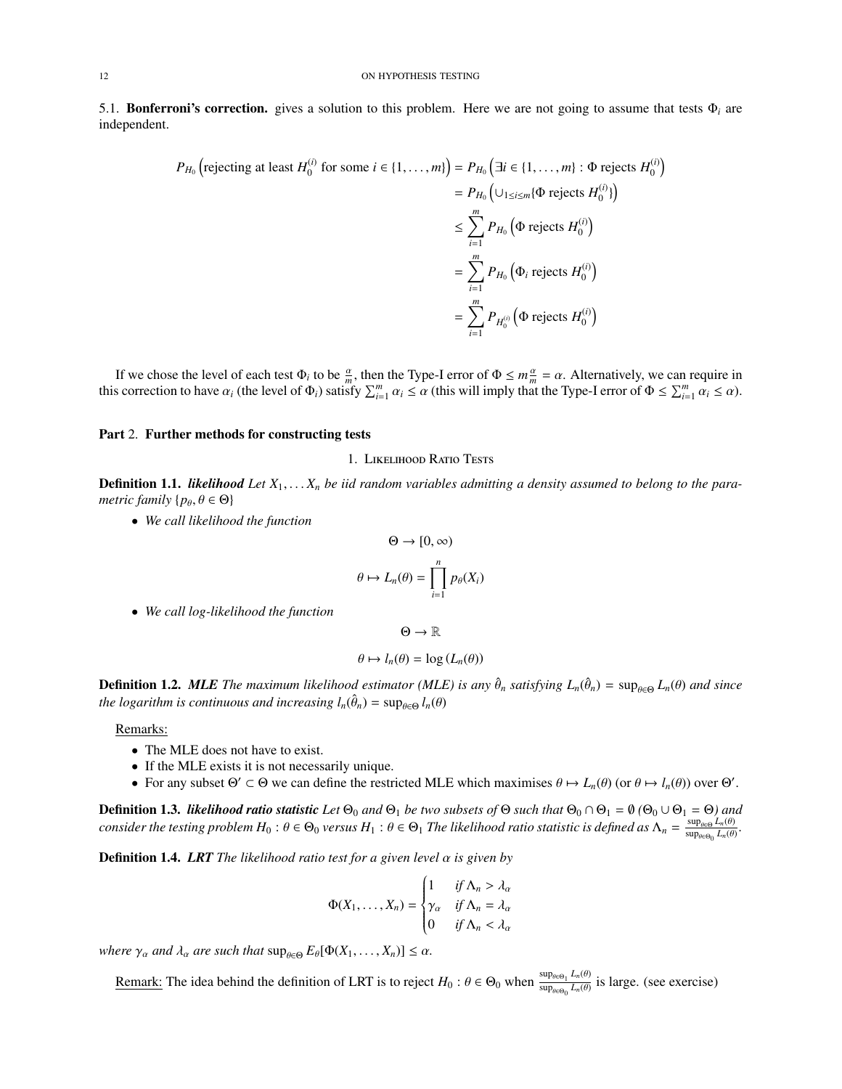<span id="page-11-0"></span>5.1. Bonferroni's correction. gives a solution to this problem. Here we are not going to assume that tests Φ*<sup>i</sup>* are independent.

$$
P_{H_0}\left(\text{rejecting at least } H_0^{(i)} \text{ for some } i \in \{1, \dots, m\}\right) = P_{H_0}\left(\exists i \in \{1, \dots, m\} : \Phi \text{ rejects } H_0^{(i)}\right)
$$
  
\n
$$
= P_{H_0}\left(\cup_{1 \le i \le m} \{\Phi \text{ rejects } H_0^{(i)}\}\right)
$$
  
\n
$$
\le \sum_{i=1}^m P_{H_0}\left(\Phi \text{ rejects } H_0^{(i)}\right)
$$
  
\n
$$
= \sum_{i=1}^m P_{H_0}\left(\Phi_i \text{ rejects } H_0^{(i)}\right)
$$
  
\n
$$
= \sum_{i=1}^m P_{H_0^{(i)}}\left(\Phi \text{ rejects } H_0^{(i)}\right)
$$

If we chose the level of each test  $\Phi_i$  to be  $\frac{a}{m}$ , then the Type-I error of  $\Phi \le m\frac{a}{m} = \alpha$ . Alternatively, we can require in<br>a correction to bave  $\alpha$ , (the level of  $\Phi_i$ ) satisfy  $\nabla^m \cdot \alpha_i \le \alpha$  (this will im this correction to have  $\alpha_i$  (the level of  $\Phi_i$ ) satisfy  $\sum_{i=1}^m \alpha_i \le \alpha$  (this will imply that the Type-I error of  $\Phi \le \sum_{i=1}^m \alpha_i \le \alpha$ ).

## <span id="page-11-2"></span><span id="page-11-1"></span>Part 2. Further methods for constructing tests

### 1. Likelihood Ratio Tests

**Definition 1.1.** *likelihood* Let  $X_1, \ldots, X_n$  be iid random variables admitting a density assumed to belong to the para*metric family*  $\{p_{\theta}, \theta \in \Theta\}$ 

• *We call likelihood the function*

$$
\Theta \to [0, \infty)
$$

$$
\theta \mapsto L_n(\theta) = \prod_{i=1}^n p_{\theta}(X_i)
$$

• *We call log-likelihood the function*

$$
\Theta\to\mathbb{R}
$$

$$
\theta \mapsto l_n(\theta) = \log \left( L_n(\theta) \right)
$$

**Definition 1.2.** MLE The maximum likelihood estimator (MLE) is any  $\hat{\theta}_n$  satisfying  $L_n(\hat{\theta}_n) = \sup_{\theta \in \Theta} L_n(\theta)$  and since the logarithm is continuous and increasing  $L(\hat{\theta}) = \sup_{\theta \in \Theta} L(\theta)$ *the logarithm is continuous and increasing*  $l_n(\hat{\theta}_n) = \sup_{\theta \in \Theta} l_n(\theta)$ 

Remarks:

- The MLE does not have to exist.
- If the MLE exists it is not necessarily unique.
- For any subset  $\Theta' \subset \Theta$  we can define the restricted MLE which maximises  $\theta \mapsto L_n(\theta)$  (or  $\theta \mapsto l_n(\theta)$ ) over  $\Theta'$ .

**Definition 1.3.** *likelihood ratio statistic Let*  $\Theta_0$  *and*  $\Theta_1$  *be two subsets of*  $\Theta$  *such that*  $\Theta_0 \cap \Theta_1 = \emptyset$   $(\Theta_0 \cup \Theta_1 = \Theta)$  *and*  $f(x) = f(x)$  *consider the testing problem*  $H_0: \theta \in \Theta_0$  *versus*  $H_1: \theta \in \Theta_1$  *The likelihood ratio statistic is defined as*  $\Lambda_n = \frac{\sup_{\theta \in \Theta} L_n(\theta)}{\sup_{\theta \in \Theta_0} L_n(\theta)}$ .

Definition 1.4. *LRT The likelihood ratio test for a given level* α *is given by*

$$
\Phi(X_1,\ldots,X_n) = \begin{cases} 1 & \text{if } \Lambda_n > \lambda_\alpha \\ \gamma_\alpha & \text{if } \Lambda_n = \lambda_\alpha \\ 0 & \text{if } \Lambda_n < \lambda_\alpha \end{cases}
$$

*where*  $\gamma_{\alpha}$  *and*  $\lambda_{\alpha}$  *are such that*  $\sup_{\theta \in \Theta} E_{\theta}[\Phi(X_1, \dots, X_n)] \leq \alpha$ *.* 

Remark: The idea behind the definition of LRT is to reject  $H_0: \theta \in \Theta_0$  when  $\frac{\sup_{\theta \in \Theta_1} L_n(\theta)}{\sup_{\theta \in \Theta_0} L_n(\theta)}$  is large. (see exercise)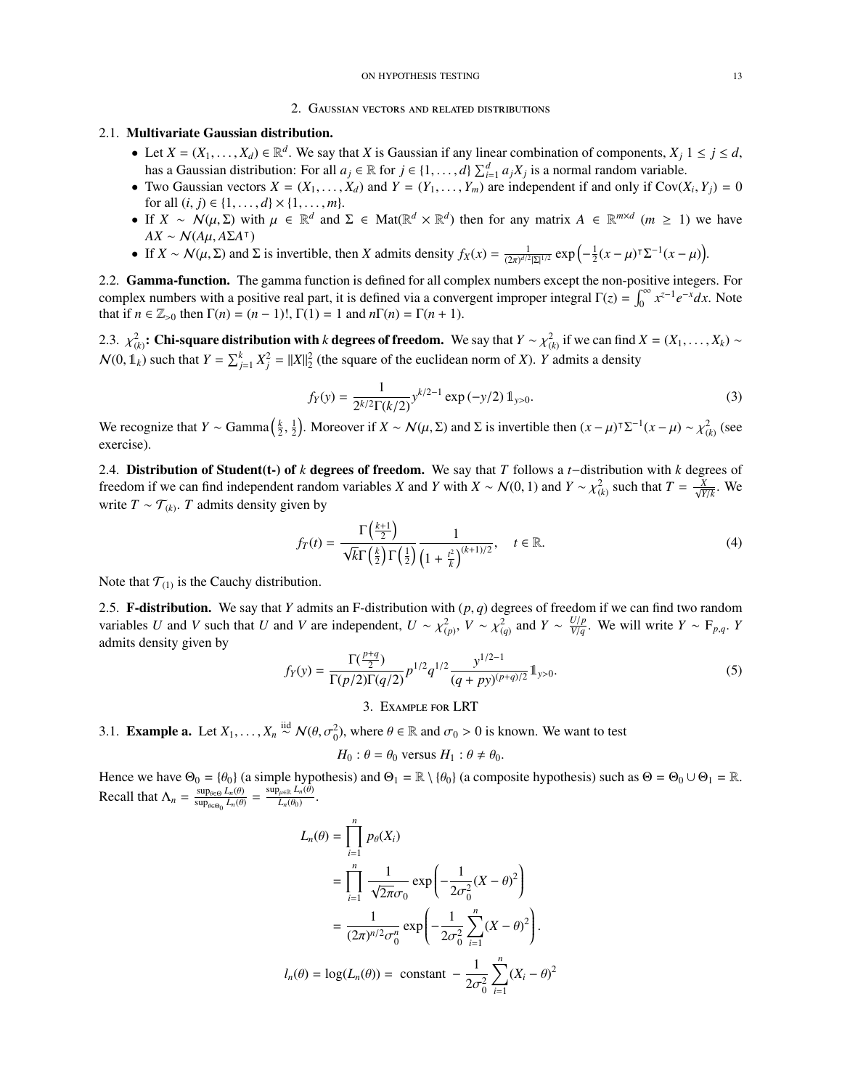#### ON HYPOTHESIS TESTING 13

#### 2. Gaussian vectors and related distributions

## <span id="page-12-1"></span><span id="page-12-0"></span>2.1. Multivariate Gaussian distribution.

- Let  $X = (X_1, \ldots, X_d) \in \mathbb{R}^d$ . We say that *X* is Gaussian if any linear combination of components,  $X_j$  1  $\leq j \leq d$ , has a Gaussian distribution: For all  $a_j \in \mathbb{R}$  for  $j \in \{1, ..., d\}$   $\sum_{i=1}^d a_j X_j$  is a normal random variable.<br>Two Gaussian vectors  $X = (X, ..., X)$  and  $Y = (Y, ..., Y)$  are independent if and only if  $Cov(1)$
- Two Gaussian vectors  $X = (X_1, \ldots, X_d)$  and  $Y = (Y_1, \ldots, Y_m)$  are independent if and only if  $Cov(X_i, Y_j) = 0$  for all  $(i, j) \in \{1, \ldots, d\} \times \{1, \ldots, m\}$ for all  $(i, j) \in \{1, ..., d\} \times \{1, ..., m\}.$
- If *X* ∼ N(μ, Σ) with  $\mu \in \mathbb{R}^d$  and  $\Sigma \in \text{Mat}(\mathbb{R}^d \times \mathbb{R}^d)$  then for any matrix  $A \in \mathbb{R}^{m \times d}$  (*m* ≥ 1) we have  $\Delta Y \sim N(d\mu \Delta \Sigma \Delta T)$  $AX \sim N(A\mu, A\Sigma A^{\dagger})$ <br>If  $Y \sim M(\mu, \Sigma)$  and
- If  $X \sim \mathcal{N}(\mu, \Sigma)$  and  $\Sigma$  is invertible, then *X* admits density  $f_X(x) = \frac{1}{(2\pi)^{d/2} |\Sigma|^{1/2}} \exp\left(-\frac{1}{2}(x \mu)^{\top} \Sigma^{-1}(x \mu)\right)$ .

<span id="page-12-2"></span>2.2. Gamma-function. The gamma function is defined for all complex numbers except the non-positive integers. For complex numbers with a positive real part, it is defined via a convergent improper integral  $\Gamma(z) = \int_0^\infty x^{z-1} e^{-x} dx$ . Note that if  $n \in \mathbb{Z}_{>0}$  then  $\Gamma(n) = (n-1)!$ ,  $\Gamma(1) = 1$  and  $n\Gamma(n) = \Gamma(n+1)$ .

<span id="page-12-3"></span>2.3.  $\chi^2_{(k)}$ : Chi-square distribution with *k* degrees of freedom. We say that  $Y \sim \chi^2_{(k)}$  if we can find  $X = (X_1, \ldots, X_k) \sim$  $N(0, 1_k)$  such that  $Y = \sum_{j=1}^k X_j^2 = ||X||_2^2$  (the square of the euclidean norm of *X*). *Y* admits a density

$$
f_Y(y) = \frac{1}{2^{k/2} \Gamma(k/2)} y^{k/2 - 1} \exp(-y/2) 1_{y > 0}.
$$
 (3)

We recognize that *Y* ∼ Gamma  $\left(\frac{k}{2}, \frac{1}{2}\right)$ . Moreover if *X* ∼ *J*<br>exercise)  $\frac{1}{2}$ ). Moreover if *X* ∼ *N*(*μ*, Σ) and Σ is invertible then  $(x - μ)^{T} \Sigma^{-1} (x - μ) \sim \chi^2$ <sub>(*k*)</sub> (see exercise).

<span id="page-12-4"></span>2.4. Distribution of Student(t-) of *k* degrees of freedom. We say that *T* follows a *t*−distribution with *k* degrees of freedom if we can find independent random variables *X* and *Y* with  $X \sim \mathcal{N}(0, 1)$  and  $Y \sim \chi^2_{(k)}$  such that  $T = \frac{X}{\sqrt{Y/k}}$ . We write  $T \sim T_{\text{av}}$  *T* admits density given by write  $T \sim \mathcal{T}_{(k)}$ . *T* admits density given by

<span id="page-12-8"></span>
$$
f_T(t) = \frac{\Gamma\left(\frac{k+1}{2}\right)}{\sqrt{k}\Gamma\left(\frac{k}{2}\right)\Gamma\left(\frac{1}{2}\right)} \frac{1}{\left(1 + \frac{t^2}{k}\right)^{(k+1)/2}}, \quad t \in \mathbb{R}.
$$
 (4)

Note that  $T_{(1)}$  is the Cauchy distribution.

<span id="page-12-5"></span>2.5. **F-distribution.** We say that *Y* admits an F-distribution with  $(p, q)$  degrees of freedom if we can find two random variables *U* and *V* such that *U* and *V* are independent *U* and <sup>2</sup> by  $\frac{V}{r}$  and *Y* and *V* variables *U* and *V* such that *U* and *V* are independent,  $U \sim \chi^2_{(p)}, V \sim \chi^2_{(q)}$  and  $Y \sim \frac{U/p}{V/q}$ *V*/*p*  $\frac{V}{V/q}$ . We will write *Y* ∼ F<sub>*p*,*q*</sub>. *Y* admits density given by

<span id="page-12-9"></span>
$$
f_Y(y) = \frac{\Gamma(\frac{p+q}{2})}{\Gamma(p/2)\Gamma(q/2)} p^{1/2} q^{1/2} \frac{y^{1/2-1}}{(q+py)^{(p+q)/2}} 1_{y>0}.
$$
 (5)

3. Example for LRT

<span id="page-12-7"></span><span id="page-12-6"></span>3.1. **Example a.** Let  $X_1, ..., X_n \stackrel{\text{iid}}{\sim} \mathcal{N}(\theta, \sigma_0^2)$ , where  $\theta \in \mathbb{R}$  and  $\sigma_0 > 0$  is known. We want to test

 $H_0$ :  $\theta = \theta_0$  versus  $H_1$ :  $\theta \neq \theta_0$ .

Hence we have  $\Theta_0 = \{\theta_0\}$  (a simple hypothesis) and  $\Theta_1 = \mathbb{R} \setminus \{\theta_0\}$  (a composite hypothesis) such as  $\Theta = \Theta_0 \cup \Theta_1 = \mathbb{R}$ . Recall that  $\Lambda_n = \frac{\sup_{\theta \in \Theta} L_n(\theta)}{\sup_{\theta \in \Theta_0} L_n(\theta)} = \frac{\sup_{\mu \in \mathbb{R}} L_n(\theta)}{L_n(\theta_0)}$  $\frac{\mu\in\mathbb{R}}{L_n(\theta_0)}$ .

$$
L_n(\theta) = \prod_{i=1}^n p_{\theta}(X_i)
$$
  
= 
$$
\prod_{i=1}^n \frac{1}{\sqrt{2\pi}\sigma_0} \exp\left(-\frac{1}{2\sigma_0^2}(X-\theta)^2\right)
$$
  
= 
$$
\frac{1}{(2\pi)^{n/2}\sigma_0^n} \exp\left(-\frac{1}{2\sigma_0^2}\sum_{i=1}^n (X-\theta)^2\right).
$$
  

$$
l_n(\theta) = \log(L_n(\theta)) = \text{ constant } -\frac{1}{2\sigma_0^2}\sum_{i=1}^n (X_i-\theta)^2
$$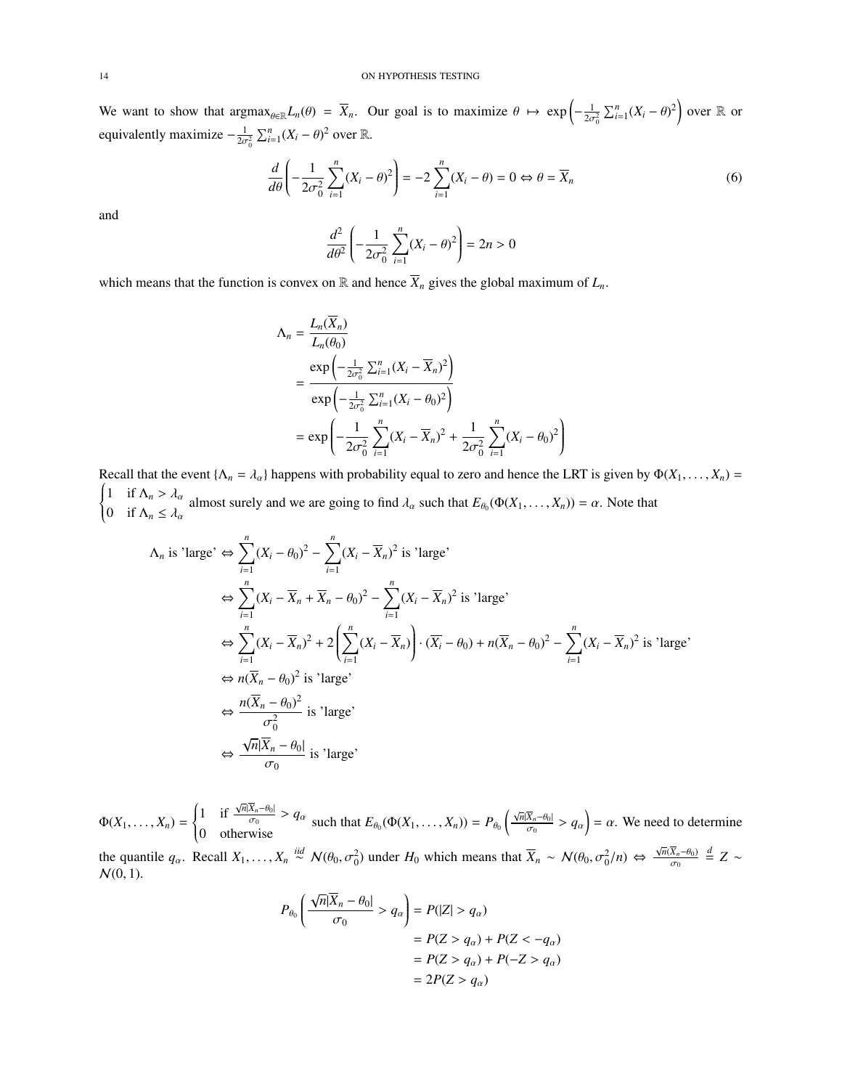#### 14 ON HYPOTHESIS TESTING

We want to show that  $\arg \max_{\theta \in \mathbb{R}} L_n(\theta) = \overline{X}_n$ . Our goal is to maximize  $\theta \mapsto \exp \left(-\frac{1}{2\sigma_0^2} \sum_{i=1}^n (X_i - \theta)^2\right)$  over R or equivalently maximize  $-\frac{1}{2\sigma_0^2} \sum_{i=1}^n (X_i - \theta)^2$  over R.

$$
\frac{d}{d\theta} \left( -\frac{1}{2\sigma_0^2} \sum_{i=1}^n (X_i - \theta)^2 \right) = -2 \sum_{i=1}^n (X_i - \theta) = 0 \Leftrightarrow \theta = \overline{X}_n \tag{6}
$$

and

$$
\frac{d^2}{d\theta^2} \left( -\frac{1}{2\sigma_0^2} \sum_{i=1}^n (X_i - \theta)^2 \right) = 2n > 0
$$

which means that the function is convex on  $\mathbb R$  and hence  $\overline{X}_n$  gives the global maximum of  $L_n$ .

$$
\begin{split} \Lambda_n &= \frac{L_n(\overline{X}_n)}{L_n(\theta_0)} \\ &= \frac{\exp\left(-\frac{1}{2\sigma_0^2} \sum_{i=1}^n (X_i - \overline{X}_n)^2\right)}{\exp\left(-\frac{1}{2\sigma_0^2} \sum_{i=1}^n (X_i - \theta_0)^2\right)} \\ &= \exp\left(-\frac{1}{2\sigma_0^2} \sum_{i=1}^n (X_i - \overline{X}_n)^2 + \frac{1}{2\sigma_0^2} \sum_{i=1}^n (X_i - \theta_0)^2\right) \end{split}
$$

Recall that the event  $\{\Lambda_n = \lambda_\alpha\}$  happens with probability equal to zero and hence the LRT is given by  $\Phi(X_1, \ldots, X_n)$  $\left\{ \right.$  $\overline{\mathcal{L}}$ 1 if  $\Lambda_n > \lambda_\alpha$ **i** if  $\Lambda_n \leq \lambda_\alpha$  almost surely and we are going to find  $\lambda_\alpha$  such that  $E_{\theta_0}(\Phi(X_1, \ldots, X_n)) = \alpha$ . Note that if  $\Lambda_n \leq \lambda_\alpha$ 

$$
\Lambda_n \text{ is 'large'} \Leftrightarrow \sum_{i=1}^n (X_i - \theta_0)^2 - \sum_{i=1}^n (X_i - \overline{X}_n)^2 \text{ is 'large'}
$$
  
\n
$$
\Leftrightarrow \sum_{i=1}^n (X_i - \overline{X}_n + \overline{X}_n - \theta_0)^2 - \sum_{i=1}^n (X_i - \overline{X}_n)^2 \text{ is 'large'}
$$
  
\n
$$
\Leftrightarrow \sum_{i=1}^n (X_i - \overline{X}_n)^2 + 2 \left( \sum_{i=1}^n (X_i - \overline{X}_n) \right) \cdot (\overline{X}_i - \theta_0) + n(\overline{X}_n - \theta_0)^2 - \sum_{i=1}^n (X_i - \overline{X}_n)^2 \text{ is 'large'}
$$
  
\n
$$
\Leftrightarrow n(\overline{X}_n - \theta_0)^2 \text{ is 'large'}
$$
  
\n
$$
\Leftrightarrow \frac{n(\overline{X}_n - \theta_0)^2}{\sigma_0^2} \text{ is 'large'}
$$
  
\n
$$
\Leftrightarrow \frac{\sqrt{n}|\overline{X}_n - \theta_0|}{\sigma_0} \text{ is 'large'}
$$

 $\Phi(X_1,\ldots,X_n)=$  $\left\{ \right.$  $\overline{\mathcal{L}}$ 1 if  $\frac{\sqrt{n}|\overline{X}_n-\theta_0|}{\sqrt{n}}$  $\inf \frac{\sqrt{n} |X_n - \theta_0|}{\sigma_0} > q_\alpha$  such that  $E_{\theta_0}(\Phi(X_1, \dots, X_n)) = P_{\theta_0}$ <br>0 otherwise  $\frac{\sqrt{n}|\overline{X}_n-\theta_0|}{\sigma_n}$  $\frac{\overline{X}_n - \theta_0}{\sigma_0} > q_\alpha$  =  $\alpha$ . We need to determine

the quantile  $q_\alpha$ . Recall  $X_1, \ldots, X_n \stackrel{iid}{\sim} \mathcal{N}(\theta_0, \sigma_0^2)$  under  $H_0$  which means that  $\overline{X}_n \sim \mathcal{N}(\theta_0, \sigma_0^2/n) \Leftrightarrow \frac{\sqrt{n}(\overline{X}_n - \theta_0)}{\sigma_0}$  $\sigma_0$ *d* = *Z* ∼  $N(0, 1)$ .

$$
P_{\theta_0} \left( \frac{\sqrt{n} |\overline{X}_n - \theta_0|}{\sigma_0} > q_\alpha \right) = P(|Z| > q_\alpha)
$$
  
=  $P(Z > q_\alpha) + P(Z < -q_\alpha)$   
=  $P(Z > q_\alpha) + P(-Z > q_\alpha)$   
=  $2P(Z > q_\alpha)$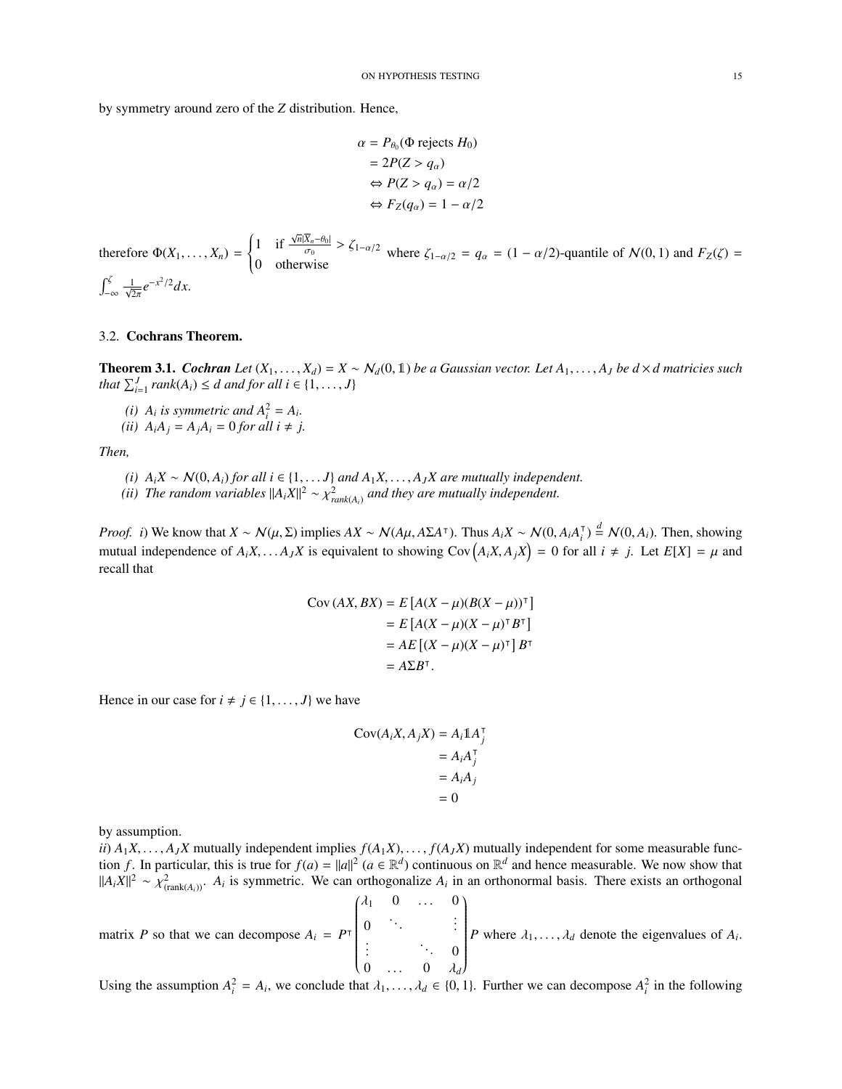by symmetry around zero of the *Z* distribution. Hence,

$$
\alpha = P_{\theta_0}(\Phi \text{ rejects } H_0)
$$
  
= 2P(Z > q\_\alpha)  

$$
\Leftrightarrow P(Z > q_\alpha) = \alpha/2
$$
  

$$
\Leftrightarrow F_Z(q_\alpha) = 1 - \alpha/2
$$

therefore  $\Phi(X_1, \ldots, X_n)$  =  $\left\{ \right.$  $\overline{\mathcal{L}}$ 1 if  $\frac{\sqrt{n}|\overline{X}_n-\theta_0|}{\sqrt{n}}$  $\frac{1}{\sigma_0}$  in  $\frac{d\sigma_0}{d\sigma_0}$  >  $\zeta_{1-\alpha/2}$  where  $\zeta_{1-\alpha/2} = q_\alpha = (1 - \alpha/2)$ -quantile of  $\mathcal{N}(0, 1)$  and  $F_Z(\zeta) = 0$  otherwise  $\int_{-\infty}^{\zeta} \frac{1}{\sqrt{2\pi}} e^{-x^2/2} dx.$ 2

## <span id="page-14-0"></span>3.2. Cochrans Theorem.

**Theorem 3.1.** *Cochran Let*  $(X_1, \ldots, X_d) = X \sim N_d(0, 1)$  *be a Gaussian vector. Let*  $A_1, \ldots, A_J$  *be*  $d \times d$  *matricies such that*  $\sum_{i=1}^{J} rank(A_i) \leq d$  *and for all*  $i \in \{1, ..., J\}$ 

- *(i)*  $A_i$  *is symmetric and*  $A_i^2 = A_i$ .
- *(ii)*  $A_i A_j = A_j A_i = 0$  *for all i*  $\neq j$ .

*Then,*

- *(i)*  $A_i X \sim N(0, A_i)$  *for all i* ∈ {1, . . . *J*} *and*  $A_1 X, \ldots, A_J X$  *are mutually independent.*
- *(ii)* The random variables  $||A_iX||^2 \sim \chi^2_{rank(A_i)}$  and they are mutually independent.

*Proof. i*) We know that  $X \sim N(\mu, \Sigma)$  implies  $AX \sim N(A\mu, A\Sigma A^{\dagger})$ . Thus  $A_i X \sim N(0, A_i A_i^{\dagger})$  $\int_{i}^{T} \frac{d}{r} \mathcal{N}(0, A_i)$ . Then, showing mutual independence of  $A_iX, \dots A_JX$  is equivalent to showing  $Cov(A_iX, A_jX) = 0$  for all  $i \neq j$ . Let  $E[X] = \mu$  and recall that

$$
Cov (AX, BX) = E [A(X – \mu)(B(X – \mu))\top]
$$
  
= E [A(X – \mu)(X – \mu)<sup>\top</sup> B<sup>\top</sup>]  
= AE [(X – \mu)(X – \mu)<sup>\top</sup>] B<sup>\top</sup>  
= A\Sigma B<sup>\top</sup>.

Hence in our case for  $i \neq j \in \{1, ..., J\}$  we have

$$
Cov(A_iX, A_jX) = A_i1A_j^T
$$
  
=  $A_iA_j^T$   
=  $A_iA_j$   
= 0

by assumption.

*ii*)  $A_1X, \ldots, A_JX$  mutually independent implies  $f(A_1X), \ldots, f(A_JX)$  mutually independent for some measurable function *f*. In particular, this is true for  $f(a) = ||a||^2$   $(a \in \mathbb{R}^d)$  continuous on  $\mathbb{R}^d$  and hence measurable. We now show that  $||A_i X||^2 \sim \chi^2_{(\text{rank}(A_i))}$ . *A<sub>i</sub>* is symmetric. We can orthogonalize *A<sub>i</sub>* in an orthonormal basis. There exists an orthogonal matrix *P* so that we can decompose  $A_i = P^{\dagger}$  $\begin{pmatrix} \lambda_1 & 0 & \dots & 0 \end{pmatrix}$   $0 \quad \therefore \quad \therefore$  $\begin{matrix} . & . & \cdots & 0 \\ . & . & 0 & . \\ . & . & 0 & . \end{matrix}$ Í  $\sqrt{\frac{1}{2}}$ *P* where  $\lambda_1, \ldots, \lambda_d$  denote the eigenvalues of  $A_i$ .

Using the assumption  $A_i^2 = A_i$ , we conclude that  $\lambda_1, \ldots, \lambda_d \in \{0, 1\}$ . Further we can decompose  $A_i^2$  in the following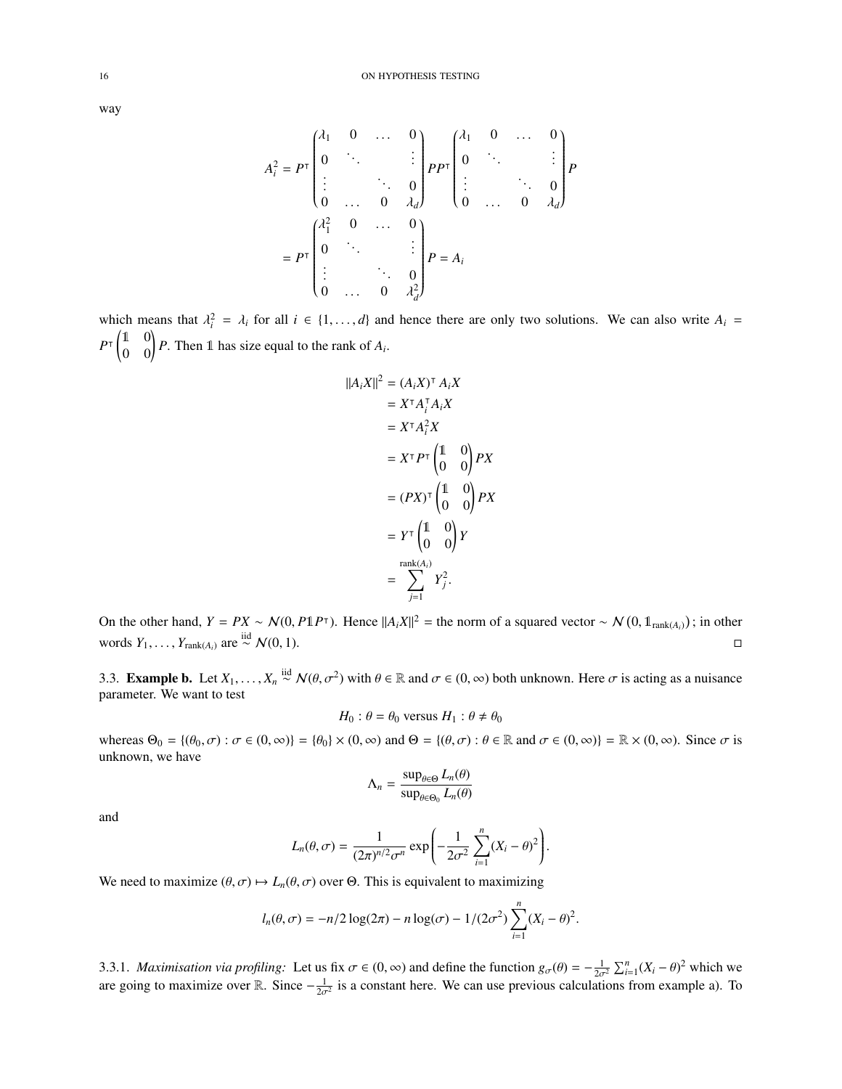way

$$
A_i^2 = P^{\mathsf{T}} \begin{pmatrix} \lambda_1 & 0 & \dots & 0 \\ 0 & \ddots & & \vdots \\ \vdots & & \ddots & 0 \\ 0 & \dots & 0 & \lambda_d \end{pmatrix} P P^{\mathsf{T}} \begin{pmatrix} \lambda_1 & 0 & \dots & 0 \\ 0 & \ddots & & \vdots \\ \vdots & & \ddots & 0 \\ 0 & \dots & 0 & \lambda_d \end{pmatrix} P
$$

$$
= P^{\mathsf{T}} \begin{pmatrix} \lambda_1^2 & 0 & \dots & 0 \\ 0 & \ddots & & \vdots \\ \vdots & & \ddots & 0 \\ 0 & \dots & 0 & \lambda_d^2 \end{pmatrix} P = A_i
$$

which means that  $\lambda_i^2 = \lambda_i$  for all  $i \in \{1, ..., d\}$  and hence there are only two solutions. We can also write  $A_i =$  $P^{\top} \begin{pmatrix} 1 & 0 \\ 0 & 0 \end{pmatrix} P$ . Then 1 has size equal to the rank of  $A_i$ .

$$
||A_i X||^2 = (A_i X)^{\top} A_i X
$$
  
\n
$$
= X^{\top} A_i^{\top} A_i X
$$
  
\n
$$
= X^{\top} A_i^2 X
$$
  
\n
$$
= X^{\top} P^{\top} \begin{pmatrix} 1 & 0 \\ 0 & 0 \end{pmatrix} P X
$$
  
\n
$$
= (PX)^{\top} \begin{pmatrix} 1 & 0 \\ 0 & 0 \end{pmatrix} P X
$$
  
\n
$$
= Y^{\top} \begin{pmatrix} 1 & 0 \\ 0 & 0 \end{pmatrix} Y
$$
  
\n
$$
= \sum_{j=1}^{\text{rank}(A_i)} Y_j^2.
$$

On the other hand,  $Y = PX \sim N(0, P1P^{\mathsf{T}})$ . Hence  $||A_iX||^2$  = the norm of a squared vector ~  $N(0, 1_{\text{rank}(A_i)})$ ; in other words *Y*<sub>1</sub>, . . . , *Y*<sub>rank(*A*<sub>*i*</sub>)</sub> are <sup>iid</sup>  $N(0, 1)$ . □

<span id="page-15-0"></span>3.3. **Example b.** Let *X*<sub>1</sub>, . . . , *X<sub>n</sub>* <sup>iid</sup>  $\mathcal{N}(\theta, \sigma^2)$  with  $\theta \in \mathbb{R}$  and  $\sigma \in (0, \infty)$  both unknown. Here  $\sigma$  is acting as a nuisance parameter. We want to test parameter. We want to test

$$
H_0: \theta = \theta_0 \text{ versus } H_1: \theta \neq \theta_0
$$

whereas  $\Theta_0 = \{(\theta_0, \sigma) : \sigma \in (0, \infty)\} = \{\theta_0\} \times (0, \infty)$  and  $\Theta = \{(\theta, \sigma) : \theta \in \mathbb{R} \text{ and } \sigma \in (0, \infty)\} = \mathbb{R} \times (0, \infty)$ . Since  $\sigma$  is unknown, we have

$$
\Lambda_n = \frac{\sup_{\theta \in \Theta} L_n(\theta)}{\sup_{\theta \in \Theta_0} L_n(\theta)}
$$

and

$$
L_n(\theta,\sigma)=\frac{1}{(2\pi)^{n/2}\sigma^n}\exp\left(-\frac{1}{2\sigma^2}\sum_{i=1}^n(X_i-\theta)^2\right).
$$

We need to maximize  $(\theta, \sigma) \mapsto L_n(\theta, \sigma)$  over  $\Theta$ . This is equivalent to maximizing

$$
l_n(\theta, \sigma) = -n/2 \log(2\pi) - n \log(\sigma) - 1/(2\sigma^2) \sum_{i=1}^n (X_i - \theta)^2.
$$

3.3.1. *Maximisation via profiling:* Let us fix  $\sigma \in (0, ∞)$  and define the function  $g_{\sigma}(\theta) = -\frac{1}{2\sigma^2} \sum_{i=1}^n (X_i - \theta)^2$  which we are going to maximize over **R**<sub>i</sub>. Since  $\frac{1}{2}$  is a constant here. We can use pr 3.3.1. *Maximisation via projuing*. Let us in  $\sigma \in (0, \infty)$  and define the function  $g_{\sigma}(0) = -\frac{1}{2\sigma^2} \sum_{i=1}^{\infty} (A_i - \sigma)$  which we are going to maximize over R. Since  $-\frac{1}{2\sigma^2}$  is a constant here. We can use previ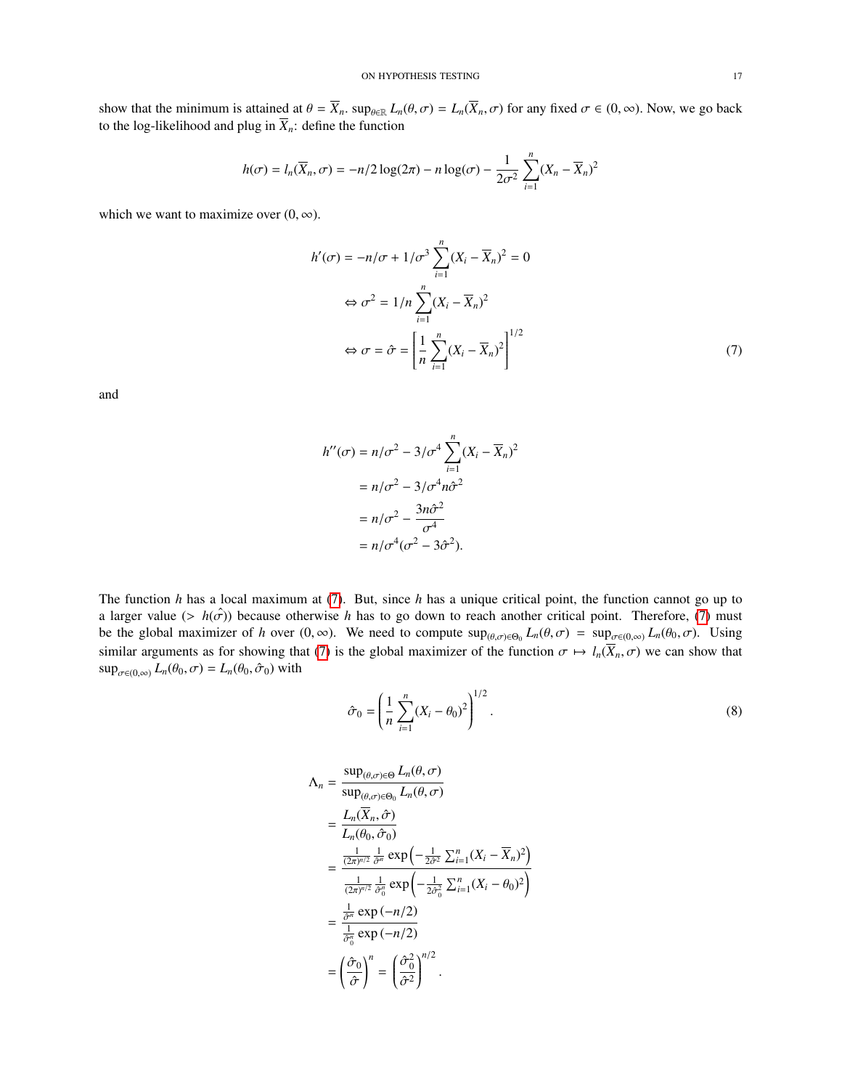show that the minimum is attained at  $\theta = \overline{X}_n$ .  $\sup_{\theta \in \mathbb{R}} L_n(\theta, \sigma) = L_n(\overline{X}_n, \sigma)$  for any fixed  $\sigma \in (0, \infty)$ . Now, we go back to the log-likelihood and plug in  $\overline{X}_n$ : define the function

$$
h(\sigma) = l_n(\overline{X}_n, \sigma) = -n/2 \log(2\pi) - n \log(\sigma) - \frac{1}{2\sigma^2} \sum_{i=1}^n (X_n - \overline{X}_n)^2
$$

which we want to maximize over  $(0, \infty)$ .

$$
h'(\sigma) = -n/\sigma + 1/\sigma^3 \sum_{i=1}^n (X_i - \overline{X}_n)^2 = 0
$$
  

$$
\Leftrightarrow \sigma^2 = 1/n \sum_{i=1}^n (X_i - \overline{X}_n)^2
$$
  

$$
\Leftrightarrow \sigma = \hat{\sigma} = \left[ \frac{1}{n} \sum_{i=1}^n (X_i - \overline{X}_n)^2 \right]^{1/2}
$$
 (7)

and

<span id="page-16-0"></span>
$$
h''(\sigma) = n/\sigma^2 - 3/\sigma^4 \sum_{i=1}^n (X_i - \overline{X}_n)^2
$$

$$
= n/\sigma^2 - 3/\sigma^4 n\hat{\sigma}^2
$$

$$
= n/\sigma^2 - \frac{3n\hat{\sigma}^2}{\sigma^4}
$$

$$
= n/\sigma^4 (\sigma^2 - 3\hat{\sigma}^2).
$$

The function *h* has a local maximum at [\(7\)](#page-16-0). But, since *h* has a unique critical point, the function cannot go up to a larger value (>  $h(\hat{\sigma})$ ) because otherwise *h* has to go down to reach another critical point. Therefore, [\(7\)](#page-16-0) must be the global maximizer of *h* over  $(0, \infty)$ . We need to compute  $\sup_{(\theta, \sigma) \in \Theta_0} L_n(\theta, \sigma) = \sup_{\sigma \in (0, \infty)} L_n(\theta_0, \sigma)$ . Using similar arguments as for showing that [\(7\)](#page-16-0) is the global maximizer of the function  $\sigma \mapsto l_n(\overline{X}_n, \sigma)$  we can show that  $\sup_{\sigma \in (0,\infty)} L_n(\theta_0, \sigma) = L_n(\theta_0, \hat{\sigma}_0)$  with

$$
\hat{\sigma}_0 = \left(\frac{1}{n}\sum_{i=1}^n (X_i - \theta_0)^2\right)^{1/2}.\tag{8}
$$

$$
\begin{split}\n\Lambda_{n} &= \frac{\sup_{(\theta,\sigma)\in\Theta} L_{n}(\theta,\sigma)}{\sup_{(\theta,\sigma)\in\Theta_{0}} L_{n}(\theta,\sigma)} \\
&= \frac{L_{n}(\overline{X}_{n},\hat{\sigma})}{L_{n}(\theta_{0},\hat{\sigma}_{0})} \\
&= \frac{\frac{1}{(2\pi)^{n/2}} \frac{1}{\hat{\sigma}^{n}} \exp\left(-\frac{1}{2\hat{\sigma}^{2}} \sum_{i=1}^{n} (X_{i} - \overline{X}_{n})^{2}\right)}{\frac{1}{(2\pi)^{n/2}} \frac{1}{\hat{\sigma}^{n}} \exp\left(-\frac{1}{2\hat{\sigma}^{2}} \sum_{i=1}^{n} (X_{i} - \theta_{0})^{2}\right)} \\
&= \frac{\frac{1}{\hat{\sigma}^{n}} \exp\left(-n/2\right)}{\frac{1}{\hat{\sigma}^{n}_{0}} \exp\left(-n/2\right)} \\
&= \left(\frac{\hat{\sigma}_{0}}{\hat{\sigma}}\right)^{n} = \left(\frac{\hat{\sigma}_{0}^{2}}{\hat{\sigma}^{2}}\right)^{n/2}.\n\end{split}
$$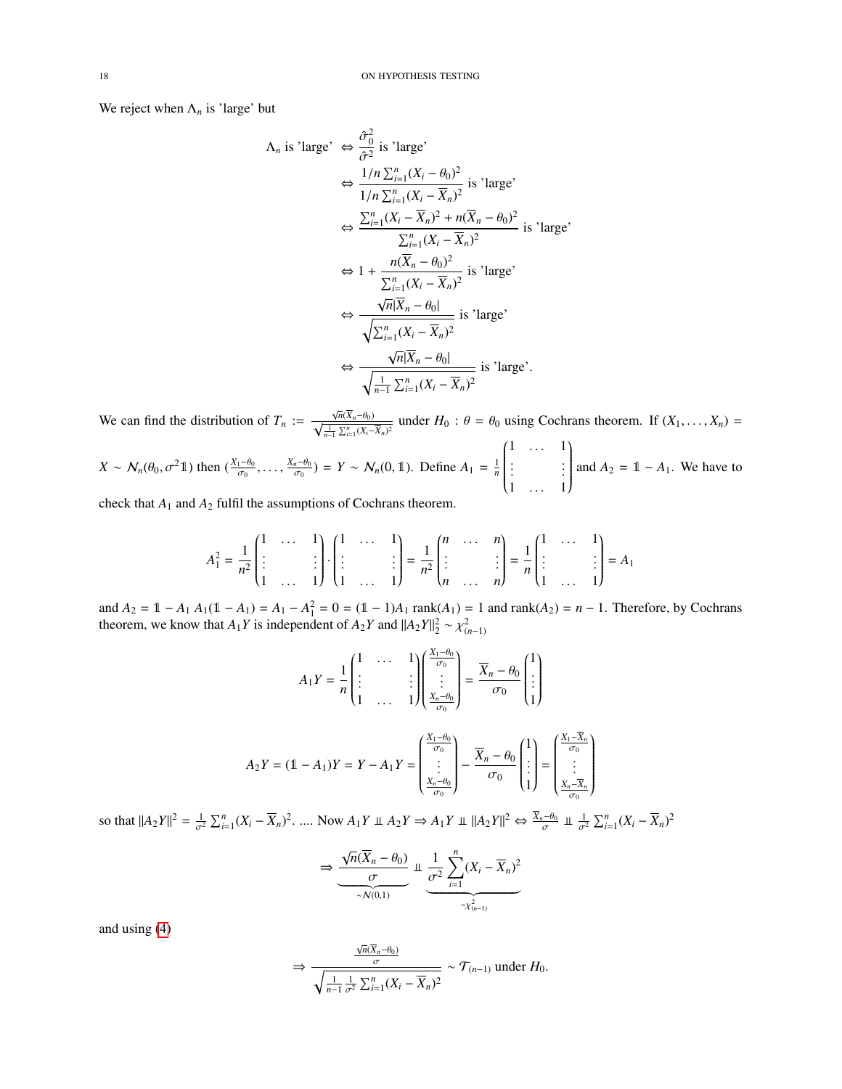We reject when  $\Lambda_n$  is 'large' but

$$
\Lambda_n \text{ is 'large'} \Leftrightarrow \frac{\hat{\sigma}_0^2}{\hat{\sigma}^2} \text{ is 'large'}\n\Leftrightarrow \frac{1/n \sum_{i=1}^n (X_i - \theta_0)^2}{1/n \sum_{i=1}^n (X_i - \overline{X}_n)^2} \text{ is 'large'}\n\Leftrightarrow \frac{\sum_{i=1}^n (X_i - \overline{X}_n)^2 + n(\overline{X}_n - \theta_0)^2}{\sum_{i=1}^n (X_i - \overline{X}_n)^2} \text{ is 'large'}\n\Leftrightarrow 1 + \frac{n(\overline{X}_n - \theta_0)^2}{\sum_{i=1}^n (X_i - \overline{X}_n)^2} \text{ is 'large'}\n\Leftrightarrow \frac{\sqrt{n}|\overline{X}_n - \theta_0|}{\sqrt{\sum_{i=1}^n (X_i - \overline{X}_n)^2}} \text{ is 'large'}\n\Leftrightarrow \frac{\sqrt{n}|\overline{X}_n - \theta_0|}{\sqrt{n}|\overline{X}_n - \theta_0|} \text{ is 'large'}\n\Leftrightarrow \frac{\sqrt{n}|\overline{X}_n - \theta_0|}{\sqrt{\frac{1}{n-1} \sum_{i=1}^n (X_i - \overline{X}_n)^2}} \text{ is 'large'}.
$$

We can find the distribution of  $T_n$  :=  $\frac{\sqrt{n}(\overline{X}_n-\theta_0)}{\sqrt{\frac{1}{n-1}\sum_{i=1}^n (X_i-\overline{X}_n)^2}}$  under  $H_0: \theta = \theta_0$  using Cochrans theorem. If  $(X_1,\ldots,X_n)$ *n*−1

 $X \sim N_n(\theta_0, \sigma^2 1)$  then  $(\frac{X_1 - \theta_0}{\sigma_0}, \ldots, \frac{X_n - \theta_0}{\sigma_0}) = Y \sim N_n(0, 1)$ . Define  $A_1 = \frac{1}{n}$  $\begin{pmatrix} 1 & \cdots & 1 \\ \vdots & \ddots & \vdots \end{pmatrix}$  $\overline{\phantom{a}}$  $\vdots$   $\vdots$   $\vdots$ <br>1 ... 1 Í  $\begin{array}{c} \hline \end{array}$ and  $A_2 = 1 - A_1$ . We have to

check that *A*<sup>1</sup> and *A*<sup>2</sup> fulfil the assumptions of Cochrans theorem.

$$
A_1^2 = \frac{1}{n^2} \begin{pmatrix} 1 & \cdots & 1 \\ \vdots & & \vdots \\ 1 & \cdots & 1 \end{pmatrix} \cdot \begin{pmatrix} 1 & \cdots & 1 \\ \vdots & & \vdots \\ 1 & \cdots & 1 \end{pmatrix} = \frac{1}{n^2} \begin{pmatrix} n & \cdots & n \\ \vdots & & \vdots \\ n & \cdots & n \end{pmatrix} = \frac{1}{n} \begin{pmatrix} 1 & \cdots & 1 \\ \vdots & & \vdots \\ 1 & \cdots & 1 \end{pmatrix} = A_1
$$

and  $A_2 = 1 - A_1 A_1 (1 - A_1) = A_1 - A_1^2 = 0 = (1 - 1)A_1 \text{ rank}(A_1) = 1$  and  $\text{rank}(A_2) = n - 1$ . Therefore, by Cochrans theorem, we know that *A*<sub>1</sub>*Y* is independent of *A*<sub>2</sub>*Y* and  $||A_2Y||_2^2 \sim \chi^2_{(n-1)}$ 

$$
A_1 Y = \frac{1}{n} \begin{pmatrix} 1 & \cdots & 1 \\ \vdots & & \vdots \\ 1 & \cdots & 1 \end{pmatrix} \begin{pmatrix} \frac{X_1 - \theta_0}{\sigma_0} \\ \vdots \\ \frac{X_n - \theta_0}{\sigma_0} \end{pmatrix} = \frac{\overline{X}_n - \theta_0}{\sigma_0} \begin{pmatrix} 1 \\ \vdots \\ 1 \end{pmatrix}
$$

$$
A_2 Y = (\mathbb{1} - A_1) Y = Y - A_1 Y = \begin{pmatrix} \frac{X_1 - \theta_0}{\sigma_0} \\ \vdots \\ \frac{X_n - \theta_0}{\sigma_0} \end{pmatrix} - \frac{\overline{X}_n - \theta_0}{\sigma_0} \begin{pmatrix} 1 \\ \vdots \\ 1 \end{pmatrix} = \begin{pmatrix} \frac{X_1 - \overline{X}_n}{\sigma_0} \\ \vdots \\ \frac{X_n - \overline{X}_n}{\sigma_0} \end{pmatrix}
$$

so that  $||A_2Y||^2 = \frac{1}{\sigma^2} \sum_{i=1}^n (X_i - \overline{X}_n)^2$ . .... Now  $A_1Y \perp A_2Y \Rightarrow A_1Y \perp ||A_2Y||^2 \Leftrightarrow \frac{\overline{X}_n - \theta_0}{\sigma} \perp \frac{1}{\sigma^2} \sum_{i=1}^n (X_i - \overline{X}_n)^2$ 

$$
\Rightarrow \underbrace{\frac{\sqrt{n}(\overline{X}_n - \theta_0)}{\sigma}}_{\sim N(0,1)} \perp \underbrace{\frac{1}{\sigma^2} \sum_{i=1}^n (X_i - \overline{X}_n)^2}_{\sim \chi^2_{(n-1)}}
$$

and using [\(4\)](#page-12-8)

$$
\Rightarrow \frac{\frac{\sqrt{n}(\overline{X}_n - \theta_0)}{\sigma}}{\sqrt{\frac{1}{n-1} \frac{1}{\sigma^2} \sum_{i=1}^n (X_i - \overline{X}_n)^2}} \sim \mathcal{T}_{(n-1)} \text{ under } H_0.
$$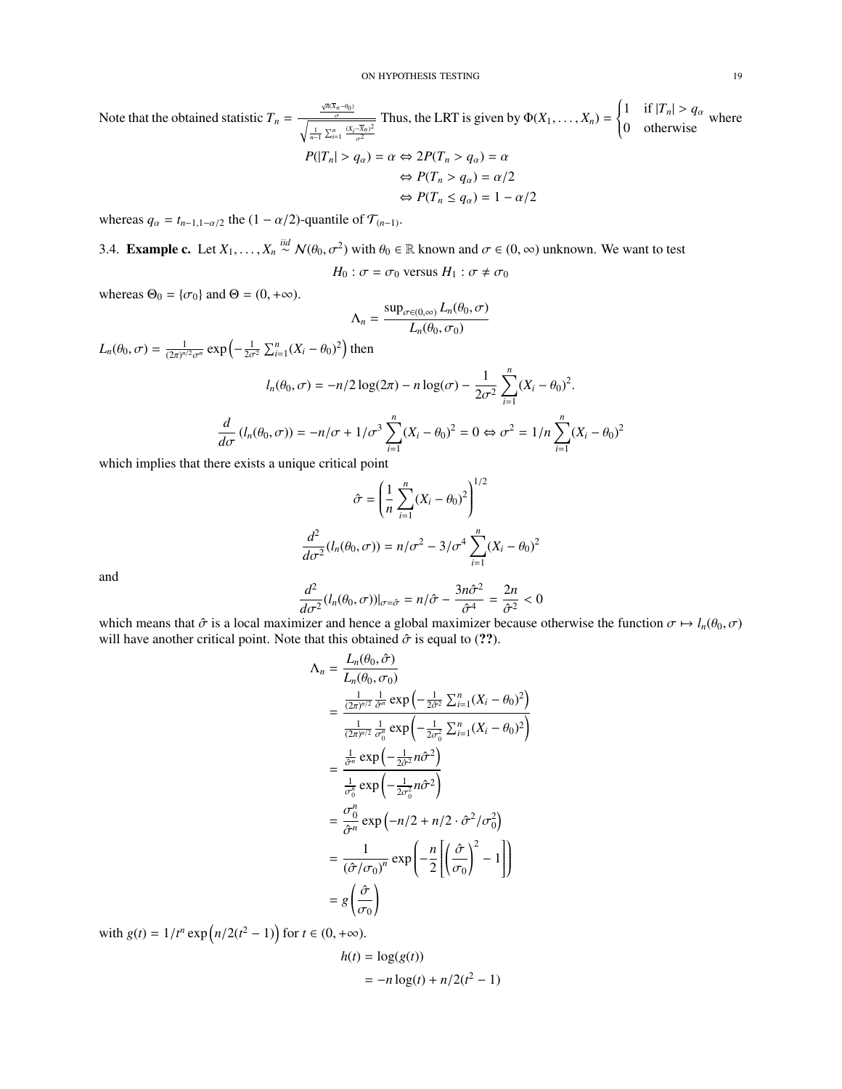Note that the obtained statistic  $T_n =$  $\frac{\sqrt{n}(\overline{X}_n - \theta_0)}{T}$  $\sqrt{\frac{1}{n-1} \sum_{i=1}^{n} \frac{(X_i - \overline{X}_n)^2}{\sigma^2}}$ Thus, the LRT is given by  $\Phi(X_1, \ldots, X_n) =$  $\left\{ \right.$  $\overline{\mathcal{L}}$ 1 if  $|T_n| > q_\alpha$  where<br>0 otherwise  $P(|T_n| > q_\alpha) = \alpha \Leftrightarrow 2P(T_n > q_\alpha) = \alpha$  $\Leftrightarrow$   $P(T_n > q_\alpha) = \alpha/2$ 

$$
\Leftrightarrow P(T_n \le q_\alpha) = 1 - \alpha/2
$$

1

 $\sum_{n=1}^{n}$ 

whereas  $q_{\alpha} = t_{n-1,1-\alpha/2}$  the  $(1 - \alpha/2)$ -quantile of  $\mathcal{T}_{(n-1)}$ .

<span id="page-18-0"></span>3.4. **Example c.** Let  $X_1, \ldots, X_n \stackrel{\text{iid}}{\sim} \mathcal{N}(\theta_0, \sigma^2)$  with  $\theta_0 \in \mathbb{R}$  known and  $\sigma \in (0, \infty)$  unknown. We want to test

$$
H_0: \sigma = \sigma_0 \text{ versus } H_1: \sigma \neq \sigma_0
$$

whereas  $\Theta_0 = {\sigma_0}$  and  $\Theta = (0, +\infty)$ .

$$
\Lambda_n = \frac{\sup_{\sigma \in (0,\infty)} L_n(\theta_0, \sigma)}{L_n(\theta_0, \sigma_0)}
$$

$$
L_n(\theta_0, \sigma) = \frac{1}{(2\pi)^{n/2} \sigma^n} \exp\left(-\frac{1}{2\sigma^2} \sum_{i=1}^n (X_i - \theta_0)^2\right) \text{ then}
$$

$$
l_n(\theta_0, \sigma) = -n/2 \log(2\pi) - n \log(\sigma) -
$$

$$
l_n(\theta_0, \sigma) = -n/2 \log(2\pi) - n \log(\sigma) - \frac{1}{2\sigma^2} \sum_{i=1}^{n} (X_i - \theta_0)^2.
$$
  

$$
\frac{d}{d\sigma} (l_n(\theta_0, \sigma)) = -n/\sigma + 1/\sigma^3 \sum_{i=1}^{n} (X_i - \theta_0)^2 = 0 \Leftrightarrow \sigma^2 = 1/n \sum_{i=1}^{n} (X_i - \theta_0)^2
$$

which implies that there exists a unique critical point

$$
\hat{\sigma} = \left(\frac{1}{n}\sum_{i=1}^{n}(X_i - \theta_0)^2\right)^{1/2}
$$

$$
\frac{d^2}{d\sigma^2}(l_n(\theta_0, \sigma)) = n/\sigma^2 - 3/\sigma^4 \sum_{i=1}^{n}(X_i - \theta_0)^2
$$

and

$$
\frac{d^2}{d\sigma^2} (l_n(\theta_0, \sigma))|_{\sigma = \hat{\sigma}} = n/\hat{\sigma} - \frac{3n\hat{\sigma}^2}{\hat{\sigma}^4} = \frac{2n}{\hat{\sigma}^2} < 0
$$
  
nizer and hence a global maximizer because c

which means that  $\hat{\sigma}$  is a local maximizer and hence a global maximizer because otherwise the function  $\sigma \mapsto l_n(\theta_0, \sigma)$ <br>will have another critical point. Note that this obtained  $\hat{\sigma}$  is equal to (22) will have another critical point. Note that this obtained  $\hat{\sigma}$  is equal to (??).

$$
\begin{split}\n\Lambda_n &= \frac{L_n(\theta_0, \hat{\sigma})}{L_n(\theta_0, \sigma_0)} \\
&= \frac{\frac{1}{(2\pi)^{n/2}} \frac{1}{\hat{\sigma}^n} \exp\left(-\frac{1}{2\hat{\sigma}^2} \sum_{i=1}^n (X_i - \theta_0)^2\right)}{\frac{1}{(2\pi)^{n/2}} \frac{1}{\sigma_0^n} \exp\left(-\frac{1}{2\sigma_0^2} \sum_{i=1}^n (X_i - \theta_0)^2\right)} \\
&= \frac{\frac{1}{\hat{\sigma}^n} \exp\left(-\frac{1}{2\hat{\sigma}^2} n\hat{\sigma}^2\right)}{\frac{1}{\sigma_0^n} \exp\left(-n/2 + n/2 \cdot \hat{\sigma}^2 / \sigma_0^2\right)} \\
&= \frac{\sigma_0^n}{\hat{\sigma}^n} \exp\left(-n/2 + n/2 \cdot \hat{\sigma}^2 / \sigma_0^2\right) \\
&= \frac{1}{(\hat{\sigma}/\sigma_0)^n} \exp\left(-\frac{n}{2}\left[\left(\frac{\hat{\sigma}}{\sigma_0}\right)^2 - 1\right]\right) \\
&= g\left(\frac{\hat{\sigma}}{\sigma_0}\right)\n\end{split}
$$

with  $g(t) = 1/t^n \exp((n/2(t^2 - 1)))$  for  $t \in (0, +\infty)$ .

$$
h(t) = \log(g(t))
$$
  
= 
$$
-n \log(t) + n/2(t^2 - 1)
$$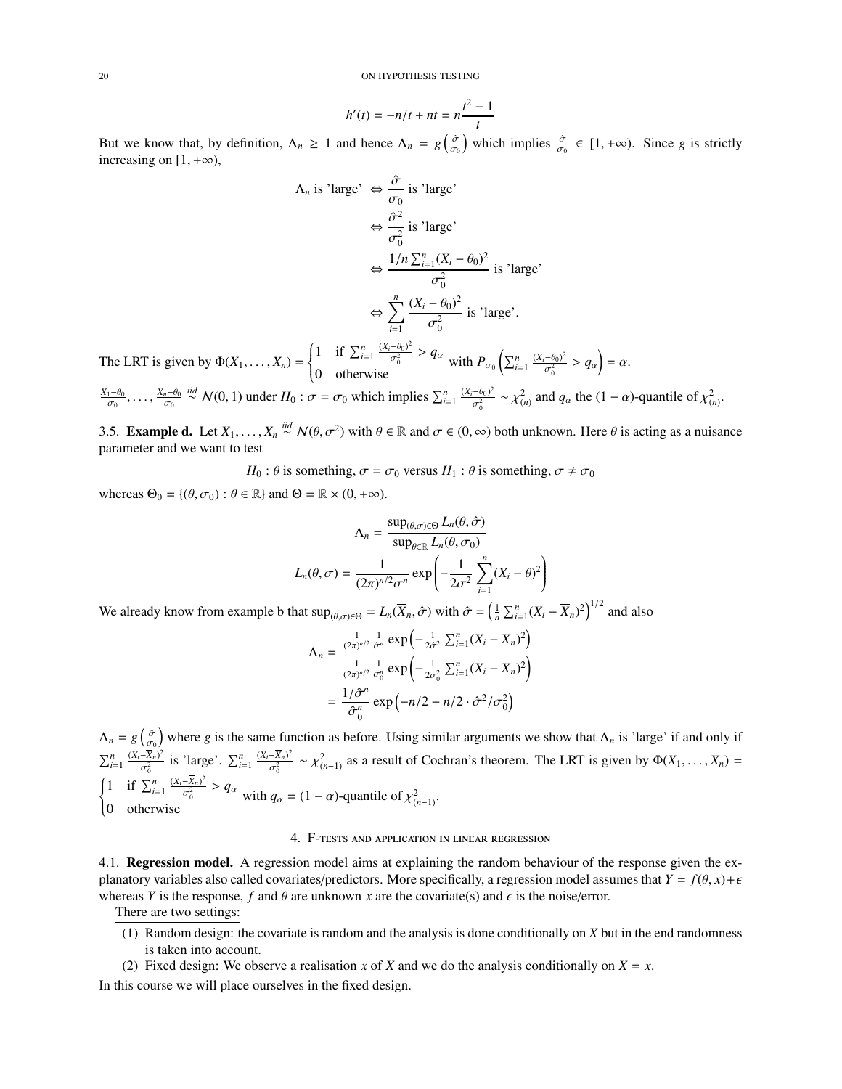20 ON HYPOTHESIS TESTING

$$
h'(t) = -n/t + nt = n\frac{t^2 - 1}{t}
$$

But we know that, by definition,  $\Lambda_n \ge 1$  and hence  $\Lambda_n = g\left(\frac{\partial}{\partial n}\right)$ which implies  $\frac{\hat{\sigma}}{\sigma_0} \in [1, +\infty)$ . Since *g* is strictly increasing on  $[1, +\infty)$ ,

$$
\Lambda_n \text{ is 'large'} \Leftrightarrow \frac{\hat{\sigma}}{\sigma_0} \text{ is 'large'}
$$
\n
$$
\Leftrightarrow \frac{\hat{\sigma}^2}{\sigma_0^2} \text{ is 'large'}
$$
\n
$$
\Leftrightarrow \frac{1/n \sum_{i=1}^n (X_i - \theta_0)^2}{\sigma_0^2} \text{ is 'large'}
$$
\n
$$
\Leftrightarrow \sum_{i=1}^n \frac{(X_i - \theta_0)^2}{\sigma_0^2} \text{ is 'large'}
$$
\n
$$
(1 \quad \text{is } \Sigma^n \quad \frac{(X_i - \theta_0)^2}{\sigma_0^2})
$$

The LRT is given by  $\Phi(X_1, \ldots, X_n) =$  $\left\{ \right.$  $\overline{\mathcal{L}}$ 1 if  $\sum_{i=1}^{n} \frac{(X_i - \theta_0)^2}{\sigma_0^2}$  $\frac{-\theta_0)^2}{\sigma_0^2}$  >  $q_\alpha$  $\frac{1}{\sigma_0^2} \cdot \frac{1}{\sigma_0^2} \cdot \frac{1}{\sigma_0^2} > q_\alpha$  with  $P_{\sigma_0} \left( \sum_{i=1}^n \frac{(X_i - \theta_0)^2}{\sigma_0^2} \right)$  $\frac{(-\theta_0)^2}{\sigma_0^2} > q_\alpha$  =  $\alpha$ .

 $\frac{X_1-\theta_0}{\sigma_0}, \ldots, \frac{X_n-\theta_0}{\sigma_0} \stackrel{iid}{\sim} \mathcal{N}(0, 1)$  under  $H_0 : \sigma = \sigma_0$  which implies  $\sum_{i=1}^n \frac{(X_i-\theta_0)^2}{\sigma_0^2}$  $\frac{-\theta_0^2}{\sigma_0^2} \sim \chi^2_{(n)}$  and  $q_\alpha$  the  $(1 - \alpha)$ -quantile of  $\chi^2_{(n)}$ .

<span id="page-19-0"></span>3.5. **Example d.** Let  $X_1, \ldots, X_n \stackrel{\textit{id}}{\sim} \mathcal{N}(\theta, \sigma^2)$  with  $\theta \in \mathbb{R}$  and  $\sigma \in (0, \infty)$  both unknown. Here  $\theta$  is acting as a nuisance parameter and we want to test

*H*<sub>0</sub> :  $\theta$  is something,  $\sigma = \sigma_0$  versus *H*<sub>1</sub> :  $\theta$  is something,  $\sigma \neq \sigma_0$ 

whereas  $\Theta_0 = \{(\theta, \sigma_0) : \theta \in \mathbb{R}\}\$ and  $\Theta = \mathbb{R} \times (0, +\infty)$ .

$$
\Lambda_n = \frac{\sup_{(\theta,\sigma)\in\Theta} L_n(\theta,\hat{\sigma})}{\sup_{\theta\in\mathbb{R}} L_n(\theta,\sigma_0)}
$$

$$
L_n(\theta,\sigma) = \frac{1}{(2\pi)^{n/2}\sigma^n} \exp\left(-\frac{1}{2\sigma^2} \sum_{i=1}^n (X_i - \theta)^2\right)
$$

We already know from example b that  $\sup_{(\theta,\sigma)\in\Theta} = L_n(\overline{X}_n, \hat{\sigma})$  with  $\hat{\sigma} = \left(\frac{1}{n} \sum_{i=1}^n (X_i - \overline{X}_n)^2\right)^{1/2}$  and also

$$
\Lambda_n = \frac{\frac{1}{(2\pi)^{n/2}} \frac{1}{\hat{\sigma}^n} \exp\left(-\frac{1}{2\hat{\sigma}^2} \sum_{i=1}^n (X_i - \overline{X}_n)^2\right)}{\frac{1}{(2\pi)^{n/2}} \frac{1}{\sigma_0^n} \exp\left(-\frac{1}{2\sigma_0^2} \sum_{i=1}^n (X_i - \overline{X}_n)^2\right)}
$$

$$
= \frac{1/\hat{\sigma}^n}{\hat{\sigma}_0^n} \exp\left(-n/2 + n/2 \cdot \hat{\sigma}^2/\sigma_0^2\right)
$$

 $\Lambda_n = g\left(\frac{\partial}{\partial n}\right)$  where *g* is the same function as before. Using similar arguments we show that  $\Lambda_n$  is 'large' if and only if  $\sum_{i=1}^{n} \frac{(X_i - \overline{X}_n)^2}{\sigma_0^2}$  $\begin{cases} 1 & \text{if } \sum_{i=1}^{n} \frac{(X_i - \overline{X}_n)^2}{\sigma_0^2} > q_\alpha \\ \end{cases} \text{ with } q_\alpha$  $\frac{\overline{X}_n}{2}$  is 'large'.  $\sum_{i=1}^n \frac{(X_i - \overline{X}_n)^2}{\sigma_n^2}$  $\frac{X_n^2}{2^n} \sim \chi^2_{(n-1)}$  as a result of Cochran's theorem. The LRT is given by  $\Phi(X_1, \ldots, X_n) =$  $\overline{\mathcal{L}}$ 1 if  $\sum_{i=1}^{n} \frac{(X_i - \overline{X}_n)^2}{\sigma_0^2}$  $\frac{-X_n)^2}{\sigma_0^2} > q_\alpha$ <sup>1</sup>  $\Delta i=1$   $\sigma_0^2$   $q\alpha$  with  $q_\alpha = (1-\alpha)$ -quantile of  $\chi^2_{(n-1)}$ .<br>
0 otherwise

## 4. F-tests and application in linear regression

<span id="page-19-2"></span><span id="page-19-1"></span>4.1. Regression model. A regression model aims at explaining the random behaviour of the response given the explanatory variables also called covariates/predictors. More specifically, a regression model assumes that  $Y = f(\theta, x) + \epsilon$ whereas *Y* is the response, *f* and  $\theta$  are unknown *x* are the covariate(s) and  $\epsilon$  is the noise/error.

There are two settings:

- (1) Random design: the covariate is random and the analysis is done conditionally on *X* but in the end randomness is taken into account.
- (2) Fixed design: We observe a realisation *x* of *X* and we do the analysis conditionally on  $X = x$ .

In this course we will place ourselves in the fixed design.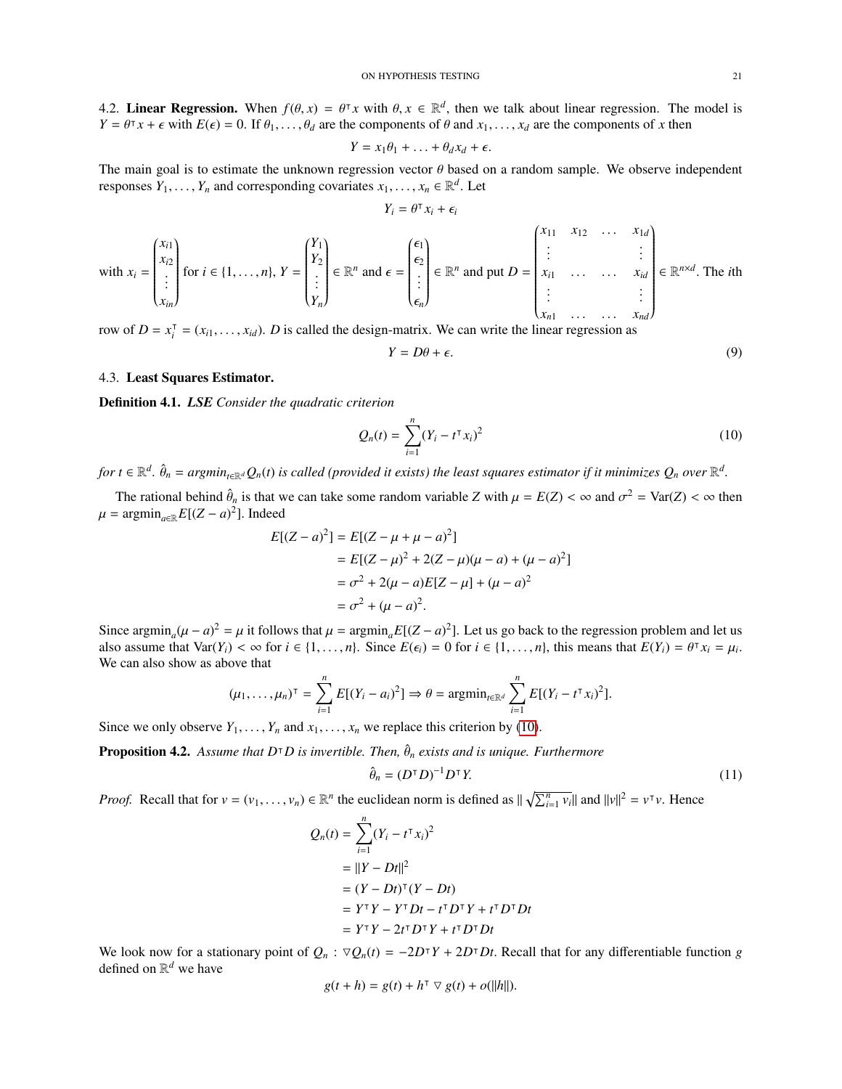<span id="page-20-0"></span>4.2. **Linear Regression.** When  $f(\theta, x) = \theta^T x$  with  $\theta, x \in \mathbb{R}^d$ , then we talk about linear regression. The model is  $Y - \theta^T x + \epsilon$  with  $F(\epsilon) = 0$  If  $\theta$ ,  $\theta$ , are the components of  $\theta$  and  $x$ ,  $\epsilon$ , are the componen  $Y = \theta^T x + \epsilon$  with  $E(\epsilon) = 0$ . If  $\theta_1, \ldots, \theta_d$  are the components of  $\theta$  and  $x_1, \ldots, x_d$  are the components of *x* then

$$
Y = x_1 \theta_1 + \ldots + \theta_d x_d + \epsilon.
$$

The main goal is to estimate the unknown regression vector  $\theta$  based on a random sample. We observe independent responses  $Y_1$ . responses  $Y_1, \ldots, Y_n$  and corresponding covariates  $x_1, \ldots, x_n \in \mathbb{R}^d$ . Let

$$
Y_i = \theta^\intercal x_i + \epsilon_i
$$

with 
$$
x_i = \begin{pmatrix} x_{i1} \\ x_{i2} \\ \vdots \\ x_{in} \end{pmatrix}
$$
 for  $i \in \{1, ..., n\}$ ,  $Y = \begin{pmatrix} Y_1 \\ Y_2 \\ \vdots \\ Y_n \end{pmatrix} \in \mathbb{R}^n$  and  $\epsilon = \begin{pmatrix} \epsilon_1 \\ \epsilon_2 \\ \vdots \\ \epsilon_n \end{pmatrix} \in \mathbb{R}^n$  and put  $D = \begin{pmatrix} x_{11} & x_{12} & \dots & x_{1d} \\ \vdots & & & \vdots \\ x_{i1} & \dots & x_{id} \\ \vdots & & & \vdots \\ x_{n1} & \dots & x_{nd} \end{pmatrix} \in \mathbb{R}^{n \times d}$ . The *i*th row of  $D = x^T = (x_1, ..., x_{i})$ . *D* is called the design-matrix. We can write the linear regression as

row of  $D = x_i^T$  $i = (x_{i1}, \dots, x_{id})$ . *D* is called the design-matrix. We can write the linear regression as

<span id="page-20-3"></span>
$$
Y = D\theta + \epsilon. \tag{9}
$$

# <span id="page-20-1"></span>4.3. Least Squares Estimator.

Definition 4.1. *LSE Consider the quadratic criterion*

<span id="page-20-2"></span>
$$
Q_n(t) = \sum_{i=1}^n (Y_i - t^\intercal x_i)^2
$$
\n(10)

for  $t\in\mathbb{R}^d$ .  $\hat{\theta}_n = argmin_{t\in\mathbb{R}^d}Q_n(t)$  is called (provided it exists) the least squares estimator if it minimizes  $Q_n$  over  $\mathbb{R}^d$ .

The rational behind  $\hat{\theta}_n$  is that we can take some random variable *Z* with  $\mu = E(Z) < \infty$  and  $\sigma^2 = \text{Var}(Z) < \infty$  then<br>reprints  $E[(Z - \alpha)^2]$  Indeed  $\mu = \text{argmin}_{a \in \mathbb{R}} E[(Z - a)^2]$ . Indeed

$$
E[(Z - a)^{2}] = E[(Z - \mu + \mu - a)^{2}]
$$
  
=  $E[(Z - \mu)^{2} + 2(Z - \mu)(\mu - a) + (\mu - a)^{2}]$   
=  $\sigma^{2} + 2(\mu - a)E[Z - \mu] + (\mu - a)^{2}$   
=  $\sigma^{2} + (\mu - a)^{2}$ .

Since argmin<sub>a</sub> $(\mu - a)^2 = \mu$  it follows that  $\mu = \operatorname{argmin}_a E[(Z - a)^2]$ . Let us go back to the regression problem and let us glog assume that  $Var(Y_i) \le \infty$  for  $i \in \{1, \ldots, n\}$ . Since  $E(\epsilon_i) = 0$  for  $i \in \{1, \ldots, n\}$ , this means th also assume that  $Var(Y_i) < \infty$  for  $i \in \{1, ..., n\}$ . Since  $E(\epsilon_i) = 0$  for  $i \in \{1, ..., n\}$ , this means that  $E(Y_i) = \theta^{\intercal} x_i = \mu_i$ .<br>We can also show as above that We can also show as above that

$$
(\mu_1,\ldots,\mu_n)^\top = \sum_{i=1}^n E[(Y_i-a_i)^2] \Rightarrow \theta = \operatorname{argmin}_{t \in \mathbb{R}^d} \sum_{i=1}^n E[(Y_i-t^\top x_i)^2].
$$

Since we only observe  $Y_1, \ldots, Y_n$  and  $x_1, \ldots, x_n$  we replace this criterion by [\(10\)](#page-20-2).

**Proposition 4.2.** *Assume that D*<sup> $\top$ </sup>*D is invertible. Then,*  $\hat{\theta}_n$  *exists and is unique. Furthermore* 

<span id="page-20-4"></span>
$$
\hat{\theta}_n = (D^{\mathsf{T}} D)^{-1} D^{\mathsf{T}} Y. \tag{11}
$$

*Proof.* Recall that for  $v = (v_1, \ldots, v_n) \in \mathbb{R}^n$  the euclidean norm is defined as  $\|\sqrt{\sum_{i=1}^n v_i}\|$  and  $\|v\|^2 = v^{\top}v$ . Hence

$$
Q_n(t) = \sum_{i=1}^n (Y_i - t^\intercal x_i)^2
$$
  
=  $||Y - Dt||^2$   
=  $(Y - Dt)^\intercal (Y - Dt)$   
=  $Y^\intercal Y - Y^\intercal Dt - t^\intercal D^\intercal Y + t^\intercal D^\intercal Dt$   
=  $Y^\intercal Y - 2t^\intercal D^\intercal Y + t^\intercal D^\intercal Dt$ 

We look now for a stationary point of  $Q_n$ :  $\nabla Q_n(t) = -2D^T Y + 2D^T Dt$ . Recall that for any differentiable function *g* defined on  $\mathbb{R}^d$  we have defined on  $\mathbb{R}^d$  we have

$$
g(t + h) = g(t) + h^{\dagger} \nabla g(t) + o(||h||).
$$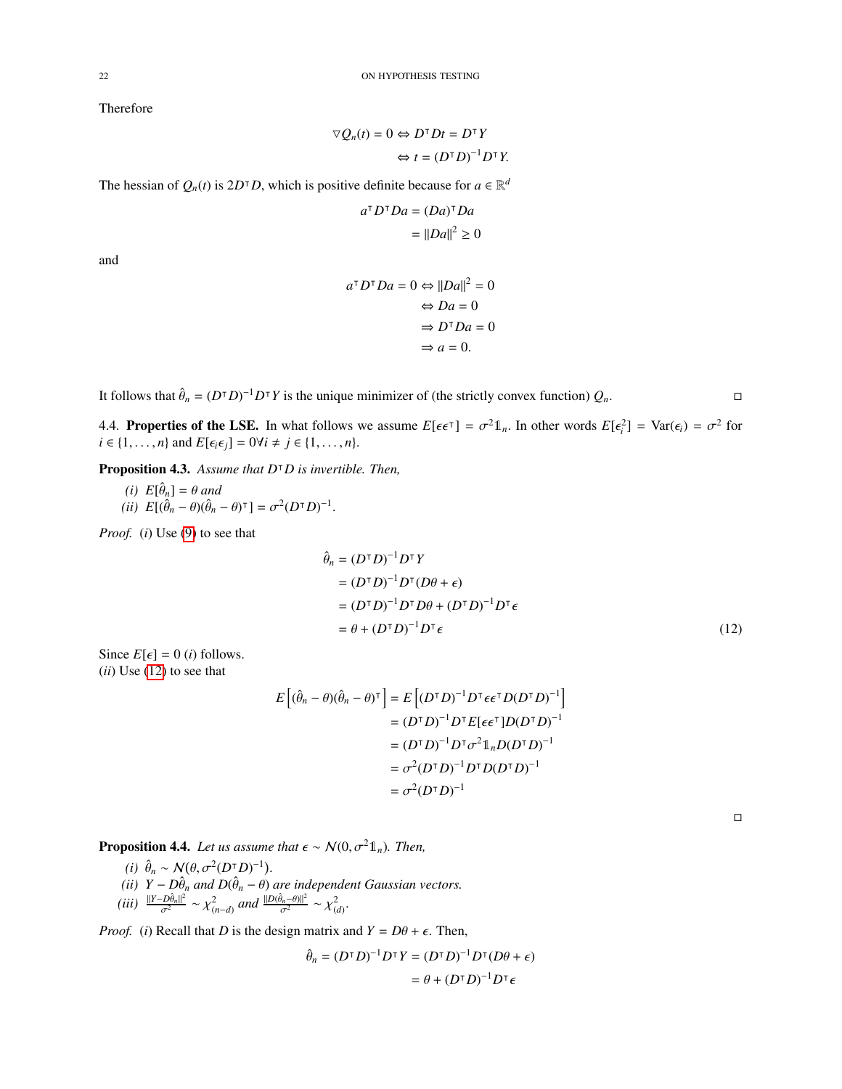Therefore

$$
\nabla Q_n(t) = 0 \Leftrightarrow D^{\mathsf{T}} D t = D^{\mathsf{T}} Y
$$

$$
\Leftrightarrow t = (D^{\mathsf{T}} D)^{-1} D^{\mathsf{T}} Y.
$$

The hessian of  $Q_n(t)$  is  $2D^\dagger D$ , which is positive definite because for  $a \in \mathbb{R}^d$ 

$$
a^{\mathsf{T}} D^{\mathsf{T}} D a = (D a)^{\mathsf{T}} D a
$$

$$
= ||D a||^2 \ge 0
$$

and

$$
a^{\mathsf{T}} D^{\mathsf{T}} D a = 0 \Leftrightarrow ||Da||^2 = 0
$$

$$
\Leftrightarrow Da = 0
$$

$$
\Rightarrow D^{\mathsf{T}} Da = 0
$$

$$
\Rightarrow a = 0.
$$

It follows that  $\hat{\theta}_n = (D^{\dagger}D)^{-1}D^{\dagger}Y$  is the unique minimizer of (the strictly convex function)  $Q_n$ .

<span id="page-21-0"></span>4.4. **Properties of the LSE.** In what follows we assume  $E[\epsilon \epsilon^T] = \sigma^2 \mathbb{1}_n$ . In other words  $E[\epsilon_i^2] = \text{Var}(\epsilon_i) = \sigma^2$  for  $i \in \{1, \ldots, n\}$  and  $E[\epsilon_i \epsilon_i] = \text{O}(i) + i \in \{1, \ldots, n\}$ *i* ∈ {1,...,*n*} and *E*[ $\epsilon_i \epsilon_j$ ] = 0∀*i* ≠ *j* ∈ {1,...,*n*}.

Proposition 4.3. *Assume that D*<sup>|</sup>*D is invertible. Then,*

 $(i)$   $E[\hat{\theta}_n] = \theta$  *and*<br>*ii*)  $F[\hat{\theta} - \theta](\hat{\theta})$  $(iii)$   $E[(\hat{\theta}_n - \theta)(\hat{\theta}_n - \theta)^{\dagger}] = \sigma^2 (D^{\dagger} D)^{-1}$ 

*Proof.* (*i*) Use [\(9\)](#page-20-3) to see that

$$
\hat{\theta}_n = (D^{\mathsf{T}} D)^{-1} D^{\mathsf{T}} Y
$$
\n
$$
= (D^{\mathsf{T}} D)^{-1} D^{\mathsf{T}} (D\theta + \epsilon)
$$
\n
$$
= (D^{\mathsf{T}} D)^{-1} D^{\mathsf{T}} D\theta + (D^{\mathsf{T}} D)^{-1} D^{\mathsf{T}} \epsilon
$$
\n
$$
= \theta + (D^{\mathsf{T}} D)^{-1} D^{\mathsf{T}} \epsilon
$$
\n(12)

Since  $E[\epsilon] = 0$  (*i*) follows. (*ii*) Use [\(12\)](#page-21-1) to see that

$$
E[(\hat{\theta}_n - \theta)(\hat{\theta}_n - \theta)^{\mathsf{T}}] = E[(D^{\mathsf{T}}D)^{-1}D^{\mathsf{T}}\epsilon\epsilon^{\mathsf{T}}D(D^{\mathsf{T}}D)^{-1}]
$$
  

$$
= (D^{\mathsf{T}}D)^{-1}D^{\mathsf{T}}E[\epsilon\epsilon^{\mathsf{T}}]D(D^{\mathsf{T}}D)^{-1}
$$
  

$$
= (D^{\mathsf{T}}D)^{-1}D^{\mathsf{T}}\sigma^2\mathbb{1}_nD(D^{\mathsf{T}}D)^{-1}
$$
  

$$
= \sigma^2(D^{\mathsf{T}}D)^{-1}D^{\mathsf{T}}D(D^{\mathsf{T}}D)^{-1}
$$
  

$$
= \sigma^2(D^{\mathsf{T}}D)^{-1}
$$

<span id="page-21-1"></span> $\Box$ 

**Proposition 4.4.** *Let us assume that*  $\epsilon \sim \mathcal{N}(0, \sigma^2 \mathbb{1}_n)$ *. Then,* 

<span id="page-21-3"></span>(i) 
$$
\hat{\theta}_n \sim \mathcal{N}(\theta, \sigma^2(D^\dagger D)^{-1})
$$
.  
\n(ii)  $Y - D\hat{\theta}_n$  and  $D(\hat{\theta}_n - \theta)$  are independent Gaussian vectors.  
\n(iii)  $\frac{||Y - D\hat{\theta}_n||^2}{\sigma^2} \sim \chi^2_{(n-d)}$  and  $\frac{||D(\hat{\theta}_n - \theta)||^2}{\sigma^2} \sim \chi^2_{(d)}$ .

<span id="page-21-2"></span>*Proof.* (*i*) Recall that *D* is the design matrix and  $Y = D\theta + \epsilon$ . Then,

$$
\hat{\theta}_n = (D^{\mathsf{T}} D)^{-1} D^{\mathsf{T}} Y = (D^{\mathsf{T}} D)^{-1} D^{\mathsf{T}} (D\theta + \epsilon)
$$

$$
= \theta + (D^{\mathsf{T}} D)^{-1} D^{\mathsf{T}} \epsilon
$$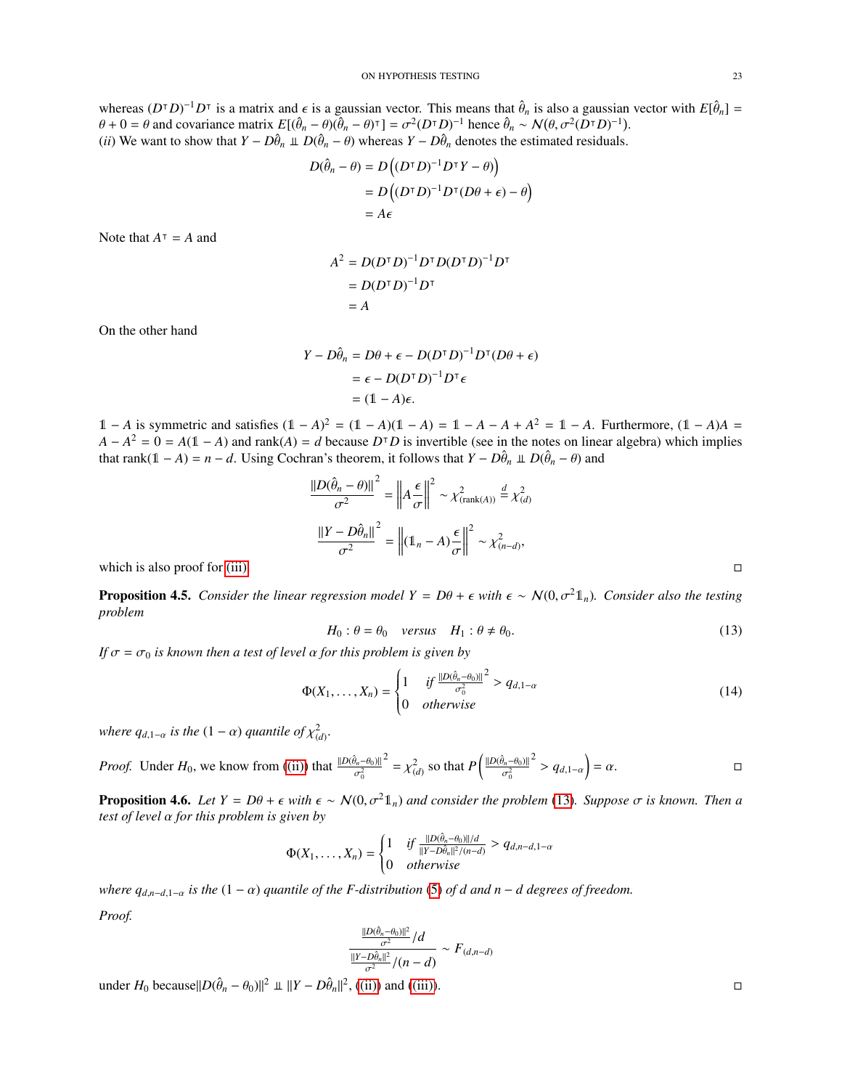whereas  $(D^T D)^{-1} D^T$  is a matrix and  $\epsilon$  is a gaussian vector. This means that  $\hat{\theta}_n$  is also a gaussian vector with  $E[\hat{\theta}_n] =$ <br> $\theta + 0 - \theta$  and covariance matrix  $E[\hat{\theta}_n - \theta(\hat{\theta}_n] - \theta(T) - \sigma^2(DT D)^{-1}]$  hence  $\hat{\theta} \approx N(\theta \$  $\theta + 0 = \theta$  and covariance matrix  $E[(\hat{\theta}_n - \theta)(\hat{\theta}_n - \theta)^T] = \sigma^2 (D^T D)^{-1}$  hence  $\hat{\theta}_n \sim N(\theta, \sigma^2 (D^T D)^{-1})$ .<br>(*ii*) We want to show that  $Y - D\hat{\theta}$  if  $D(\hat{\theta} - \theta)$  whereas  $Y - D\hat{\theta}$  denotes the estimated residuals (*ii*) We want to show that  $Y - D\hat{\theta}_n \perp D(\hat{\theta}_n - \theta)$  whereas  $Y - D\hat{\theta}_n$  denotes the estimated residuals.

$$
D(\hat{\theta}_n - \theta) = D((D^{\top}D)^{-1}D^{\top}Y - \theta)
$$
  
= 
$$
D((D^{\top}D)^{-1}D^{\top}(D\theta + \epsilon) - \theta)
$$
  
= 
$$
A\epsilon
$$

Note that  $A^{\dagger} = A$  and

$$
A2 = D(DT D)-1 DT D(DT D)-1 DT
$$
  
= D(D<sup>T</sup> D)<sup>-1</sup> D<sup>T</sup>  
= A

On the other hand

$$
Y - D\hat{\theta}_n = D\theta + \epsilon - D(D^{\mathsf{T}}D)^{-1}D^{\mathsf{T}}(D\theta + \epsilon)
$$
  
=  $\epsilon - D(D^{\mathsf{T}}D)^{-1}D^{\mathsf{T}}\epsilon$   
=  $(1 - A)\epsilon$ .

1 − *A* is symmetric and satisfies  $(1 - A)^2 = (1 - A)(1 - A) = 1 - A - A + A^2 = 1 - A$ . Furthermore,  $(1 - A)A =$  $A - A^2 = 0 = A(1 - A)$  and rank $(A) = d$  because  $D^T D$  is invertible (see in the notes on linear algebra) which implies that rank(1 − *A*) = *n* − *d*. Using Cochran's theorem, it follows that  $Y - D\hat{\theta}_n \perp D(\hat{\theta}_n - \theta)$  and

$$
\frac{\|D(\hat{\theta}_n - \theta)\|^2}{\sigma^2} = \left\|A\frac{\epsilon}{\sigma}\right\|^2 \sim \chi^2_{(\text{rank}(A))} \stackrel{d}{=} \chi^2_{(d)}
$$

$$
\frac{\|Y - D\hat{\theta}_n\|^2}{\sigma^2} = \left\|(1_n - A)\frac{\epsilon}{\sigma}\right\|^2 \sim \chi^2_{(n-d)},
$$
 which is also proof for (iii).

**Proposition 4.5.** *Consider the linear regression model Y = Dθ* +  $\epsilon$  with  $\epsilon \sim N(0, \sigma^2 \mathbb{1}_n)$ *. Consider also the testing problem*

<span id="page-22-0"></span>
$$
H_0: \theta = \theta_0 \quad versus \quad H_1: \theta \neq \theta_0. \tag{13}
$$

*If*  $\sigma = \sigma_0$  *is known then a test of level*  $\alpha$  *for this problem is given by* 

$$
\Phi(X_1,\ldots,X_n) = \begin{cases} 1 & \text{if } \frac{\|D(\hat{\theta}_n-\theta_0)\|^2}{\sigma_0^2} > q_{d,1-\alpha} \\ 0 & \text{otherwise} \end{cases}
$$
(14)

*where*  $q_{d,1-\alpha}$  *is the*  $(1-\alpha)$  *quantile of*  $\chi^2_{(d)}$ .

*Proof.* Under 
$$
H_0
$$
, we know from ((ii)) that  $\frac{\|D(\hat{\theta}_n - \theta_0)\|^2}{\sigma_0^2} = \chi^2_{(d)}$  so that  $P\left(\frac{\|D(\hat{\theta}_n - \theta_0)\|^2}{\sigma_0^2} > q_{d,1-\alpha}\right) = \alpha$ .

**Proposition 4.6.** *Let*  $Y = D\theta + \epsilon$  *with*  $\epsilon \sim N(0, \sigma^2 1_n)$  *and consider the problem* [\(13\)](#page-22-0)*. Suppose*  $\sigma$  *is known. Then a test of level* α *for this problem is given by*

$$
\Phi(X_1,\ldots,X_n)=\begin{cases}1 & \text{if }\frac{\|D(\hat{\theta}_n-\theta_0)\|/d}{\|Y-D\hat{\theta}_n\|^2/(n-d)} > q_{d,n-d,1-\alpha} \\ 0 & otherwise\end{cases}
$$

*where*  $q_{d,n-d,1-a}$  *is the*  $(1 - \alpha)$  *quantile of the F-distribution* [\(5\)](#page-12-9) *of d and n* − *d degrees of freedom.* 

*Proof.*

$$
\frac{\frac{\|D(\hat{\theta}_n-\theta_0)\|^2}{\sigma^2}/d}{\frac{\|Y-D\hat{\theta}_n\|^2}{\sigma^2}/(n-d)} \sim F_{(d,n-d)}
$$

under  $H_0$  because|| $D(\hat{\theta}_n - \theta_0)$ ||<sup>2</sup> ⊥ || $Y - D\hat{\theta}_n$ ||<sup>2</sup>, [\(\(ii\)\)](#page-21-3) and [\(\(iii\)\)](#page-21-2).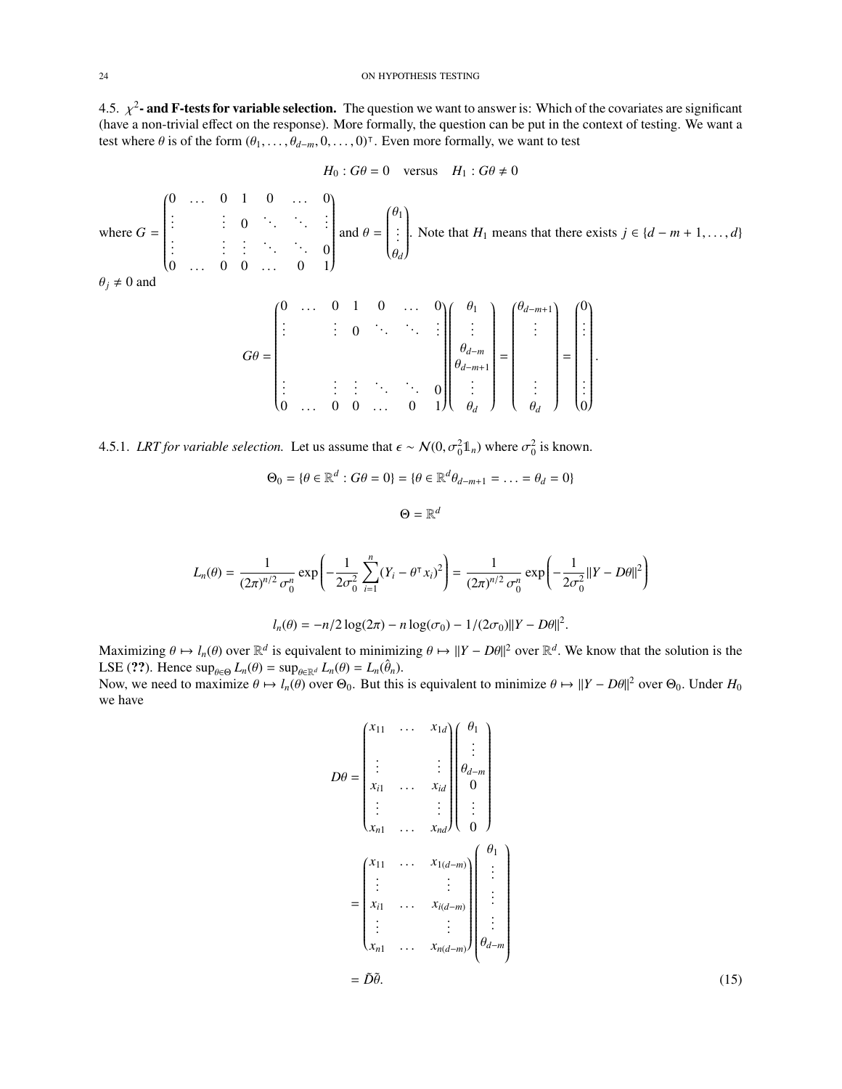<span id="page-23-0"></span>4.5.  $\chi^2$ **- and F-tests for variable selection.** The question we want to answer is: Which of the covariates are significant (have a non-trivial effect on the response). More formally the question can be put in the conte (have a non-trivial effect on the response). More formally, the question can be put in the context of testing. We want a test where  $\theta$  is of the form  $(\theta_1, \ldots, \theta_{d-m}, 0, \ldots, 0)^\top$ . Even more formally, we want to test

$$
H_0: G\theta = 0 \quad \text{versus} \quad H_1: G\theta \neq 0
$$

where  $G =$  $\begin{pmatrix} 0 & \dots & 0 & 1 & 0 & \dots & 0 \\ 0 & 0 & 0 & 0 & \dots & 0 \\ 0 & 0 & 0 & 0 & 0 & 0 \\ 0 & 0 & 0 & 0 & 0 & 0 \\ 0 & 0 & 0 & 0 & 0 & 0 \\ 0 & 0 & 0 & 0 & 0 & 0 \\ 0 & 0 & 0 & 0 & 0 & 0 \\ 0 & 0 & 0 & 0 & 0 & 0 \\ 0 & 0 & 0 & 0 & 0 & 0 \\ 0 & 0 & 0 & 0 & 0 & 0 \\ 0 & 0 & 0 & 0 & 0 & 0 \\ 0 & 0 & 0 & 0 &$   $\vdots$   $\vdots$  0  $\vdots$   $\vdots$   $\vdots$  $\begin{array}{ccccccccccccc}\n\vdots & & \vdots & \vdots & \ddots & \ddots & 0 \\
\hline\n0 & & 0 & 0 & & 0 & 1\n\end{array}$  $0 \dots 0 0 \dots 0 1$ Í  $\sqrt{\frac{1}{2}}$ and  $\theta =$  $\int_{0}^{\theta_1}$  $\overline{\phantom{a}}$ . . . θ*d* Í  $\begin{array}{c} \hline \end{array}$ . Note that *H*<sub>1</sub> means that there exists  $j \in \{d - m + 1, \ldots, d\}$ 

$$
\theta_j \neq 0 \text{ and }
$$

$$
G\theta = \begin{pmatrix} 0 & \dots & 0 & 1 & 0 & \dots & 0 \\ \vdots & & \vdots & 0 & \ddots & \ddots & \vdots \\ \vdots & & & \vdots & \ddots & \ddots & 0 \\ \vdots & & & & \vdots & \ddots & \ddots & 0 \\ 0 & \dots & 0 & 0 & \dots & 0 & 1 \end{pmatrix} \begin{pmatrix} \theta_1 \\ \vdots \\ \theta_{d-m} \\ \vdots \\ \theta_d \end{pmatrix} = \begin{pmatrix} \theta_{d-m+1} \\ \vdots \\ \theta_d \end{pmatrix} = \begin{pmatrix} 0 \\ \vdots \\ \vdots \\ \theta_d \end{pmatrix}
$$

4.5.1. *LRT for variable selection*. Let us assume that  $\epsilon \sim N(0, \sigma_0^2 \mathbb{1}_n)$  where  $\sigma_0^2$  is known.

$$
\Theta_0 = \{ \theta \in \mathbb{R}^d : G\theta = 0 \} = \{ \theta \in \mathbb{R}^d \theta_{d-m+1} = \dots = \theta_d = 0 \}
$$

$$
\Theta = \mathbb{R}^d
$$

$$
L_n(\theta) = \frac{1}{(2\pi)^{n/2} \sigma_0^n} \exp\left(-\frac{1}{2\sigma_0^2} \sum_{i=1}^n (Y_i - \theta^\top x_i)^2\right) = \frac{1}{(2\pi)^{n/2} \sigma_0^n} \exp\left(-\frac{1}{2\sigma_0^2} ||Y - D\theta||^2\right)
$$

$$
l_n(\theta) = -n/2 \log(2\pi) - n \log(\sigma_0) - 1/(2\sigma_0) ||Y - D\theta||^2.
$$

Maximizing  $\theta \mapsto l_n(\theta)$  over  $\mathbb{R}^d$  is equivalent to minimizing  $\theta \mapsto ||Y - D\theta||^2$  over  $\mathbb{R}^d$ . We know that the solution is the <br>*I* SE (22). Hence sup *L* ( $\theta$ ) = sup *L* ( $\theta$ ) = *L* ( $\hat{\theta}$ ) LSE (??). Hence  $\sup_{\theta \in \Theta} L_n(\theta) = \sup_{\theta \in \mathbb{R}^d} L_n(\theta) = L_n(\hat{\theta}_n)$ .<br>Now we need to maximize  $\theta \mapsto L(\theta)$  over  $\Theta_0$ . But this

Now, we need to maximize  $\theta \mapsto l_n(\theta)$  over  $\Theta_0$ . But this is equivalent to minimize  $\theta \mapsto ||Y - D\theta||^2$  over  $\Theta_0$ . Under  $H_0$ <br>we have we have

$$
D\theta = \begin{pmatrix} x_{11} & \cdots & x_{1d} \\ \vdots & & \vdots \\ x_{i1} & \cdots & x_{id} \\ \vdots & & \vdots \\ x_{n1} & \cdots & x_{nd} \end{pmatrix} \begin{pmatrix} \theta_1 \\ \vdots \\ \theta_{d-m} \\ \vdots \\ \theta_d \end{pmatrix}
$$

$$
= \begin{pmatrix} x_{11} & \cdots & x_{1(d-m)} \\ \vdots & & \vdots \\ x_{i1} & \cdots & x_{i(d-m)} \\ \vdots & & \vdots \\ x_{n1} & \cdots & x_{n(d-m)} \end{pmatrix} \begin{pmatrix} \theta_1 \\ \vdots \\ \vdots \\ \theta_d \end{pmatrix}
$$

$$
= \tilde{D}\tilde{\theta}.
$$
(15)

Í

 $\int$ 

<span id="page-23-1"></span>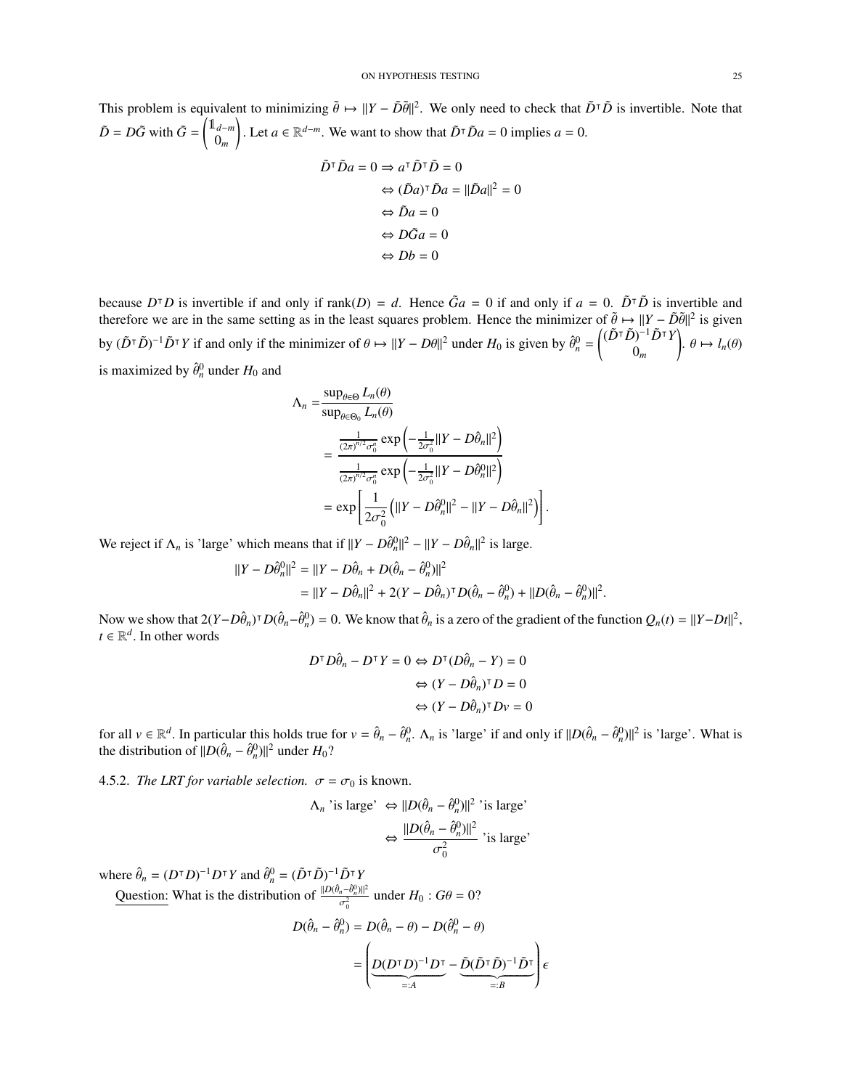This problem is equivalent to minimizing  $\tilde{\theta} \mapsto ||Y - \tilde{D}\tilde{\theta}||^2$ . We only need to check that  $\tilde{D}^T\tilde{D}$  is invertible. Note that  $\tilde{D} = D\tilde{G}$  with  $\tilde{G} = \begin{pmatrix} 1_{d-m} \\ 0 \end{pmatrix}$ 0*m* ). Let *a* ∈ ℝ<sup>*d*−*m*</sup>. We want to show that  $\tilde{D}^\text{T} \tilde{D}a = 0$  implies *a* = 0.

$$
\tilde{D}^{\dagger} \tilde{D} a = 0 \Rightarrow a^{\dagger} \tilde{D}^{\dagger} \tilde{D} = 0
$$
  

$$
\Leftrightarrow (\tilde{D} a)^{\dagger} \tilde{D} a = ||\tilde{D} a||^2 = 0
$$
  

$$
\Leftrightarrow \tilde{D} a = 0
$$
  

$$
\Leftrightarrow D\tilde{G} a = 0
$$
  

$$
\Leftrightarrow Db = 0
$$

because  $D^{\dagger}D$  is invertible if and only if rank(*D*) = *d*. Hence  $\tilde{G}a = 0$  if and only if  $a = 0$ .  $\tilde{D}^{\dagger}\tilde{D}$  is invertible and therefore we are in the same setting as in the least squares problem. Hence the minimizer of  $\tilde{\theta} \mapsto ||Y - \tilde{D}\tilde{\theta}||^2$  is given by  $(\tilde{D}^\top \tilde{D})^{-1} \tilde{D}^\top Y$  if and only if the minimizer of  $\theta \mapsto ||Y - D\theta||^2$  under  $H_0$  is given by  $\hat{\theta}_n^0 = \begin{pmatrix} (\tilde{D}^\top \tilde{D})^{-1} \tilde{D}^\top Y \\ 0_m \end{pmatrix}$ 0*m*  $\left\vert \theta \mapsto l_n(\theta)\right\vert$ is maximized by  $\hat{\theta}_n^0$  under  $H_0$  and

$$
\begin{split} \Lambda_n &= \frac{\sup_{\theta \in \Theta} L_n(\theta)}{\sup_{\theta \in \Theta_0} L_n(\theta)} \\ &= \frac{\frac{1}{(2\pi)^{n/2} \sigma_0^n} \exp\left(-\frac{1}{2\sigma_0^2} ||Y - D\hat{\theta}_n||^2\right)}{\frac{1}{(2\pi)^{n/2} \sigma_0^n} \exp\left(-\frac{1}{2\sigma_0^2} ||Y - D\hat{\theta}_n^0||^2\right)} \\ &= \exp\left[\frac{1}{2\sigma_0^2} \left(||Y - D\hat{\theta}_n^0||^2 - ||Y - D\hat{\theta}_n||^2\right)\right]. \end{split}
$$

We reject if  $\Lambda_n$  is 'large' which means that if  $||Y - D\hat{\theta}_n||^2 - ||Y - D\hat{\theta}_n||^2$  is large.

$$
||Y - D\hat{\theta}_n^0||^2 = ||Y - D\hat{\theta}_n + D(\hat{\theta}_n - \hat{\theta}_n^0)||^2
$$
  
= 
$$
||Y - D\hat{\theta}_n||^2 + 2(Y - D\hat{\theta}_n)^{\mathsf{T}}D(\hat{\theta}_n - \hat{\theta}_n^0) + ||D(\hat{\theta}_n - \hat{\theta}_n^0)||^2.
$$

Now we show that  $2(Y - D\hat{\theta}_n)^T D(\hat{\theta}_n - \hat{\theta}_n^0) = 0$ . We know that  $\hat{\theta}_n$  is a zero of the gradient of the function  $Q_n(t) = ||Y - Dt||^2$ ,  $t \in \mathbb{R}^d$  In other words  $t \in \mathbb{R}^d$ . In other words

$$
D^{\dagger} D\hat{\theta}_n - D^{\dagger} Y = 0 \Leftrightarrow D^{\dagger} (D\hat{\theta}_n - Y) = 0
$$

$$
\Leftrightarrow (Y - D\hat{\theta}_n)^{\dagger} D = 0
$$

$$
\Leftrightarrow (Y - D\hat{\theta}_n)^{\dagger} Dv = 0
$$

for all  $v \in \mathbb{R}^d$ . In particular this holds true for  $v = \hat{\theta}_n - \hat{\theta}_n^0$ .  $\Lambda_n$  is 'large' if and only if  $||D(\hat{\theta}_n - \hat{\theta}_n^0)||^2$  is 'large'. What is the distribution of  $||D(\hat{\theta}_n - \hat{\theta}_n^0)||^2$  under  $H_2$ ? the distribution of  $||D(\hat{\theta}_n - \hat{\theta}_n^0)||^2$  under  $H_0$ ?

4.5.2. *The LRT for variable selection.*  $\sigma = \sigma_0$  is known.

$$
\Lambda_n \text{ 'is large'} \Leftrightarrow ||D(\hat{\theta}_n - \hat{\theta}_n^0)||^2 \text{ 'is large'}\n\Leftrightarrow \frac{||D(\hat{\theta}_n - \hat{\theta}_n^0)||^2}{\sigma_0^2} \text{ 'is large'}
$$

where  $\hat{\theta}_n = (D^{\dagger} D)^{-1} D^{\dagger} Y$  and  $\hat{\theta}_n^0 = (\tilde{D}^{\dagger} \tilde{D})^{-1} \tilde{D}^{\dagger} Y$ 

Question: What is the distribution of  $\frac{\|D(\hat{\theta}_n - \hat{\theta}_n^0)\|^2}{\sigma^2}$  $\frac{d^{n-\theta_n||}}{\sigma_0^2}$  under  $H_0$ :  $G\theta = 0$ ?

$$
D(\hat{\theta}_n - \hat{\theta}_n^0) = D(\hat{\theta}_n - \theta) - D(\hat{\theta}_n^0 - \theta)
$$
  
= 
$$
\left( \underbrace{D(D^\top D)^{-1} D^\top}_{=:A} - \underbrace{\tilde{D}(\tilde{D}^\top \tilde{D})^{-1} \tilde{D}^\top}_{=:B} \right) \epsilon
$$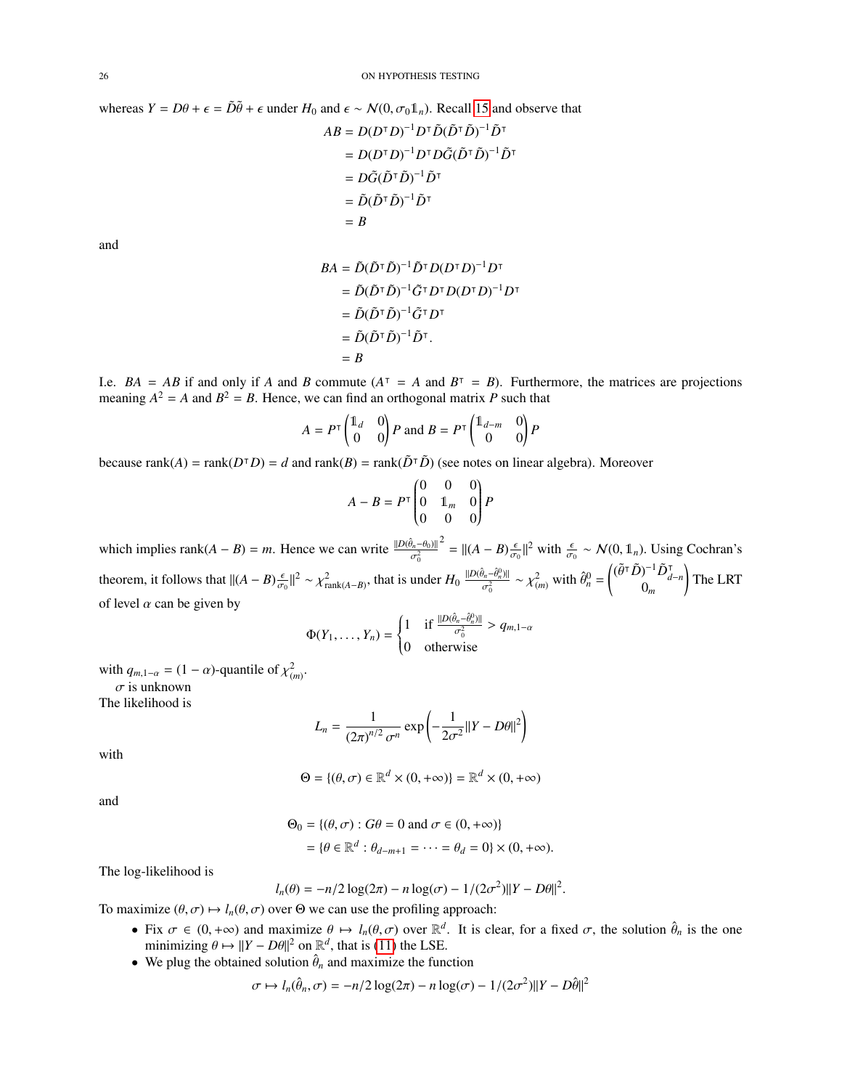whereas 
$$
Y = D\theta + \epsilon = \tilde{D}\tilde{\theta} + \epsilon
$$
 under  $H_0$  and  $\epsilon \sim N(0, \sigma_0 \mathbb{1}_n)$ . Recall 15 and observe that  
\n
$$
AB = D(D^{\top}D)^{-1}D^{\top}\tilde{D}(\tilde{D}^{\top}\tilde{D})^{-1}\tilde{D}^{\top}
$$
\n
$$
= D(D^{\top}D)^{-1}D^{\top}D\tilde{G}(\tilde{D}^{\top}\tilde{D})^{-1}\tilde{D}^{\top}
$$
\n
$$
= D\tilde{G}(\tilde{D}^{\top}\tilde{D})^{-1}\tilde{D}^{\top}
$$
\n
$$
= \tilde{D}(\tilde{D}^{\top}\tilde{D})^{-1}\tilde{D}^{\top}
$$
\n
$$
= B
$$
\nand

$$
BA = \tilde{D}(\tilde{D}^\top \tilde{D})^{-1} \tilde{D}^\top D (D^\top D)^{-1} D^\top
$$
  
=  $\tilde{D}(\tilde{D}^\top \tilde{D})^{-1} \tilde{G}^\top D^\top D (D^\top D)^{-1} D^\top$   
=  $\tilde{D}(\tilde{D}^\top \tilde{D})^{-1} \tilde{G}^\top D^\top$   
=  $\tilde{D}(\tilde{D}^\top \tilde{D})^{-1} \tilde{D}^\top$ .  
=  $B$ 

I.e.  $BA = AB$  if and only if *A* and *B* commute  $(A^T = A$  and  $B^T = B)$ . Furthermore, the matrices are projections meaning  $A^2 = A$  and  $B^2 = B$ . Hence, we can find an orthogonal matrix P such that

$$
A = P^{\mathsf{T}} \begin{pmatrix} \mathbb{1}_d & 0 \\ 0 & 0 \end{pmatrix} P \text{ and } B = P^{\mathsf{T}} \begin{pmatrix} \mathbb{1}_{d-m} & 0 \\ 0 & 0 \end{pmatrix} P
$$

because rank(*A*) = rank( $D^{\dagger}D$ ) = *d* and rank( $B$ ) = rank( $\tilde{D}^{\dagger} \tilde{D}$ ) (see notes on linear algebra). Moreover

$$
A - B = P^{\top} \begin{pmatrix} 0 & 0 & 0 \\ 0 & 1_m & 0 \\ 0 & 0 & 0 \end{pmatrix} P
$$

which implies rank $(A - B) = m$ . Hence we can write  $\frac{\|D(\hat{\theta}_n - \theta_0)\|}{\sigma_0^2}$ σ  $2^{2} = ||(A - B)\frac{\epsilon}{\sigma_0}$  $\parallel^2$  with  $\frac{\epsilon}{\sigma_0}$  ∼ N(0, 1<sup>n</sup><sub>n</sub>). Using Cochran's theorem, it follows that  $||(A - B) \frac{\epsilon}{\sigma_0}$  $||^2 \sim \chi^2_{\text{rank}(A-B)}$ , that is under  $H_0 \frac{||D(\hat{\theta}_n - \hat{\theta}_n^0)||}{\sigma_0^2}$  $\frac{\partial_n - \partial_n^0}{\partial \sigma_0^2} \sim \chi^2_{(m)}$  with  $\hat{\theta}_n^0 = \begin{pmatrix} (\tilde{\theta}^\top \tilde{D})^{-1} \tilde{D}_d^\top \\ 0_m \end{pmatrix}$  $\sum_{m}$   $\sum_{d-n}$ ! The LRT of level  $\alpha$  can be given by

$$
\Phi(Y_1,\ldots,Y_n) = \begin{cases} 1 & \text{if } \frac{\|D(\hat{\theta}_n-\hat{\theta}_n^0)\|}{\sigma_0^2} > q_{m,1-\alpha} \\ 0 & \text{otherwise} \end{cases}
$$

with  $q_{m,1-\alpha} = (1 - \alpha)$ -quantile of  $\chi^2_{(m)}$ .

 $\sigma$  is unknown

The likelihood is

$$
L_n = \frac{1}{(2\pi)^{n/2} \sigma^n} \exp\left(-\frac{1}{2\sigma^2} ||Y - D\theta||^2\right)
$$

with

$$
\Theta = \{(\theta, \sigma) \in \mathbb{R}^d \times (0, +\infty)\} = \mathbb{R}^d \times (0, +\infty)
$$

and

$$
\Theta_0 = \{(\theta, \sigma) : G\theta = 0 \text{ and } \sigma \in (0, +\infty)\}
$$

$$
= \{\theta \in \mathbb{R}^d : \theta_{d-m+1} = \dots = \theta_d = 0\} \times (0, +\infty).
$$

The log-likelihood is

$$
l_n(\theta) = -n/2 \log(2\pi) - n \log(\sigma) - 1/(2\sigma^2) ||Y - D\theta||^2
$$

To maximize  $(\theta, \sigma) \mapsto l_n(\theta, \sigma)$  over  $\Theta$  we can use the profiling approach:

- Fix  $\sigma \in (0, +\infty)$  and maximize  $\theta \mapsto l_n(\theta, \sigma)$  over  $\mathbb{R}^d$ . It is clear, for a fixed  $\sigma$ , the solution  $\hat{\theta}_n$  is the one minimizing  $\theta \mapsto ||Y D\theta||^2$  on  $\mathbb{R}^d$  that is (11) the I SE minimizing  $\theta \mapsto ||Y - D\theta||^2$  on  $\mathbb{R}^d$ , that is [\(11\)](#page-20-4) the LSE.<br>We plug the obtained solution  $\hat{\theta}$ , and maximize the function
- We plug the obtained solution  $\hat{\theta}_n$  and maximize the function

$$
\sigma \mapsto l_n(\hat{\theta}_n, \sigma) = -n/2 \log(2\pi) - n \log(\sigma) - 1/(2\sigma^2) ||Y - D\hat{\theta}||^2
$$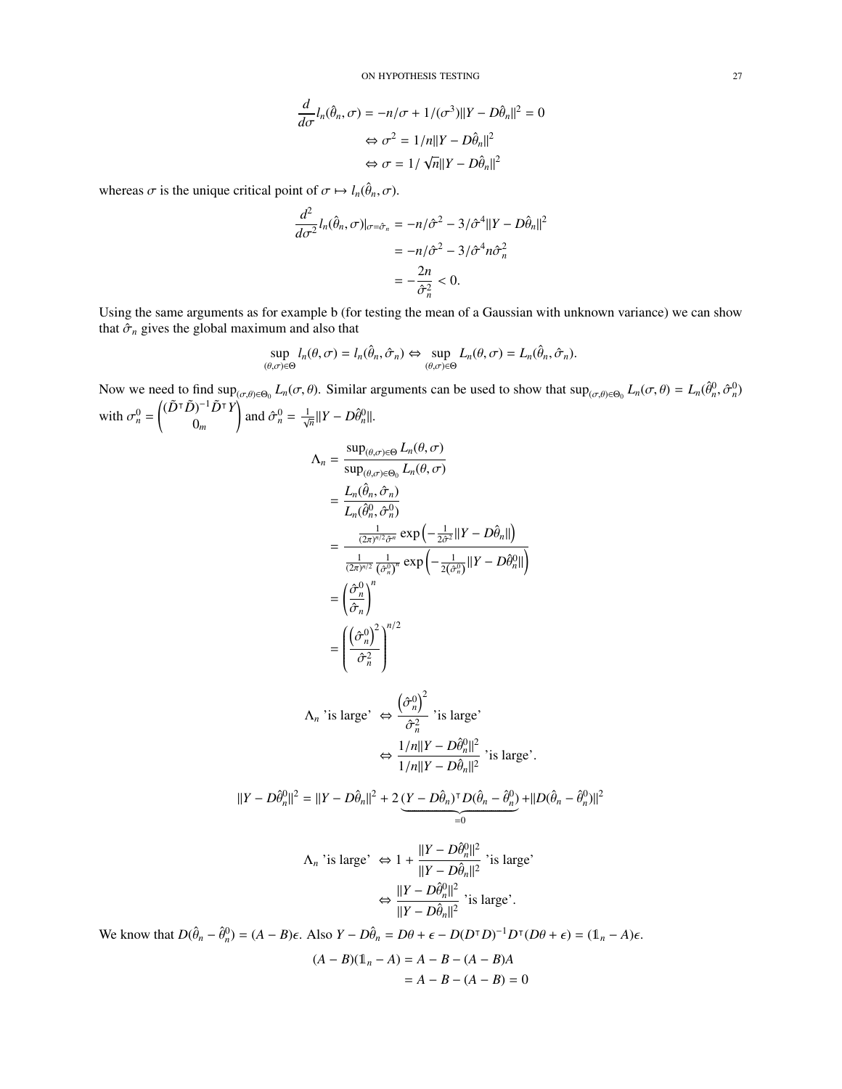ON HYPOTHESIS TESTING 27

$$
\frac{d}{d\sigma}l_n(\hat{\theta}_n, \sigma) = -n/\sigma + 1/(\sigma^3)||Y - D\hat{\theta}_n||^2 = 0
$$

$$
\Leftrightarrow \sigma^2 = 1/n||Y - D\hat{\theta}_n||^2
$$

$$
\Leftrightarrow \sigma = 1/\sqrt{n}||Y - D\hat{\theta}_n||^2
$$

whereas  $\sigma$  is the unique critical point of  $\sigma \mapsto l_n(\hat{\theta}_n, \sigma)$ .

$$
\frac{d^2}{d\sigma^2} l_n(\hat{\theta}_n, \sigma)|_{\sigma = \hat{\sigma}_n} = -n/\hat{\sigma}^2 - 3/\hat{\sigma}^4 ||Y - D\hat{\theta}_n||^2
$$

$$
= -n/\hat{\sigma}^2 - 3/\hat{\sigma}^4 n \hat{\sigma}_n^2
$$

$$
= -\frac{2n}{\hat{\sigma}_n^2} < 0.
$$

Using the same arguments as for example b (for testing the mean of a Gaussian with unknown variance) we can show that  $\hat{\sigma}_n$  gives the global maximum and also that

$$
\sup_{(\theta,\sigma)\in\Theta} l_n(\theta,\sigma) = l_n(\hat{\theta}_n,\hat{\sigma}_n) \Leftrightarrow \sup_{(\theta,\sigma)\in\Theta} L_n(\theta,\sigma) = L_n(\hat{\theta}_n,\hat{\sigma}_n).
$$

Now we need to find  $\sup_{(\sigma,\theta)\in\Theta_0} L_n(\sigma,\theta)$ . Similar arguments can be used to show that  $\sup_{(\sigma,\theta)\in\Theta_0} L_n(\sigma,\theta) = L_n(\hat{\theta}_n^0, \hat{\sigma}_n^0)$ with  $\sigma_n^0 = \begin{pmatrix} (\tilde{D}^\top \tilde{D})^{-1} \tilde{D}^\top Y \\ 0_m \end{pmatrix}$ 0*m* and  $\hat{\sigma}_n^0 = \frac{1}{\sqrt{n}} ||Y - D\hat{\theta}_n^0||$ .  $\Lambda_n = \frac{\sup_{(\theta,\sigma)\in\Theta} L_n(\theta,\sigma)}{\sup_{\theta,\sigma\in\Theta} L_n(\theta,\sigma)}$  $\sup_{(\theta,\sigma)\in\Theta_0} L_n(\theta,\sigma)$  $=\frac{L_n(\hat{\theta}_n, \hat{\sigma}_n)}{L_n(\hat{\theta}_n, \hat{\sigma}_n)}$  $L_n(\hat{\theta}_n^0, \hat{\sigma}_n^0)$  $,\hat{\sigma}$ <sup>1</sup> =  $\frac{1}{(2\pi)^{n/2}\hat{\sigma}^n} \exp\left(-\frac{1}{2\hat{\sigma}^2}||Y-D\hat{\theta}_n||\right)$  $\frac{1}{(2\pi)^{n/2}} \frac{1}{(\hat{\sigma}_n^0)^n} \exp \left(-\frac{1}{2(\hat{\sigma}_n^0)} ||Y - D\hat{\theta}_n^0||\right)$  $=\left(\frac{\hat{\sigma}_{n}^{0}}{2}\right)$  $\hat{\sigma}_n$ !*n* =  $\left(\frac{\hat{\sigma}_n^0}{n}\right)^2$  $\overline{\phantom{a}}$  $\hat{\sigma}_n^2$  $\bigg\}^{n/2}$  $\begin{array}{c} \hline \end{array}$  $\Lambda_n$  'is large'  $\Leftrightarrow$  $\left(\hat{\sigma}_n^0\right)^2$  $\hat{\sigma}_n^2$ 'is large'  $\Leftrightarrow \frac{1/n||Y - D\hat{\theta}_n^0||^2}{1 + |\mathbf{W} - \mathbf{D}\hat{\theta}_n^0||^2}$  $\frac{2|\partial_n u|^2}{1/n||Y - D\hat{\theta}_n||^2}$  'is large'.  $||Y - D\hat{\theta}_n^0||^2 = ||Y - D\hat{\theta}_n||^2 + 2(\underline{Y - D\hat{\theta}_n})^{\dagger}D(\hat{\theta}_n - \hat{\theta}_n^0)$  $\underbrace{(Y-D\hat{\theta}_n)^\mathsf{T}D(\hat{\theta}_n-\hat{\theta}_n^0)}_{=0} + ||D(\hat{\theta}_n-\hat{\theta}_n^0)||^2$  $\Lambda_n$  'is large'  $\Leftrightarrow 1 + \frac{||Y - D\hat{\theta}_n^0||^2}{||Y - D\hat{\theta}_n||^2}$  $\frac{d\mathbf{r} - \mathbf{p}\hat{\theta}_n}{||\mathbf{Y} - \mathbf{D}\hat{\theta}_n||^2}$ 'is large'  $\Leftrightarrow \frac{\|Y - D\hat{\theta}_n^0\|^2}{\|X - D\hat{\theta}_n\|^2}$  $\frac{d\mathbf{r} - \mathbf{p} \cdot \mathbf{v}_{n}}{||\mathbf{Y} - \mathbf{D} \hat{\theta}_{n}||^2}$  'is large'. We know that  $D(\hat{\theta}_n - \hat{\theta}_n^0) = (A - B)\epsilon$ . Also  $Y - D\hat{\theta}_n = D\theta + \epsilon - D(D^{\mathsf{T}}D)^{-1}D^{\mathsf{T}}(D\theta + \epsilon) = (\mathbb{1}_n - A)\epsilon$ .  $(A - B)(\mathbb{1}_n - A) = A - B - (A - B)A$  $= A - B - (A - B) = 0$